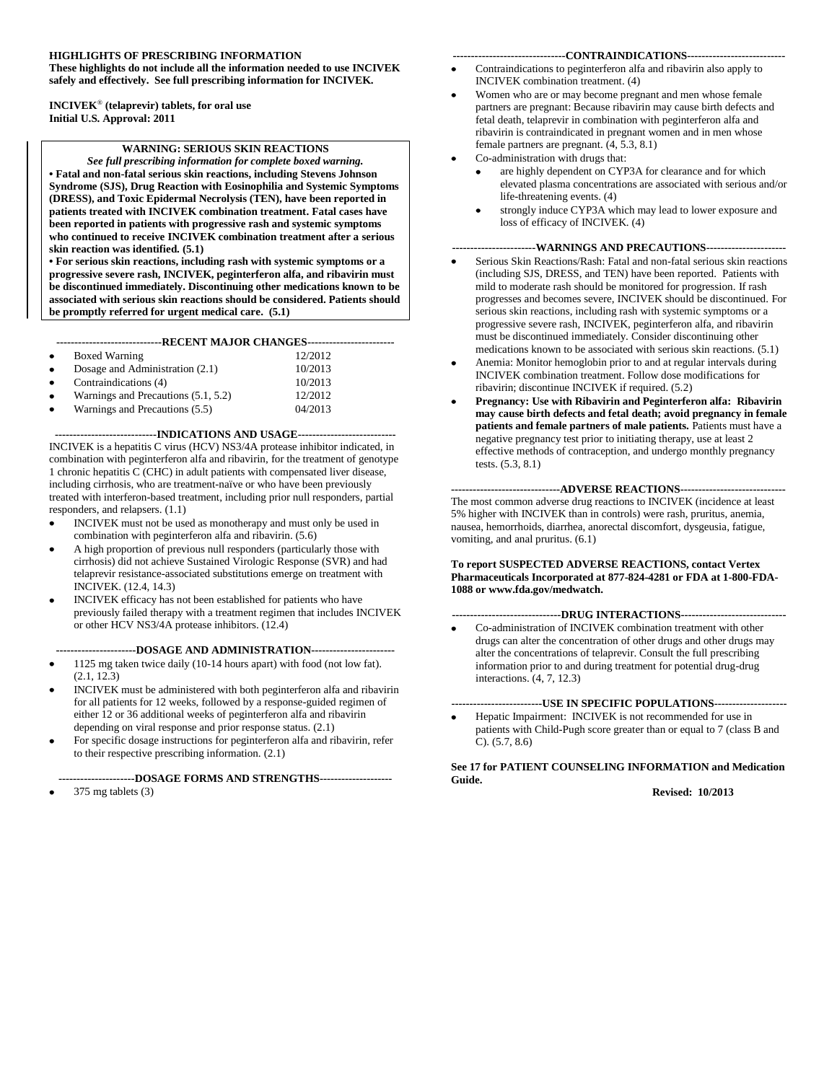## **HIGHLIGHTS OF PRESCRIBING INFORMATION**

**These highlights do not include all the information needed to use INCIVEK safely and effectively. See full prescribing information for INCIVEK.** 

**INCIVEK**® **(telaprevir) tablets, for oral use Initial U.S. Approval: 2011**

## **WARNING: SERIOUS SKIN REACTIONS**

*See full prescribing information for complete boxed warning.* **• Fatal and non-fatal serious skin reactions, including Stevens Johnson Syndrome (SJS), Drug Reaction with Eosinophilia and Systemic Symptoms (DRESS), and Toxic Epidermal Necrolysis (TEN), have been reported in patients treated with INCIVEK combination treatment. Fatal cases have been reported in patients with progressive rash and systemic symptoms who continued to receive INCIVEK combination treatment after a serious skin reaction was identified. (5.1)**

**• For serious skin reactions, including rash with systemic symptoms or a progressive severe rash, INCIVEK, peginterferon alfa, and ribavirin must be discontinued immediately. Discontinuing other medications known to be associated with serious skin reactions should be considered. Patients should be promptly referred for urgent medical care. (5.1)**

#### **-----------------------------RECENT MAJOR CHANGES------------------------**

| $\bullet$ | <b>Boxed Warning</b>                | 12/2012 |
|-----------|-------------------------------------|---------|
| $\bullet$ | Dosage and Administration (2.1)     | 10/2013 |
| $\bullet$ | Contraindications (4)               | 10/2013 |
| $\bullet$ | Warnings and Precautions (5.1, 5.2) | 12/2012 |
| $\bullet$ | Warnings and Precautions (5.5)      | 04/2013 |

#### **----------------------------INDICATIONS AND USAGE---------------------------**

INCIVEK is a hepatitis C virus (HCV) NS3/4A protease inhibitor indicated, in combination with peginterferon alfa and ribavirin, for the treatment of genotype 1 chronic hepatitis C (CHC) in adult patients with compensated liver disease, including cirrhosis, who are treatment-naïve or who have been previously treated with interferon-based treatment, including prior null responders, partial responders, and relapsers. (1.1)

- INCIVEK must not be used as monotherapy and must only be used in combination with peginterferon alfa and ribavirin. (5.6)
- A high proportion of previous null responders (particularly those with cirrhosis) did not achieve Sustained Virologic Response (SVR) and had telaprevir resistance-associated substitutions emerge on treatment with INCIVEK. (12.4, 14.3)
- INCIVEK efficacy has not been established for patients who have previously failed therapy with a treatment regimen that includes INCIVEK or other HCV NS3/4A protease inhibitors. (12.4)

**----------------------DOSAGE AND ADMINISTRATION-----------------------**

- 1125 mg taken twice daily (10-14 hours apart) with food (not low fat). (2.1, 12.3)
- INCIVEK must be administered with both peginterferon alfa and ribavirin for all patients for 12 weeks, followed by a response-guided regimen of either 12 or 36 additional weeks of peginterferon alfa and ribavirin depending on viral response and prior response status. (2.1)
- For specific dosage instructions for peginterferon alfa and ribavirin, refer to their respective prescribing information. (2.1)

#### **---------------------DOSAGE FORMS AND STRENGTHS--------------------**

375 mg tablets (3)

#### **-------------------------------CONTRAINDICATIONS---------------------------**

- Contraindications to peginterferon alfa and ribavirin also apply to INCIVEK combination treatment. (4)
- Women who are or may become pregnant and men whose female partners are pregnant: Because ribavirin may cause birth defects and fetal death, telaprevir in combination with peginterferon alfa and ribavirin is contraindicated in pregnant women and in men whose female partners are pregnant. (4, 5.3, 8.1)
- Co-administration with drugs that:
	- are highly dependent on CYP3A for clearance and for which elevated plasma concentrations are associated with serious and/or life-threatening events. (4)
	- strongly induce CYP3A which may lead to lower exposure and loss of efficacy of INCIVEK. (4)

#### **-----------------------WARNINGS AND PRECAUTIONS----------------------**

- Serious Skin Reactions/Rash: Fatal and non-fatal serious skin reactions (including SJS, DRESS, and TEN) have been reported. Patients with mild to moderate rash should be monitored for progression. If rash progresses and becomes severe, INCIVEK should be discontinued. For serious skin reactions, including rash with systemic symptoms or a progressive severe rash, INCIVEK, peginterferon alfa, and ribavirin must be discontinued immediately. Consider discontinuing other medications known to be associated with serious skin reactions. (5.1)
- Anemia: Monitor hemoglobin prior to and at regular intervals during INCIVEK combination treatment. Follow dose modifications for ribavirin; discontinue INCIVEK if required. (5.2)
- **Pregnancy: Use with Ribavirin and Peginterferon alfa: Ribavirin may cause birth defects and fetal death; avoid pregnancy in female patients and female partners of male patients.** Patients must have a negative pregnancy test prior to initiating therapy, use at least 2 effective methods of contraception, and undergo monthly pregnancy tests. (5.3, 8.1)

**------------------------------ADVERSE REACTIONS-----------------------------** The most common adverse drug reactions to INCIVEK (incidence at least 5% higher with INCIVEK than in controls) were rash, pruritus, anemia, nausea, hemorrhoids, diarrhea, anorectal discomfort, dysgeusia, fatigue, vomiting, and anal pruritus. (6.1)

**To report SUSPECTED ADVERSE REACTIONS, contact Vertex Pharmaceuticals Incorporated at 877-824-4281 or FDA at 1-800-FDA-1088 o[r www.fda.gov/medwatch.](http://www.fda.gov/medwatch)**

#### **------------------------------DRUG INTERACTIONS-----------------------------**

Co-administration of INCIVEK combination treatment with other drugs can alter the concentration of other drugs and other drugs may alter the concentrations of telaprevir. Consult the full prescribing information prior to and during treatment for potential drug-drug interactions. (4, 7, 12.3)

#### **-------------------------USE IN SPECIFIC POPULATIONS--------------------**

Hepatic Impairment: INCIVEK is not recommended for use in patients with Child-Pugh score greater than or equal to 7 (class B and C). (5.7, 8.6)

**See 17 for PATIENT COUNSELING INFORMATION and Medication Guide.**

**Revised: 10/2013**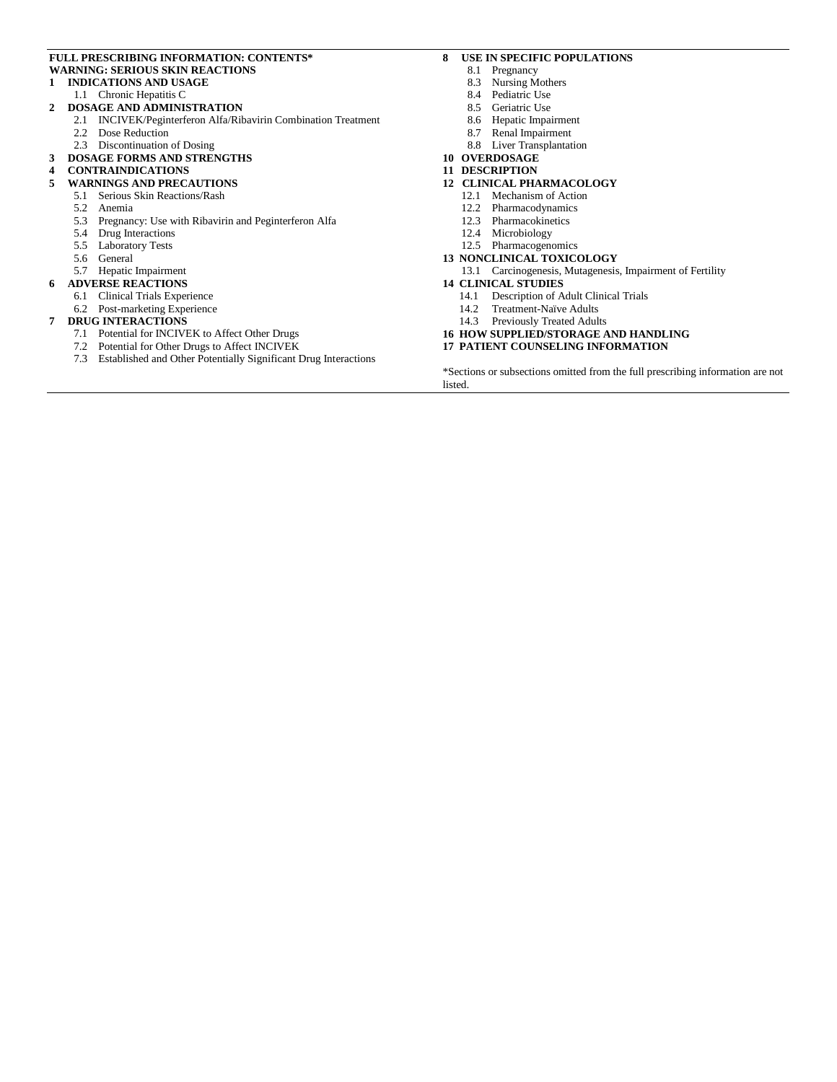## **FULL PRESCRIBING INFORMATION: CONTENTS\***

#### **WARNING: SERIOUS SKIN REACTIONS 1 INDICATIONS AND USAGE**

- 
- 1.1 Chronic Hepatitis C **2 DOSAGE AND ADMINISTRATION**
- 
- 2.1 INCIVEK/Peginterferon Alfa/Ribavirin Combination Treatment 2.2 Dose Reduction
- 2.3 Discontinuation of Dosing
- **3 DOSAGE FORMS AND STRENGTHS**
- **4 CONTRAINDICATIONS**

## **5 WARNINGS AND PRECAUTIONS**

- 5.1 Serious Skin Reactions/Rash
	- 5.2 Anemia
	- 5.3 Pregnancy: Use with Ribavirin and Peginterferon Alfa
	- 5.4 Drug Interactions
	- 5.5 Laboratory Tests
	- 5.6 General
- 5.7 Hepatic Impairment
- **6 ADVERSE REACTIONS**
	- 6.1 Clinical Trials Experience
	- 6.2 Post-marketing Experience

## **7 DRUG INTERACTIONS**

- 7.1 Potential for INCIVEK to Affect Other Drugs
- 7.2 Potential for Other Drugs to Affect INCIVEK
- 7.3 Established and Other Potentially Significant Drug Interactions

## **8 USE IN SPECIFIC POPULATIONS**

- 8.1 Pregnancy
- 8.3 Nursing Mothers 8.4 Pediatric Use
- 8.5 Geriatric Use
- 8.6 Hepatic Impairment
- 8.7 Renal Impairment
- 8.8 Liver Transplantation
- **10 OVERDOSAGE**

## **11 DESCRIPTION**

- **12 CLINICAL PHARMACOLOGY**
	- 12.1 Mechanism of Action
	- 12.2 Pharmacodynamics
	- 12.3 Pharmacokinetics
	- 12.4 Microbiology
	- 12.5 Pharmacogenomics

## **13 NONCLINICAL TOXICOLOGY**

13.1 Carcinogenesis, Mutagenesis, Impairment of Fertility

## **14 CLINICAL STUDIES**

- 14.1 Description of Adult Clinical Trials
- 14.2 Treatment-Naïve Adults
- 14.3 Previously Treated Adults
- **16 HOW SUPPLIED/STORAGE AND HANDLING**
- **17 PATIENT COUNSELING INFORMATION**

\*Sections or subsections omitted from the full prescribing information are not listed.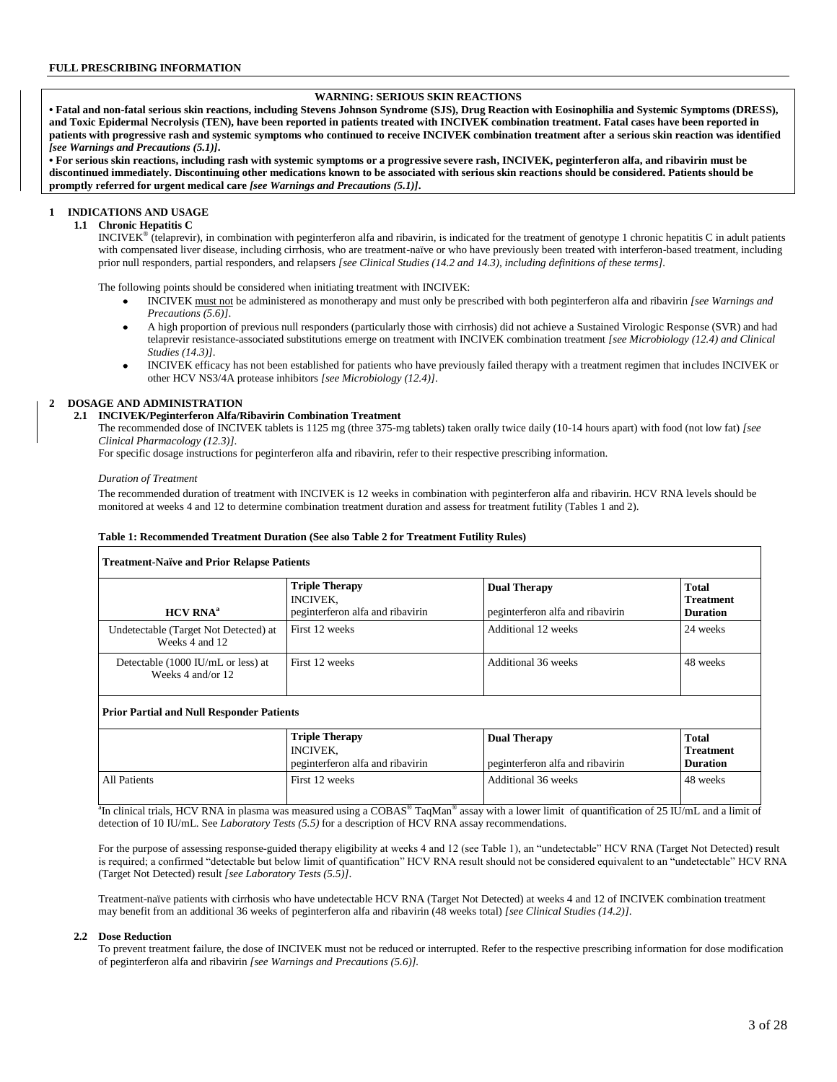## **WARNING: SERIOUS SKIN REACTIONS**

**• Fatal and non-fatal serious skin reactions, including Stevens Johnson Syndrome (SJS), Drug Reaction with Eosinophilia and Systemic Symptoms (DRESS), and Toxic Epidermal Necrolysis (TEN), have been reported in patients treated with INCIVEK combination treatment. Fatal cases have been reported in patients with progressive rash and systemic symptoms who continued to receive INCIVEK combination treatment after a serious skin reaction was identified** *[see Warnings and Precautions (5.1)]***.** 

**• For serious skin reactions, including rash with systemic symptoms or a progressive severe rash, INCIVEK, peginterferon alfa, and ribavirin must be discontinued immediately. Discontinuing other medications known to be associated with serious skin reactions should be considered. Patients should be promptly referred for urgent medical care** *[see Warnings and Precautions (5.1)]***.**

## **1 INDICATIONS AND USAGE**

## **1.1 Chronic Hepatitis C**

INCIVEK<sup>®</sup> (telaprevir), in combination with peginterferon alfa and ribavirin, is indicated for the treatment of genotype 1 chronic hepatitis C in adult patients with compensated liver disease, including cirrhosis, who are treatment-naïve or who have previously been treated with interferon-based treatment, including prior null responders, partial responders, and relapsers *[see Clinical Studies (14.2 and 14.3), including definitions of these terms].*

The following points should be considered when initiating treatment with INCIVEK:

- INCIVEK must not be administered as monotherapy and must only be prescribed with both peginterferon alfa and ribavirin *[see Warnings and Precautions (5.6)]*.
- $\bullet$ A high proportion of previous null responders (particularly those with cirrhosis) did not achieve a Sustained Virologic Response (SVR) and had telaprevir resistance-associated substitutions emerge on treatment with INCIVEK combination treatment *[see Microbiology (12.4) and Clinical Studies (14.3)]*.
- INCIVEK efficacy has not been established for patients who have previously failed therapy with a treatment regimen that includes INCIVEK or other HCV NS3/4A protease inhibitors *[see Microbiology (12.4)]*.

### **2 DOSAGE AND ADMINISTRATION**

## **2.1 INCIVEK/Peginterferon Alfa/Ribavirin Combination Treatment**

The recommended dose of INCIVEK tablets is 1125 mg (three 375-mg tablets) taken orally twice daily (10-14 hours apart) with food (not low fat) *[see Clinical Pharmacology (12.3)]*.

For specific dosage instructions for peginterferon alfa and ribavirin, refer to their respective prescribing information.

### *Duration of Treatment*

The recommended duration of treatment with INCIVEK is 12 weeks in combination with peginterferon alfa and ribavirin. HCV RNA levels should be monitored at weeks 4 and 12 to determine combination treatment duration and assess for treatment futility (Tables 1 and 2).

| <b>Treatment-Naïve and Prior Relapse Patients</b>                 |                                                                              |                                                         |                                              |
|-------------------------------------------------------------------|------------------------------------------------------------------------------|---------------------------------------------------------|----------------------------------------------|
| <b>HCV RNA</b> <sup>a</sup>                                       | <b>Triple Therapy</b><br><b>INCIVEK.</b><br>peginterferon alfa and ribavirin | <b>Dual Therapy</b><br>peginterferon alfa and ribavirin | Total<br><b>Treatment</b><br><b>Duration</b> |
| Undetectable (Target Not Detected) at<br>Weeks 4 and 12           | First 12 weeks                                                               | Additional 12 weeks                                     | 24 weeks                                     |
| Detectable $(1000 \text{ IU/mL}$ or less) at<br>Weeks 4 and/or 12 | First 12 weeks                                                               | Additional 36 weeks                                     | 48 weeks                                     |
| <b>Prior Partial and Null Responder Patients</b>                  |                                                                              |                                                         |                                              |
|                                                                   | <b>Triple Therapy</b><br><b>INCIVEK,</b><br>peginterferon alfa and ribavirin | <b>Dual Therapy</b><br>peginterferon alfa and ribavirin | Total<br><b>Treatment</b><br><b>Duration</b> |

#### **Table 1: Recommended Treatment Duration (See also Table 2 for Treatment Futility Rules)**

<sup>a</sup>In clinical trials, HCV RNA in plasma was measured using a COBAS<sup>®</sup> TaqMan<sup>®</sup> assay with a lower limit of quantification of 25 IU/mL and a limit of detection of 10 IU/mL. See *Laboratory Tests (5.5)* for a description of HCV RNA assay recommendations.

All Patients and Additional 36 weeks and Hall Patients and Additional 36 weeks 48 weeks

For the purpose of assessing response-guided therapy eligibility at weeks 4 and 12 (see Table 1), an "undetectable" HCV RNA (Target Not Detected) result is required; a confirmed "detectable but below limit of quantification" HCV RNA result should not be considered equivalent to an "undetectable" HCV RNA (Target Not Detected) result *[see Laboratory Tests (5.5)]*.

Treatment-naïve patients with cirrhosis who have undetectable HCV RNA (Target Not Detected) at weeks 4 and 12 of INCIVEK combination treatment may benefit from an additional 36 weeks of peginterferon alfa and ribavirin (48 weeks total) *[see Clinical Studies (14.2)]*.

#### **2.2 Dose Reduction**

To prevent treatment failure, the dose of INCIVEK must not be reduced or interrupted. Refer to the respective prescribing information for dose modification of peginterferon alfa and ribavirin *[see Warnings and Precautions (5.6)].*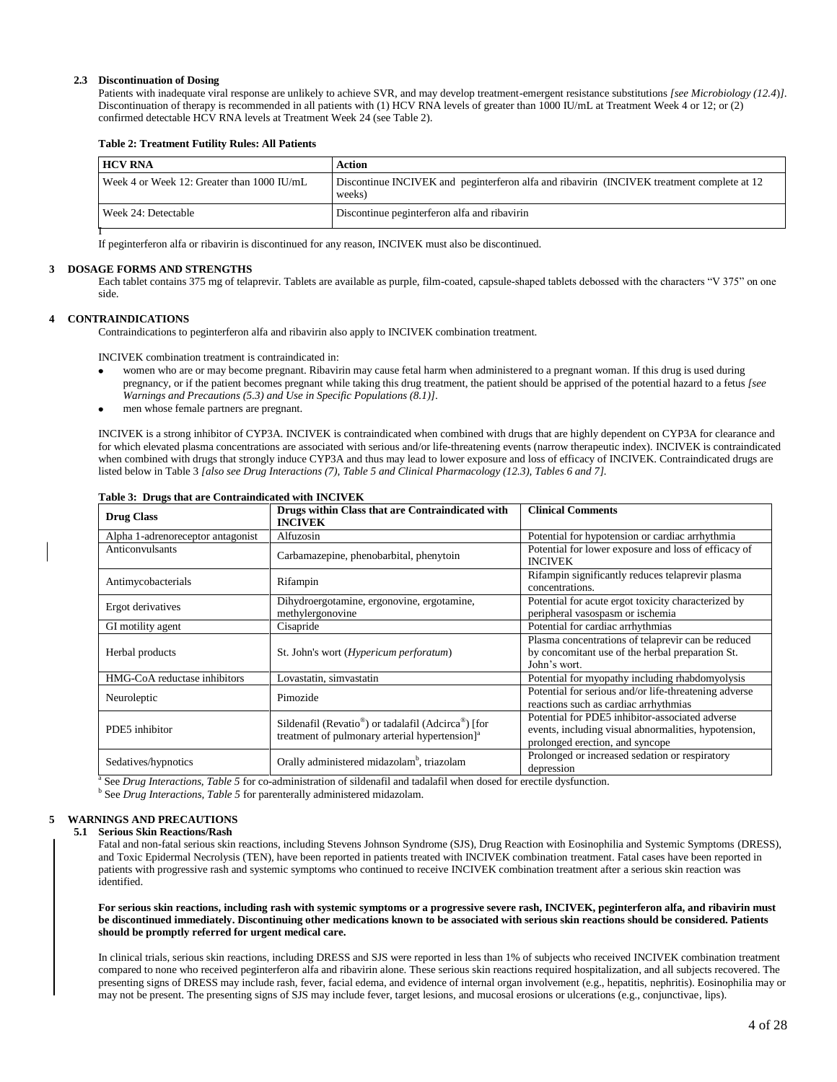### **2.3 Discontinuation of Dosing**

Patients with inadequate viral response are unlikely to achieve SVR, and may develop treatment-emergent resistance substitutions *[see Microbiology (12.4*)*]*. Discontinuation of therapy is recommended in all patients with (1) HCV RNA levels of greater than 1000 IU/mL at Treatment Week 4 or 12; or (2) confirmed detectable HCV RNA levels at Treatment Week 24 (see Table 2).

#### **Table 2: Treatment Futility Rules: All Patients**

| <b>HCV RNA</b>                             | Action                                                                                                |
|--------------------------------------------|-------------------------------------------------------------------------------------------------------|
| Week 4 or Week 12: Greater than 1000 IU/mL | Discontinue INCIVEK and peginterferon alfa and ribavirin (INCIVEK treatment complete at 12)<br>weeks) |
| Week 24: Detectable                        | Discontinue peginterferon alfa and ribavirin                                                          |

If peginterferon alfa or ribavirin is discontinued for any reason, INCIVEK must also be discontinued.

#### **3 DOSAGE FORMS AND STRENGTHS**

Each tablet contains 375 mg of telaprevir. Tablets are available as purple, film-coated, capsule-shaped tablets debossed with the characters "V 375" on one side.

#### **4 CONTRAINDICATIONS**

Contraindications to peginterferon alfa and ribavirin also apply to INCIVEK combination treatment.

INCIVEK combination treatment is contraindicated in:

- women who are or may become pregnant. Ribavirin may cause fetal harm when administered to a pregnant woman. If this drug is used during pregnancy, or if the patient becomes pregnant while taking this drug treatment, the patient should be apprised of the potential hazard to a fetus *[see Warnings and Precautions (5.3) and Use in Specific Populations (8.1)]*.
- men whose female partners are pregnant.

INCIVEK is a strong inhibitor of CYP3A. INCIVEK is contraindicated when combined with drugs that are highly dependent on CYP3A for clearance and for which elevated plasma concentrations are associated with serious and/or life-threatening events (narrow therapeutic index). INCIVEK is contraindicated when combined with drugs that strongly induce CYP3A and thus may lead to lower exposure and loss of efficacy of INCIVEK. Contraindicated drugs are listed below in Table 3 *[also see Drug Interactions (7), Table 5 and Clinical Pharmacology (12.3), Tables 6 and 7].*

| <b>Drug Class</b>                 | Drugs within Class that are Contraindicated with<br><b>INCIVEK</b>                                                                        | <b>Clinical Comments</b>                                                                                                                   |  |  |
|-----------------------------------|-------------------------------------------------------------------------------------------------------------------------------------------|--------------------------------------------------------------------------------------------------------------------------------------------|--|--|
| Alpha 1-adrenoreceptor antagonist | Alfuzosin                                                                                                                                 | Potential for hypotension or cardiac arrhythmia                                                                                            |  |  |
| Anticonvulsants                   | Carbamazepine, phenobarbital, phenytoin                                                                                                   | Potential for lower exposure and loss of efficacy of<br><b>INCIVEK</b>                                                                     |  |  |
| Antimycobacterials                | Rifampin                                                                                                                                  | Rifampin significantly reduces telaprevir plasma<br>concentrations.                                                                        |  |  |
| Ergot derivatives                 | Dihydroergotamine, ergonovine, ergotamine,<br>methylergonovine                                                                            | Potential for acute ergot toxicity characterized by<br>peripheral vasospasm or ischemia                                                    |  |  |
| GI motility agent                 | Cisapride                                                                                                                                 | Potential for cardiac arrhythmias                                                                                                          |  |  |
| Herbal products                   | St. John's wort ( <i>Hypericum perforatum</i> )                                                                                           | Plasma concentrations of telaprevir can be reduced<br>by concomitant use of the herbal preparation St.<br>John's wort.                     |  |  |
| HMG-CoA reductase inhibitors      | Lovastatin, simvastatin                                                                                                                   | Potential for myopathy including rhabdomyolysis                                                                                            |  |  |
| Neuroleptic                       | Pimozide                                                                                                                                  | Potential for serious and/or life-threatening adverse<br>reactions such as cardiac arrhythmias                                             |  |  |
| PDE5 inhibitor                    | Sildenafil (Revatio <sup>®</sup> ) or tadalafil (Adcirca <sup>®</sup> ) [for<br>treatment of pulmonary arterial hypertension <sup>1</sup> | Potential for PDE5 inhibitor-associated adverse<br>events, including visual abnormalities, hypotension,<br>prolonged erection, and syncope |  |  |
| Sedatives/hypnotics               | Orally administered midazolam <sup>b</sup> , triazolam                                                                                    | Prolonged or increased sedation or respiratory<br>depression                                                                               |  |  |

## **Table 3: Drugs that are Contraindicated with INCIVEK**

<sup>a</sup> See *Drug Interactions, Table 5* for co-administration of sildenafil and tadalafil when dosed for erectile dysfunction.

<sup>b</sup> See *Drug Interactions, Table 5* for parenterally administered midazolam.

## **5 WARNINGS AND PRECAUTIONS**

## **5.1 Serious Skin Reactions/Rash**

Fatal and non-fatal serious skin reactions, including Stevens Johnson Syndrome (SJS), Drug Reaction with Eosinophilia and Systemic Symptoms (DRESS), and Toxic Epidermal Necrolysis (TEN), have been reported in patients treated with INCIVEK combination treatment. Fatal cases have been reported in patients with progressive rash and systemic symptoms who continued to receive INCIVEK combination treatment after a serious skin reaction was identified.

**For serious skin reactions, including rash with systemic symptoms or a progressive severe rash, INCIVEK, peginterferon alfa, and ribavirin must be discontinued immediately. Discontinuing other medications known to be associated with serious skin reactions should be considered. Patients should be promptly referred for urgent medical care.**

In clinical trials, serious skin reactions, including DRESS and SJS were reported in less than 1% of subjects who received INCIVEK combination treatment compared to none who received peginterferon alfa and ribavirin alone. These serious skin reactions required hospitalization, and all subjects recovered. The presenting signs of DRESS may include rash, fever, facial edema, and evidence of internal organ involvement (e.g., hepatitis, nephritis). Eosinophilia may or may not be present. The presenting signs of SJS may include fever, target lesions, and mucosal erosions or ulcerations (e.g., conjunctivae, lips).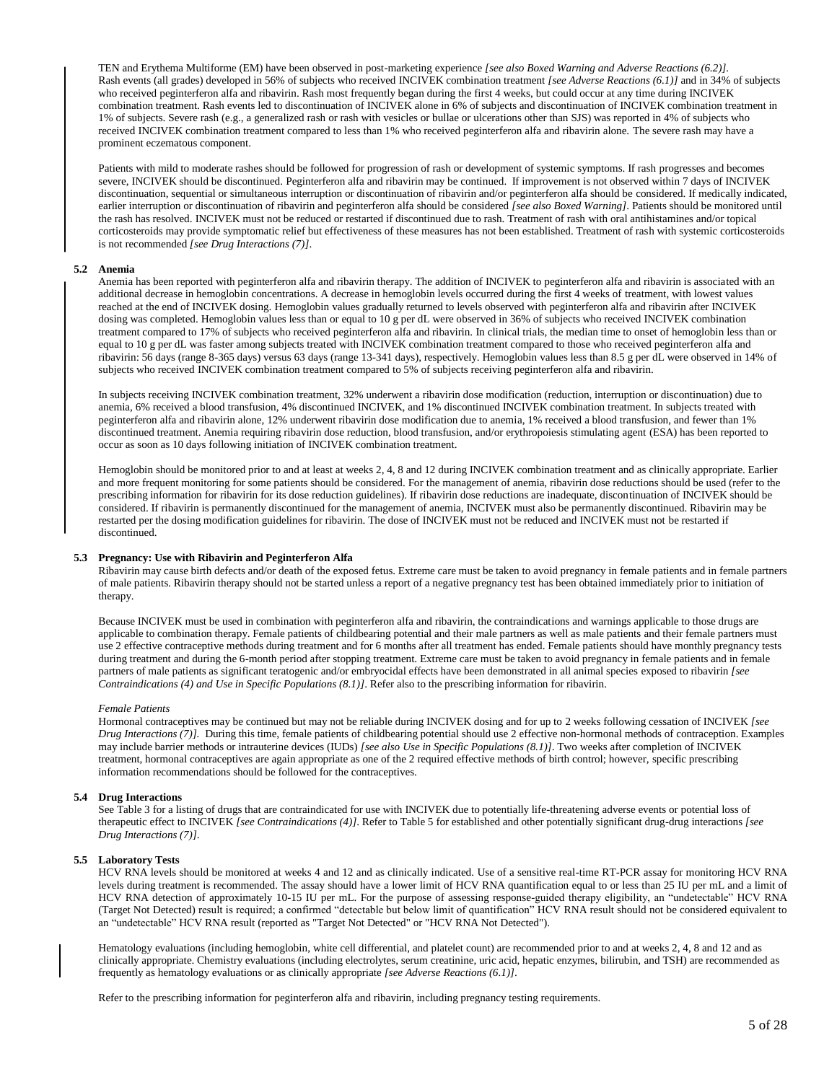TEN and Erythema Multiforme (EM) have been observed in post-marketing experience *[see also Boxed Warning and Adverse Reactions (6.2)].* Rash events (all grades) developed in 56% of subjects who received INCIVEK combination treatment *[see Adverse Reactions (6.1)]* and in 34% of subjects who received peginterferon alfa and ribavirin. Rash most frequently began during the first 4 weeks, but could occur at any time during INCIVEK combination treatment. Rash events led to discontinuation of INCIVEK alone in 6% of subjects and discontinuation of INCIVEK combination treatment in 1% of subjects. Severe rash (e.g., a generalized rash or rash with vesicles or bullae or ulcerations other than SJS) was reported in 4% of subjects who received INCIVEK combination treatment compared to less than 1% who received peginterferon alfa and ribavirin alone. The severe rash may have a prominent eczematous component.

Patients with mild to moderate rashes should be followed for progression of rash or development of systemic symptoms. If rash progresses and becomes severe, INCIVEK should be discontinued. Peginterferon alfa and ribavirin may be continued. If improvement is not observed within 7 days of INCIVEK discontinuation, sequential or simultaneous interruption or discontinuation of ribavirin and/or peginterferon alfa should be considered. If medically indicated, earlier interruption or discontinuation of ribavirin and peginterferon alfa should be considered *[see also Boxed Warning]*. Patients should be monitored until the rash has resolved. INCIVEK must not be reduced or restarted if discontinued due to rash. Treatment of rash with oral antihistamines and/or topical corticosteroids may provide symptomatic relief but effectiveness of these measures has not been established. Treatment of rash with systemic corticosteroids is not recommended *[see Drug Interactions (7)]*.

#### **5.2 Anemia**

Anemia has been reported with peginterferon alfa and ribavirin therapy. The addition of INCIVEK to peginterferon alfa and ribavirin is associated with an additional decrease in hemoglobin concentrations. A decrease in hemoglobin levels occurred during the first 4 weeks of treatment, with lowest values reached at the end of INCIVEK dosing. Hemoglobin values gradually returned to levels observed with peginterferon alfa and ribavirin after INCIVEK dosing was completed. Hemoglobin values less than or equal to 10 g per dL were observed in 36% of subjects who received INCIVEK combination treatment compared to 17% of subjects who received peginterferon alfa and ribavirin. In clinical trials, the median time to onset of hemoglobin less than or equal to 10 g per dL was faster among subjects treated with INCIVEK combination treatment compared to those who received peginterferon alfa and ribavirin: 56 days (range 8-365 days) versus 63 days (range 13-341 days), respectively. Hemoglobin values less than 8.5 g per dL were observed in 14% of subjects who received INCIVEK combination treatment compared to 5% of subjects receiving peginterferon alfa and ribavirin.

In subjects receiving INCIVEK combination treatment, 32% underwent a ribavirin dose modification (reduction, interruption or discontinuation) due to anemia, 6% received a blood transfusion, 4% discontinued INCIVEK, and 1% discontinued INCIVEK combination treatment. In subjects treated with peginterferon alfa and ribavirin alone, 12% underwent ribavirin dose modification due to anemia, 1% received a blood transfusion, and fewer than 1% discontinued treatment. Anemia requiring ribavirin dose reduction, blood transfusion, and/or erythropoiesis stimulating agent (ESA) has been reported to occur as soon as 10 days following initiation of INCIVEK combination treatment.

Hemoglobin should be monitored prior to and at least at weeks 2, 4, 8 and 12 during INCIVEK combination treatment and as clinically appropriate. Earlier and more frequent monitoring for some patients should be considered. For the management of anemia, ribavirin dose reductions should be used (refer to the prescribing information for ribavirin for its dose reduction guidelines). If ribavirin dose reductions are inadequate, discontinuation of INCIVEK should be considered. If ribavirin is permanently discontinued for the management of anemia, INCIVEK must also be permanently discontinued. Ribavirin may be restarted per the dosing modification guidelines for ribavirin. The dose of INCIVEK must not be reduced and INCIVEK must not be restarted if discontinued.

#### **5.3 Pregnancy: Use with Ribavirin and Peginterferon Alfa**

Ribavirin may cause birth defects and/or death of the exposed fetus. Extreme care must be taken to avoid pregnancy in female patients and in female partners of male patients. Ribavirin therapy should not be started unless a report of a negative pregnancy test has been obtained immediately prior to initiation of therapy.

Because INCIVEK must be used in combination with peginterferon alfa and ribavirin, the contraindications and warnings applicable to those drugs are applicable to combination therapy. Female patients of childbearing potential and their male partners as well as male patients and their female partners must use 2 effective contraceptive methods during treatment and for 6 months after all treatment has ended. Female patients should have monthly pregnancy tests during treatment and during the 6-month period after stopping treatment. Extreme care must be taken to avoid pregnancy in female patients and in female partners of male patients as significant teratogenic and/or embryocidal effects have been demonstrated in all animal species exposed to ribavirin *[see Contraindications (4) and Use in Specific Populations (8.1)]*. Refer also to the prescribing information for ribavirin.

#### *Female Patients*

Hormonal contraceptives may be continued but may not be reliable during INCIVEK dosing and for up to 2 weeks following cessation of INCIVEK *[see Drug Interactions (7)].* During this time, female patients of childbearing potential should use 2 effective non-hormonal methods of contraception. Examples may include barrier methods or intrauterine devices (IUDs) *[see also Use in Specific Populations (8.1)]*. Two weeks after completion of INCIVEK treatment, hormonal contraceptives are again appropriate as one of the 2 required effective methods of birth control; however, specific prescribing information recommendations should be followed for the contraceptives.

### **5.4 Drug Interactions**

See Table 3 for a listing of drugs that are contraindicated for use with INCIVEK due to potentially life-threatening adverse events or potential loss of therapeutic effect to INCIVEK *[see Contraindications (4)]*. Refer to Table 5 for established and other potentially significant drug-drug interactions *[see Drug Interactions (7)]*.

#### **5.5 Laboratory Tests**

HCV RNA levels should be monitored at weeks 4 and 12 and as clinically indicated. Use of a sensitive real-time RT-PCR assay for monitoring HCV RNA levels during treatment is recommended. The assay should have a lower limit of HCV RNA quantification equal to or less than 25 IU per mL and a limit of HCV RNA detection of approximately 10-15 IU per mL. For the purpose of assessing response-guided therapy eligibility, an "undetectable" HCV RNA (Target Not Detected) result is required; a confirmed "detectable but below limit of quantification" HCV RNA result should not be considered equivalent to an "undetectable" HCV RNA result (reported as "Target Not Detected" or "HCV RNA Not Detected").

Hematology evaluations (including hemoglobin, white cell differential, and platelet count) are recommended prior to and at weeks 2, 4, 8 and 12 and as clinically appropriate. Chemistry evaluations (including electrolytes, serum creatinine, uric acid, hepatic enzymes, bilirubin, and TSH) are recommended as frequently as hematology evaluations or as clinically appropriate *[see Adverse Reactions (6.1)]*.

Refer to the prescribing information for peginterferon alfa and ribavirin, including pregnancy testing requirements.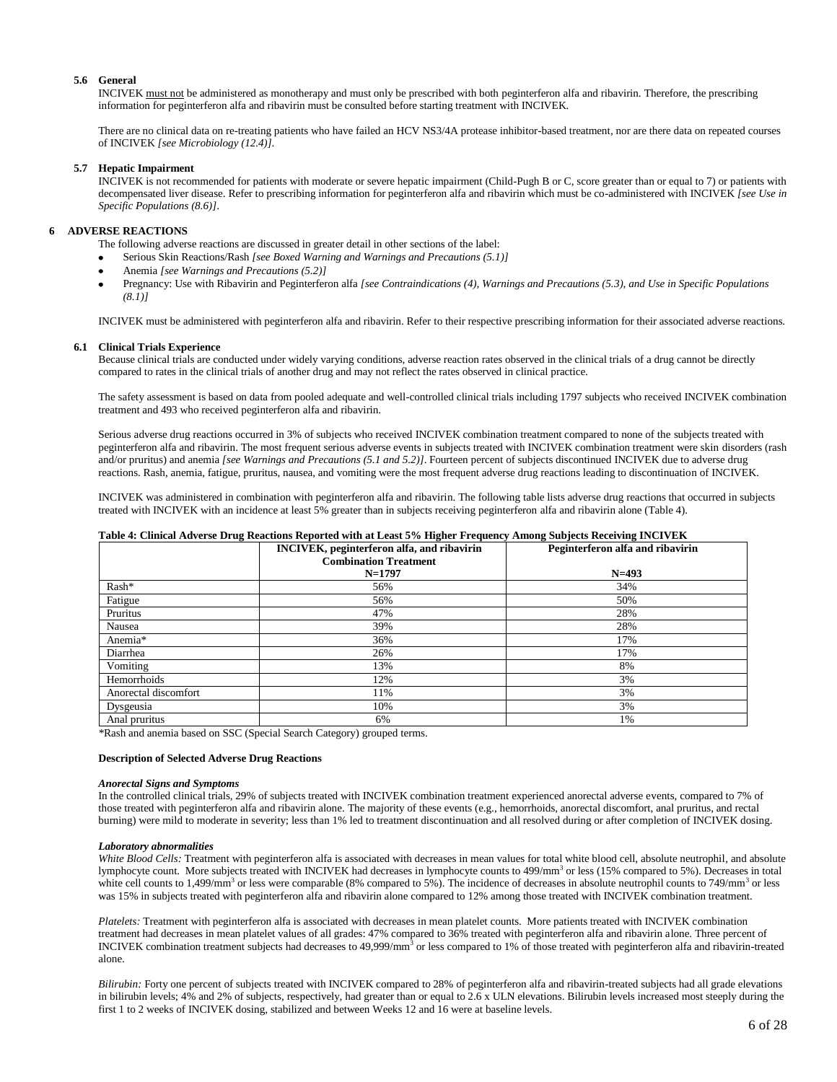## **5.6 General**

INCIVEK must not be administered as monotherapy and must only be prescribed with both peginterferon alfa and ribavirin. Therefore, the prescribing information for peginterferon alfa and ribavirin must be consulted before starting treatment with INCIVEK.

There are no clinical data on re-treating patients who have failed an HCV NS3/4A protease inhibitor-based treatment*,* nor are there data on repeated courses of INCIVEK *[see Microbiology (12.4)]*.

#### **5.7 Hepatic Impairment**

INCIVEK is not recommended for patients with moderate or severe hepatic impairment (Child-Pugh B or C, score greater than or equal to 7) or patients with decompensated liver disease. Refer to prescribing information for peginterferon alfa and ribavirin which must be co-administered with INCIVEK *[see Use in Specific Populations (8.6)]*.

## **6 ADVERSE REACTIONS**

- The following adverse reactions are discussed in greater detail in other sections of the label:
- Serious Skin Reactions/Rash *[see Boxed Warning and Warnings and Precautions (5.1)]*
- Anemia *[see Warnings and Precautions (5.2)]*
- Pregnancy: Use with Ribavirin and Peginterferon alfa *[see Contraindications (4), Warnings and Precautions (5.3), and Use in Specific Populations (8.1)]*

INCIVEK must be administered with peginterferon alfa and ribavirin. Refer to their respective prescribing information for their associated adverse reactions.

#### **6.1 Clinical Trials Experience**

Because clinical trials are conducted under widely varying conditions, adverse reaction rates observed in the clinical trials of a drug cannot be directly compared to rates in the clinical trials of another drug and may not reflect the rates observed in clinical practice.

The safety assessment is based on data from pooled adequate and well-controlled clinical trials including 1797 subjects who received INCIVEK combination treatment and 493 who received peginterferon alfa and ribavirin.

Serious adverse drug reactions occurred in 3% of subjects who received INCIVEK combination treatment compared to none of the subjects treated with peginterferon alfa and ribavirin. The most frequent serious adverse events in subjects treated with INCIVEK combination treatment were skin disorders (rash and/or pruritus) and anemia *[see Warnings and Precautions (5.1 and 5.2)]*. Fourteen percent of subjects discontinued INCIVEK due to adverse drug reactions. Rash, anemia, fatigue, pruritus, nausea, and vomiting were the most frequent adverse drug reactions leading to discontinuation of INCIVEK.

INCIVEK was administered in combination with peginterferon alfa and ribavirin. The following table lists adverse drug reactions that occurred in subjects treated with INCIVEK with an incidence at least 5% greater than in subjects receiving peginterferon alfa and ribavirin alone (Table 4).

#### **Table 4: Clinical Adverse Drug Reactions Reported with at Least 5% Higher Frequency Among Subjects Receiving INCIVEK**

|                      | $\ddot{\phantom{0}}$<br>$\circ$<br>. .             | $\sim$<br>$\cdot$                |
|----------------------|----------------------------------------------------|----------------------------------|
|                      | <b>INCIVEK</b> , peginterferon alfa, and ribavirin | Peginterferon alfa and ribavirin |
|                      | <b>Combination Treatment</b>                       |                                  |
|                      | $N=1797$                                           | $N=493$                          |
| Rash*                | 56%                                                | 34%                              |
| Fatigue              | 56%                                                | 50%                              |
| Pruritus             | 47%                                                | 28%                              |
| Nausea               | 39%                                                | 28%                              |
| Anemia*              | 36%                                                | 17%                              |
| Diarrhea             | 26%                                                | 17%                              |
| Vomiting             | 13%                                                | 8%                               |
| Hemorrhoids          | 12%                                                | 3%                               |
| Anorectal discomfort | 11%                                                | 3%                               |
| Dysgeusia            | 10%                                                | 3%                               |
| Anal pruritus        | 6%                                                 | 1%                               |

*\**Rash and anemia based on SSC (Special Search Category) grouped terms.

#### **Description of Selected Adverse Drug Reactions**

#### *Anorectal Signs and Symptoms*

In the controlled clinical trials, 29% of subjects treated with INCIVEK combination treatment experienced anorectal adverse events, compared to 7% of those treated with peginterferon alfa and ribavirin alone. The majority of these events (e.g., hemorrhoids, anorectal discomfort, anal pruritus, and rectal burning) were mild to moderate in severity; less than 1% led to treatment discontinuation and all resolved during or after completion of INCIVEK dosing.

#### *Laboratory abnormalities*

*White Blood Cells:* Treatment with peginterferon alfa is associated with decreases in mean values for total white blood cell, absolute neutrophil, and absolute lymphocyte count. More subjects treated with INCIVEK had decreases in lymphocyte counts to 499/mm<sup>3</sup> or less (15% compared to 5%). Decreases in total white cell counts to  $1,499/\text{mm}^3$  or less were comparable (8% compared to 5%). The incidence of decreases in absolute neutrophil counts to 749/mm<sup>3</sup> or less was 15% in subjects treated with peginterferon alfa and ribavirin alone compared to 12% among those treated with INCIVEK combination treatment.

*Platelets:* Treatment with peginterferon alfa is associated with decreases in mean platelet counts. More patients treated with INCIVEK combination treatment had decreases in mean platelet values of all grades: 47% compared to 36% treated with peginterferon alfa and ribavirin alone. Three percent of INCIVEK combination treatment subjects had decreases to 49,999/mm<sup>3</sup> or less compared to 1% of those treated with peginterferon alfa and ribavirin-treated alone.

*Bilirubin:* Forty one percent of subjects treated with INCIVEK compared to 28% of peginterferon alfa and ribavirin-treated subjects had all grade elevations in bilirubin levels; 4% and 2% of subjects, respectively, had greater than or equal to 2.6 x ULN elevations. Bilirubin levels increased most steeply during the first 1 to 2 weeks of INCIVEK dosing, stabilized and between Weeks 12 and 16 were at baseline levels.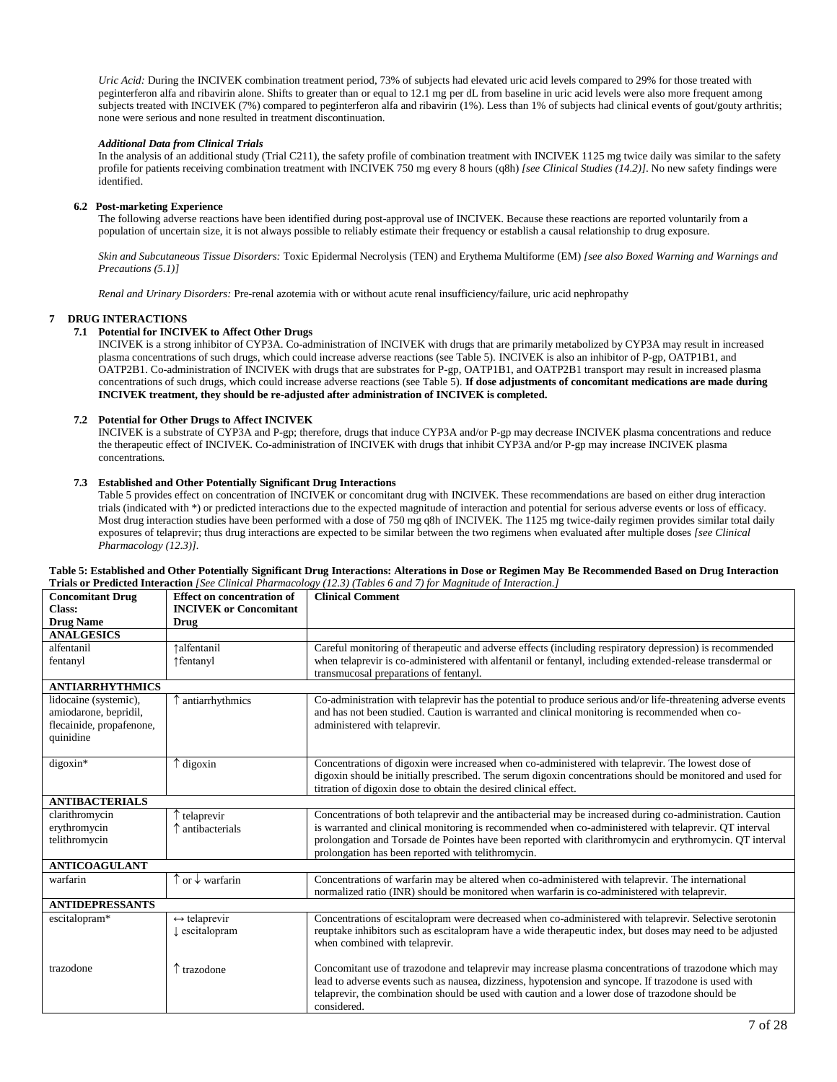*Uric Acid:* During the INCIVEK combination treatment period, 73% of subjects had elevated uric acid levels compared to 29% for those treated with peginterferon alfa and ribavirin alone. Shifts to greater than or equal to 12.1 mg per dL from baseline in uric acid levels were also more frequent among subjects treated with INCIVEK (7%) compared to peginterferon alfa and ribavirin (1%). Less than 1% of subjects had clinical events of gout/gouty arthritis; none were serious and none resulted in treatment discontinuation.

### *Additional Data from Clinical Trials*

In the analysis of an additional study (Trial C211), the safety profile of combination treatment with INCIVEK 1125 mg twice daily was similar to the safety profile for patients receiving combination treatment with INCIVEK 750 mg every 8 hours (q8h) *[see Clinical Studies (14.2)]*. No new safety findings were identified.

#### **6.2 Post-marketing Experience**

The following adverse reactions have been identified during post-approval use of INCIVEK. Because these reactions are reported voluntarily from a population of uncertain size, it is not always possible to reliably estimate their frequency or establish a causal relationship to drug exposure.

*Skin and Subcutaneous Tissue Disorders:* Toxic Epidermal Necrolysis (TEN) and Erythema Multiforme (EM) *[see also Boxed Warning and Warnings and Precautions (5.1)]*

*Renal and Urinary Disorders:* Pre-renal azotemia with or without acute renal insufficiency/failure, uric acid nephropathy

#### **7 DRUG INTERACTIONS**

## **7.1 Potential for INCIVEK to Affect Other Drugs**

INCIVEK is a strong inhibitor of CYP3A. Co-administration of INCIVEK with drugs that are primarily metabolized by CYP3A may result in increased plasma concentrations of such drugs, which could increase adverse reactions (see Table 5). INCIVEK is also an inhibitor of P-gp, OATP1B1, and OATP2B1. Co-administration of INCIVEK with drugs that are substrates for P-gp, OATP1B1, and OATP2B1 transport may result in increased plasma concentrations of such drugs, which could increase adverse reactions (see Table 5). **If dose adjustments of concomitant medications are made during INCIVEK treatment, they should be re-adjusted after administration of INCIVEK is completed.**

## **7.2 Potential for Other Drugs to Affect INCIVEK**

INCIVEK is a substrate of CYP3A and P-gp; therefore, drugs that induce CYP3A and/or P-gp may decrease INCIVEK plasma concentrations and reduce the therapeutic effect of INCIVEK. Co-administration of INCIVEK with drugs that inhibit CYP3A and/or P-gp may increase INCIVEK plasma concentrations.

#### **7.3 Established and Other Potentially Significant Drug Interactions**

Table 5 provides effect on concentration of INCIVEK or concomitant drug with INCIVEK. These recommendations are based on either drug interaction trials (indicated with \*) or predicted interactions due to the expected magnitude of interaction and potential for serious adverse events or loss of efficacy. Most drug interaction studies have been performed with a dose of 750 mg q8h of INCIVEK. The 1125 mg twice-daily regimen provides similar total daily exposures of telaprevir; thus drug interactions are expected to be similar between the two regimens when evaluated after multiple doses *[see Clinical Pharmacology (12.3)].*

| Table 5: Established and Other Potentially Significant Drug Interactions: Alterations in Dose or Regimen May Be Recommended Based on Drug Interaction |  |
|-------------------------------------------------------------------------------------------------------------------------------------------------------|--|
| <b>Trials or Predicted Interaction</b> [See Clinical Pharmacology (12.3) (Tables 6 and 7) for Magnitude of Interaction.]                              |  |

| <b>Concomitant Drug</b>                                                                 | <b>Effect on concentration of</b>                         | <b>Trials or Fredicted Interaction</b> [see Cunical Pharmacology (12.5) (Tables 6 and 7) for magnitude of interaction.]<br><b>Clinical Comment</b>                                                                                                                                                                              |
|-----------------------------------------------------------------------------------------|-----------------------------------------------------------|---------------------------------------------------------------------------------------------------------------------------------------------------------------------------------------------------------------------------------------------------------------------------------------------------------------------------------|
| Class:                                                                                  | <b>INCIVEK or Concomitant</b>                             |                                                                                                                                                                                                                                                                                                                                 |
| <b>Drug Name</b>                                                                        | Drug                                                      |                                                                                                                                                                                                                                                                                                                                 |
| <b>ANALGESICS</b>                                                                       |                                                           |                                                                                                                                                                                                                                                                                                                                 |
| alfentanil                                                                              | ↑alfentanil                                               | Careful monitoring of therapeutic and adverse effects (including respiratory depression) is recommended                                                                                                                                                                                                                         |
| fentanyl                                                                                | ↑fentanyl                                                 | when telaprevir is co-administered with alfentanil or fentanyl, including extended-release transdermal or<br>transmucosal preparations of fentanyl.                                                                                                                                                                             |
| <b>ANTIARRHYTHMICS</b>                                                                  |                                                           |                                                                                                                                                                                                                                                                                                                                 |
| lidocaine (systemic),<br>amiodarone, bepridil,<br>flecainide, propafenone,<br>quinidine | antiarrhythmics                                           | Co-administration with telaprevir has the potential to produce serious and/or life-threatening adverse events<br>and has not been studied. Caution is warranted and clinical monitoring is recommended when co-<br>administered with telaprevir.                                                                                |
| digoxin*                                                                                | $\uparrow$ digoxin                                        | Concentrations of digoxin were increased when co-administered with telaprevir. The lowest dose of<br>digoxin should be initially prescribed. The serum digoxin concentrations should be monitored and used for<br>titration of digoxin dose to obtain the desired clinical effect.                                              |
| <b>ANTIBACTERIALS</b>                                                                   |                                                           |                                                                                                                                                                                                                                                                                                                                 |
| clarithromycin                                                                          | telaprevir                                                | Concentrations of both telaprevir and the antibacterial may be increased during co-administration. Caution                                                                                                                                                                                                                      |
| erythromycin                                                                            | antibacterials                                            | is warranted and clinical monitoring is recommended when co-administered with telaprevir. QT interval                                                                                                                                                                                                                           |
| telithromycin                                                                           |                                                           | prolongation and Torsade de Pointes have been reported with clarithromycin and erythromycin. QT interval<br>prolongation has been reported with telithromycin.                                                                                                                                                                  |
| <b>ANTICOAGULANT</b>                                                                    |                                                           |                                                                                                                                                                                                                                                                                                                                 |
| warfarin                                                                                | $\uparrow$ or $\downarrow$ warfarin                       | Concentrations of warfarin may be altered when co-administered with telaprevir. The international<br>normalized ratio (INR) should be monitored when warfarin is co-administered with telaprevir.                                                                                                                               |
| <b>ANTIDEPRESSANTS</b>                                                                  |                                                           |                                                                                                                                                                                                                                                                                                                                 |
| escitalopram*                                                                           | $\leftrightarrow$ telaprevir<br>$\downarrow$ escitalopram | Concentrations of escitalopram were decreased when co-administered with telaprevir. Selective serotonin<br>reuptake inhibitors such as escital opram have a wide therapeutic index, but doses may need to be adjusted<br>when combined with telaprevir.                                                                         |
| trazodone                                                                               | ↑ trazodone                                               | Concomitant use of trazodone and telaprevir may increase plasma concentrations of trazodone which may<br>lead to adverse events such as nausea, dizziness, hypotension and syncope. If trazodone is used with<br>telaprevir, the combination should be used with caution and a lower dose of trazodone should be<br>considered. |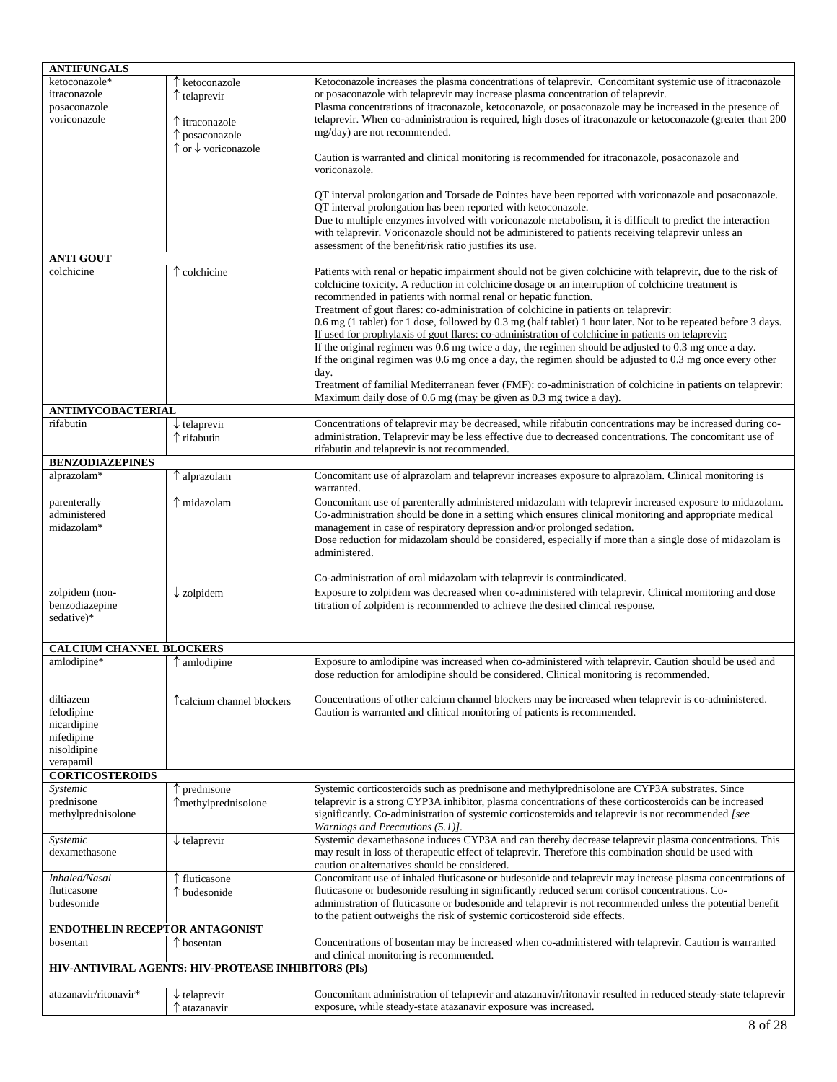| <b>ANTIFUNGALS</b>              |                                                     |                                                                                                                                                                                                                                                                                                                              |
|---------------------------------|-----------------------------------------------------|------------------------------------------------------------------------------------------------------------------------------------------------------------------------------------------------------------------------------------------------------------------------------------------------------------------------------|
| ketoconazole*<br>itraconazole   | ketoconazole                                        | Ketoconazole increases the plasma concentrations of telaprevir. Concomitant systemic use of itraconazole<br>or posaconazole with telaprevir may increase plasma concentration of telaprevir.                                                                                                                                 |
| posaconazole                    | ↑ telaprevir                                        | Plasma concentrations of itraconazole, ketoconazole, or posaconazole may be increased in the presence of                                                                                                                                                                                                                     |
| voriconazole                    |                                                     | telaprevir. When co-administration is required, high doses of itraconazole or ketoconazole (greater than 200)                                                                                                                                                                                                                |
|                                 | T itraconazole                                      | mg/day) are not recommended.                                                                                                                                                                                                                                                                                                 |
|                                 | $\uparrow$ posaconazole                             |                                                                                                                                                                                                                                                                                                                              |
|                                 | $\uparrow$ or $\downarrow$ voriconazole             | Caution is warranted and clinical monitoring is recommended for itraconazole, posaconazole and<br>voriconazole.                                                                                                                                                                                                              |
|                                 |                                                     |                                                                                                                                                                                                                                                                                                                              |
|                                 |                                                     | QT interval prolongation and Torsade de Pointes have been reported with voriconazole and posaconazole.<br>QT interval prolongation has been reported with ketoconazole.<br>Due to multiple enzymes involved with voriconazole metabolism, it is difficult to predict the interaction                                         |
|                                 |                                                     | with telaprevir. Voriconazole should not be administered to patients receiving telaprevir unless an                                                                                                                                                                                                                          |
| <b>ANTI GOUT</b>                |                                                     | assessment of the benefit/risk ratio justifies its use.                                                                                                                                                                                                                                                                      |
| colchicine                      | colchicine                                          | Patients with renal or hepatic impairment should not be given colchicine with telaprevir, due to the risk of                                                                                                                                                                                                                 |
|                                 |                                                     | colchicine toxicity. A reduction in colchicine dosage or an interruption of colchicine treatment is<br>recommended in patients with normal renal or hepatic function.<br>Treatment of gout flares: co-administration of colchicine in patients on telaprevir:                                                                |
|                                 |                                                     | 0.6 mg (1 tablet) for 1 dose, followed by 0.3 mg (half tablet) 1 hour later. Not to be repeated before 3 days.<br>If used for prophylaxis of gout flares: co-administration of colchicine in patients on telaprevir:<br>If the original regimen was 0.6 mg twice a day, the regimen should be adjusted to 0.3 mg once a day. |
|                                 |                                                     | If the original regimen was $0.6$ mg once a day, the regimen should be adjusted to $0.3$ mg once every other<br>day.                                                                                                                                                                                                         |
|                                 |                                                     | Treatment of familial Mediterranean fever (FMF): co-administration of colchicine in patients on telaprevir:<br>Maximum daily dose of 0.6 mg (may be given as 0.3 mg twice a day).                                                                                                                                            |
| <b>ANTIMYCOBACTERIAL</b>        |                                                     |                                                                                                                                                                                                                                                                                                                              |
| rifabutin                       | $\downarrow$ telaprevir                             | Concentrations of telaprevir may be decreased, while rifabutin concentrations may be increased during co-                                                                                                                                                                                                                    |
|                                 | ↑ rifabutin                                         | administration. Telaprevir may be less effective due to decreased concentrations. The concomitant use of<br>rifabutin and telaprevir is not recommended.                                                                                                                                                                     |
| <b>BENZODIAZEPINES</b>          |                                                     |                                                                                                                                                                                                                                                                                                                              |
| alprazolam*                     | alprazolam                                          | Concomitant use of alprazolam and telaprevir increases exposure to alprazolam. Clinical monitoring is                                                                                                                                                                                                                        |
|                                 |                                                     | warranted.                                                                                                                                                                                                                                                                                                                   |
| parenterally                    | ↑ midazolam                                         | Concomitant use of parenterally administered midazolam with telaprevir increased exposure to midazolam.                                                                                                                                                                                                                      |
| administered<br>midazolam*      |                                                     | Co-administration should be done in a setting which ensures clinical monitoring and appropriate medical<br>management in case of respiratory depression and/or prolonged sedation.                                                                                                                                           |
|                                 |                                                     | Dose reduction for midazolam should be considered, especially if more than a single dose of midazolam is                                                                                                                                                                                                                     |
|                                 |                                                     | administered.                                                                                                                                                                                                                                                                                                                |
|                                 |                                                     | Co-administration of oral midazolam with telaprevir is contraindicated.                                                                                                                                                                                                                                                      |
| zolpidem (non-                  | $\downarrow$ zolpidem                               | Exposure to zolpidem was decreased when co-administered with telaprevir. Clinical monitoring and dose                                                                                                                                                                                                                        |
| benzodiazepine<br>sedative)*    |                                                     | titration of zolpidem is recommended to achieve the desired clinical response.                                                                                                                                                                                                                                               |
|                                 |                                                     |                                                                                                                                                                                                                                                                                                                              |
| <b>CALCIUM CHANNEL BLOCKERS</b> |                                                     |                                                                                                                                                                                                                                                                                                                              |
| amlodipine*                     | amlodipine                                          | Exposure to amlodipine was increased when co-administered with telaprevir. Caution should be used and                                                                                                                                                                                                                        |
|                                 |                                                     | dose reduction for amlodipine should be considered. Clinical monitoring is recommended.                                                                                                                                                                                                                                      |
| diltiazem                       | Tealcium channel blockers                           | Concentrations of other calcium channel blockers may be increased when telaprevir is co-administered.                                                                                                                                                                                                                        |
| felodipine                      |                                                     | Caution is warranted and clinical monitoring of patients is recommended.                                                                                                                                                                                                                                                     |
| nicardipine<br>nifedipine       |                                                     |                                                                                                                                                                                                                                                                                                                              |
| nisoldipine                     |                                                     |                                                                                                                                                                                                                                                                                                                              |
| verapamil                       |                                                     |                                                                                                                                                                                                                                                                                                                              |
| <b>CORTICOSTEROIDS</b>          |                                                     |                                                                                                                                                                                                                                                                                                                              |
| Systemic                        | prednisone                                          | Systemic corticosteroids such as prednisone and methylprednisolone are CYP3A substrates. Since                                                                                                                                                                                                                               |
| prednisone                      | Tmethylprednisolone                                 | telaprevir is a strong CYP3A inhibitor, plasma concentrations of these corticosteroids can be increased                                                                                                                                                                                                                      |
| methylprednisolone              |                                                     | significantly. Co-administration of systemic corticosteroids and telaprevir is not recommended [see                                                                                                                                                                                                                          |
|                                 |                                                     | Warnings and Precautions (5.1)].<br>Systemic dexamethasone induces CYP3A and can thereby decrease telaprevir plasma concentrations. This                                                                                                                                                                                     |
| Systemic<br>dexamethasone       | $\downarrow$ telaprevir                             | may result in loss of therapeutic effect of telaprevir. Therefore this combination should be used with                                                                                                                                                                                                                       |
|                                 |                                                     | caution or alternatives should be considered.                                                                                                                                                                                                                                                                                |
| Inhaled/Nasal                   | fluticasone                                         | Concomitant use of inhaled fluticasone or budesonide and telaprevir may increase plasma concentrations of                                                                                                                                                                                                                    |
| fluticasone                     | ↑ budesonide                                        | fluticasone or budesonide resulting in significantly reduced serum cortisol concentrations. Co-                                                                                                                                                                                                                              |
| budesonide                      |                                                     | administration of fluticasone or budesonide and telaprevir is not recommended unless the potential benefit                                                                                                                                                                                                                   |
| ENDOTHELIN RECEPTOR ANTAGONIST  |                                                     | to the patient outweighs the risk of systemic corticosteroid side effects.                                                                                                                                                                                                                                                   |
| bosentan                        | bosentan                                            | Concentrations of bosentan may be increased when co-administered with telaprevir. Caution is warranted                                                                                                                                                                                                                       |
|                                 | HIV-ANTIVIRAL AGENTS: HIV-PROTEASE INHIBITORS (PIs) | and clinical monitoring is recommended.                                                                                                                                                                                                                                                                                      |
|                                 |                                                     |                                                                                                                                                                                                                                                                                                                              |
| atazanavir/ritonavir*           | $\downarrow$ telaprevir                             | Concomitant administration of telaprevir and atazanavir/ritonavir resulted in reduced steady-state telaprevir                                                                                                                                                                                                                |
|                                 | atazanavir                                          | exposure, while steady-state atazanavir exposure was increased.                                                                                                                                                                                                                                                              |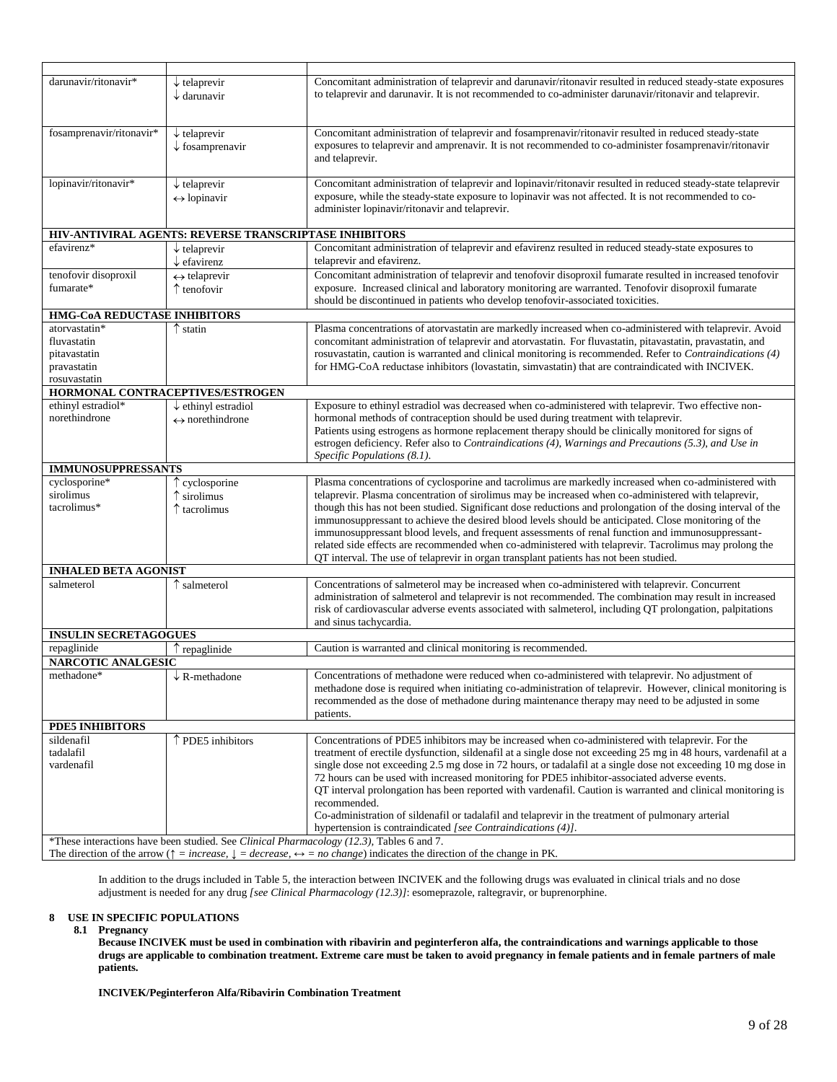| darunavir/ritonavir*         | $\downarrow$ telaprevir<br>$\downarrow$ darunavir                                        | Concomitant administration of telaprevir and darunavir/ritonavir resulted in reduced steady-state exposures<br>to telaprevir and darunavir. It is not recommended to co-administer darunavir/ritonavir and telaprevir.                                                                                                                                                                                                                                                                                                                                                                                                              |
|------------------------------|------------------------------------------------------------------------------------------|-------------------------------------------------------------------------------------------------------------------------------------------------------------------------------------------------------------------------------------------------------------------------------------------------------------------------------------------------------------------------------------------------------------------------------------------------------------------------------------------------------------------------------------------------------------------------------------------------------------------------------------|
| fosamprenavir/ritonavir*     | $\downarrow$ telaprevir<br>$\downarrow$ fosamprenavir                                    | Concomitant administration of telaprevir and fosamprenavir/ritonavir resulted in reduced steady-state<br>exposures to telaprevir and amprenavir. It is not recommended to co-administer fosamprenavir/ritonavir<br>and telaprevir.                                                                                                                                                                                                                                                                                                                                                                                                  |
| lopinavir/ritonavir*         | $\downarrow$ telaprevir<br>$\leftrightarrow$ lopinavir                                   | Concomitant administration of telaprevir and lopinavir/ritonavir resulted in reduced steady-state telaprevir<br>exposure, while the steady-state exposure to lopinavir was not affected. It is not recommended to co-<br>administer lopinavir/ritonavir and telaprevir.                                                                                                                                                                                                                                                                                                                                                             |
|                              | HIV-ANTIVIRAL AGENTS: REVERSE TRANSCRIPTASE INHIBITORS                                   |                                                                                                                                                                                                                                                                                                                                                                                                                                                                                                                                                                                                                                     |
| efavirenz*                   | $\downarrow$ telaprevir                                                                  | Concomitant administration of telaprevir and efavirenz resulted in reduced steady-state exposures to                                                                                                                                                                                                                                                                                                                                                                                                                                                                                                                                |
|                              | $\downarrow$ efavirenz                                                                   | telaprevir and efavirenz.                                                                                                                                                                                                                                                                                                                                                                                                                                                                                                                                                                                                           |
| tenofovir disoproxil         | $\leftrightarrow$ telaprevir                                                             | Concomitant administration of telaprevir and tenofovir disoproxil fumarate resulted in increased tenofovir                                                                                                                                                                                                                                                                                                                                                                                                                                                                                                                          |
| fumarate*                    | $\uparrow$ tenofovir                                                                     | exposure. Increased clinical and laboratory monitoring are warranted. Tenofovir disoproxil fumarate                                                                                                                                                                                                                                                                                                                                                                                                                                                                                                                                 |
|                              |                                                                                          | should be discontinued in patients who develop tenofovir-associated toxicities.                                                                                                                                                                                                                                                                                                                                                                                                                                                                                                                                                     |
| HMG-CoA REDUCTASE INHIBITORS |                                                                                          |                                                                                                                                                                                                                                                                                                                                                                                                                                                                                                                                                                                                                                     |
| atorvastatin*<br>fluvastatin | statin                                                                                   | Plasma concentrations of atorvastatin are markedly increased when co-administered with telaprevir. Avoid<br>concomitant administration of telaprevir and atorvastatin. For fluvastatin, pitavastatin, pravastatin, and                                                                                                                                                                                                                                                                                                                                                                                                              |
| pitavastatin                 |                                                                                          | rosuvastatin, caution is warranted and clinical monitoring is recommended. Refer to Contraindications (4)                                                                                                                                                                                                                                                                                                                                                                                                                                                                                                                           |
| pravastatin                  |                                                                                          | for HMG-CoA reductase inhibitors (lovastatin, simvastatin) that are contraindicated with INCIVEK.                                                                                                                                                                                                                                                                                                                                                                                                                                                                                                                                   |
| rosuvastatin                 |                                                                                          |                                                                                                                                                                                                                                                                                                                                                                                                                                                                                                                                                                                                                                     |
|                              | <b>HORMONAL CONTRACEPTIVES/ESTROGEN</b>                                                  |                                                                                                                                                                                                                                                                                                                                                                                                                                                                                                                                                                                                                                     |
| ethinyl estradiol*           | $\downarrow$ ethinyl estradiol                                                           | Exposure to ethinyl estradiol was decreased when co-administered with telaprevir. Two effective non-                                                                                                                                                                                                                                                                                                                                                                                                                                                                                                                                |
| norethindrone                | $\leftrightarrow$ norethindrone                                                          | hormonal methods of contraception should be used during treatment with telaprevir.                                                                                                                                                                                                                                                                                                                                                                                                                                                                                                                                                  |
|                              |                                                                                          | Patients using estrogens as hormone replacement therapy should be clinically monitored for signs of<br>estrogen deficiency. Refer also to Contraindications (4), Warnings and Precautions (5.3), and Use in<br>Specific Populations (8.1).                                                                                                                                                                                                                                                                                                                                                                                          |
| <b>IMMUNOSUPPRESSANTS</b>    |                                                                                          |                                                                                                                                                                                                                                                                                                                                                                                                                                                                                                                                                                                                                                     |
| cyclosporine*                | cyclosporine                                                                             | Plasma concentrations of cyclosporine and tacrolimus are markedly increased when co-administered with                                                                                                                                                                                                                                                                                                                                                                                                                                                                                                                               |
| sirolimus<br>tacrolimus*     | $\uparrow$ sirolimus<br>tacrolimus                                                       | telaprevir. Plasma concentration of sirolimus may be increased when co-administered with telaprevir,<br>though this has not been studied. Significant dose reductions and prolongation of the dosing interval of the<br>immunosuppressant to achieve the desired blood levels should be anticipated. Close monitoring of the<br>immunosuppressant blood levels, and frequent assessments of renal function and immunosuppressant-<br>related side effects are recommended when co-administered with telaprevir. Tacrolimus may prolong the<br>QT interval. The use of telaprevir in organ transplant patients has not been studied. |
| <b>INHALED BETA AGONIST</b>  |                                                                                          |                                                                                                                                                                                                                                                                                                                                                                                                                                                                                                                                                                                                                                     |
| salmeterol                   | salmeterol                                                                               | Concentrations of salmeterol may be increased when co-administered with telaprevir. Concurrent<br>administration of salmeterol and telaprevir is not recommended. The combination may result in increased<br>risk of cardiovascular adverse events associated with salmeterol, including QT prolongation, palpitations<br>and sinus tachycardia.                                                                                                                                                                                                                                                                                    |
| <b>INSULIN SECRETAGOGUES</b> |                                                                                          |                                                                                                                                                                                                                                                                                                                                                                                                                                                                                                                                                                                                                                     |
| repaglinide                  | repaglinide                                                                              | Caution is warranted and clinical monitoring is recommended.                                                                                                                                                                                                                                                                                                                                                                                                                                                                                                                                                                        |
| <b>NARCOTIC ANALGESIC</b>    |                                                                                          |                                                                                                                                                                                                                                                                                                                                                                                                                                                                                                                                                                                                                                     |
| methadone*                   | $\sqrt{k}$ -methadone                                                                    | Concentrations of methadone were reduced when co-administered with telaprevir. No adjustment of<br>methadone dose is required when initiating co-administration of telaprevir. However, clinical monitoring is<br>recommended as the dose of methodone during maintenance therapy may need to be adjusted in some<br>patients.                                                                                                                                                                                                                                                                                                      |
| <b>PDE5 INHIBITORS</b>       |                                                                                          |                                                                                                                                                                                                                                                                                                                                                                                                                                                                                                                                                                                                                                     |
| sildenafil                   | PDE5 inhibitors                                                                          | Concentrations of PDE5 inhibitors may be increased when co-administered with telaprevir. For the                                                                                                                                                                                                                                                                                                                                                                                                                                                                                                                                    |
| tadalafil                    |                                                                                          | treatment of erectile dysfunction, sildenafil at a single dose not exceeding 25 mg in 48 hours, vardenafil at a<br>single dose not exceeding 2.5 mg dose in 72 hours, or tadalafil at a single dose not exceeding 10 mg dose in                                                                                                                                                                                                                                                                                                                                                                                                     |
| vardenafil                   |                                                                                          | 72 hours can be used with increased monitoring for PDE5 inhibitor-associated adverse events.                                                                                                                                                                                                                                                                                                                                                                                                                                                                                                                                        |
|                              |                                                                                          | QT interval prolongation has been reported with vardenafil. Caution is warranted and clinical monitoring is                                                                                                                                                                                                                                                                                                                                                                                                                                                                                                                         |
|                              |                                                                                          | recommended.                                                                                                                                                                                                                                                                                                                                                                                                                                                                                                                                                                                                                        |
|                              |                                                                                          | Co-administration of sildenafil or tadalafil and telaprevir in the treatment of pulmonary arterial                                                                                                                                                                                                                                                                                                                                                                                                                                                                                                                                  |
|                              |                                                                                          | hypertension is contraindicated [see Contraindications (4)].                                                                                                                                                                                                                                                                                                                                                                                                                                                                                                                                                                        |
|                              | *These interactions have been studied. See Clinical Pharmacology (12.3), Tables 6 and 7. |                                                                                                                                                                                                                                                                                                                                                                                                                                                                                                                                                                                                                                     |

The direction of the arrow ( $\uparrow$  *= increase,*  $\downarrow$  *= decrease,*  $\leftrightarrow$  *= no change*) indicates the direction of the change in PK.

In addition to the drugs included in Table 5, the interaction between INCIVEK and the following drugs was evaluated in clinical trials and no dose adjustment is needed for any drug *[see Clinical Pharmacology (12.3)]*: esomeprazole, raltegravir, or buprenorphine.

## **8 USE IN SPECIFIC POPULATIONS**

#### **8.1 Pregnancy**

**Because INCIVEK must be used in combination with ribavirin and peginterferon alfa, the contraindications and warnings applicable to those drugs are applicable to combination treatment. Extreme care must be taken to avoid pregnancy in female patients and in female partners of male patients.**

**INCIVEK/Peginterferon Alfa/Ribavirin Combination Treatment**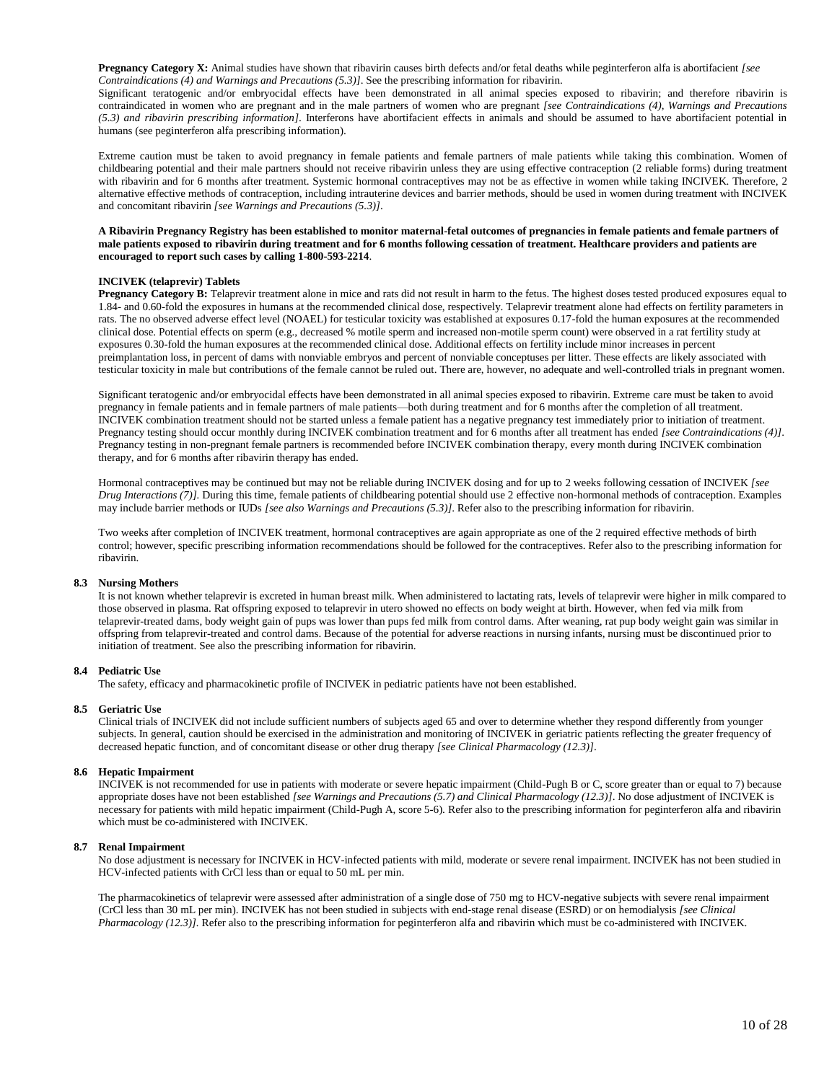**Pregnancy Category X:** Animal studies have shown that ribavirin causes birth defects and/or fetal deaths while peginterferon alfa is abortifacient *[see Contraindications (4) and Warnings and Precautions (5.3)]*. See the prescribing information for ribavirin.

Significant teratogenic and/or embryocidal effects have been demonstrated in all animal species exposed to ribavirin; and therefore ribavirin is contraindicated in women who are pregnant and in the male partners of women who are pregnant *[see Contraindications (4), Warnings and Precautions (5.3) and ribavirin prescribing information]*. Interferons have abortifacient effects in animals and should be assumed to have abortifacient potential in humans (see peginterferon alfa prescribing information).

Extreme caution must be taken to avoid pregnancy in female patients and female partners of male patients while taking this combination. Women of childbearing potential and their male partners should not receive ribavirin unless they are using effective contraception (2 reliable forms) during treatment with ribavirin and for 6 months after treatment. Systemic hormonal contraceptives may not be as effective in women while taking INCIVEK. Therefore, 2 alternative effective methods of contraception, including intrauterine devices and barrier methods, should be used in women during treatment with INCIVEK and concomitant ribavirin *[see Warnings and Precautions (5.3)]*.

#### **A Ribavirin Pregnancy Registry has been established to monitor maternal-fetal outcomes of pregnancies in female patients and female partners of male patients exposed to ribavirin during treatment and for 6 months following cessation of treatment. Healthcare providers and patients are encouraged to report such cases by calling 1-800-593-2214**.

### **INCIVEK (telaprevir) Tablets**

**Pregnancy Category B:** Telaprevir treatment alone in mice and rats did not result in harm to the fetus. The highest doses tested produced exposures equal to 1.84- and 0.60-fold the exposures in humans at the recommended clinical dose, respectively. Telaprevir treatment alone had effects on fertility parameters in rats. The no observed adverse effect level (NOAEL) for testicular toxicity was established at exposures 0.17-fold the human exposures at the recommended clinical dose. Potential effects on sperm (e.g., decreased % motile sperm and increased non-motile sperm count) were observed in a rat fertility study at exposures 0.30-fold the human exposures at the recommended clinical dose. Additional effects on fertility include minor increases in percent preimplantation loss, in percent of dams with nonviable embryos and percent of nonviable conceptuses per litter. These effects are likely associated with testicular toxicity in male but contributions of the female cannot be ruled out. There are, however, no adequate and well-controlled trials in pregnant women.

Significant teratogenic and/or embryocidal effects have been demonstrated in all animal species exposed to ribavirin. Extreme care must be taken to avoid pregnancy in female patients and in female partners of male patients—both during treatment and for 6 months after the completion of all treatment. INCIVEK combination treatment should not be started unless a female patient has a negative pregnancy test immediately prior to initiation of treatment. Pregnancy testing should occur monthly during INCIVEK combination treatment and for 6 months after all treatment has ended *[see Contraindications (4)]*. Pregnancy testing in non-pregnant female partners is recommended before INCIVEK combination therapy, every month during INCIVEK combination therapy, and for 6 months after ribavirin therapy has ended.

Hormonal contraceptives may be continued but may not be reliable during INCIVEK dosing and for up to 2 weeks following cessation of INCIVEK *[see Drug Interactions (7)].* During this time, female patients of childbearing potential should use 2 effective non-hormonal methods of contraception. Examples may include barrier methods or IUDs *[see also Warnings and Precautions (5.3)]*. Refer also to the prescribing information for ribavirin.

Two weeks after completion of INCIVEK treatment, hormonal contraceptives are again appropriate as one of the 2 required effective methods of birth control; however, specific prescribing information recommendations should be followed for the contraceptives. Refer also to the prescribing information for ribavirin.

#### **8.3 Nursing Mothers**

It is not known whether telaprevir is excreted in human breast milk. When administered to lactating rats, levels of telaprevir were higher in milk compared to those observed in plasma. Rat offspring exposed to telaprevir in utero showed no effects on body weight at birth. However, when fed via milk from telaprevir-treated dams, body weight gain of pups was lower than pups fed milk from control dams. After weaning, rat pup body weight gain was similar in offspring from telaprevir-treated and control dams. Because of the potential for adverse reactions in nursing infants, nursing must be discontinued prior to initiation of treatment. See also the prescribing information for ribavirin.

#### **8.4 Pediatric Use**

The safety, efficacy and pharmacokinetic profile of INCIVEK in pediatric patients have not been established.

#### **8.5 Geriatric Use**

Clinical trials of INCIVEK did not include sufficient numbers of subjects aged 65 and over to determine whether they respond differently from younger subjects. In general, caution should be exercised in the administration and monitoring of INCIVEK in geriatric patients reflecting the greater frequency of decreased hepatic function, and of concomitant disease or other drug therapy *[see Clinical Pharmacology (12.3)]*.

#### **8.6 Hepatic Impairment**

INCIVEK is not recommended for use in patients with moderate or severe hepatic impairment (Child-Pugh B or C, score greater than or equal to 7) because appropriate doses have not been established *[see Warnings and Precautions (5.7) and Clinical Pharmacology (12.3)]*. No dose adjustment of INCIVEK is necessary for patients with mild hepatic impairment (Child-Pugh A, score 5-6). Refer also to the prescribing information for peginterferon alfa and ribavirin which must be co-administered with INCIVEK.

#### **8.7 Renal Impairment**

No dose adjustment is necessary for INCIVEK in HCV-infected patients with mild, moderate or severe renal impairment. INCIVEK has not been studied in HCV-infected patients with CrCl less than or equal to 50 mL per min.

The pharmacokinetics of telaprevir were assessed after administration of a single dose of 750 mg to HCV-negative subjects with severe renal impairment (CrCl less than 30 mL per min). INCIVEK has not been studied in subjects with end-stage renal disease (ESRD) or on hemodialysis *[see Clinical Pharmacology (12.3)].* Refer also to the prescribing information for peginterferon alfa and ribavirin which must be co-administered with INCIVEK.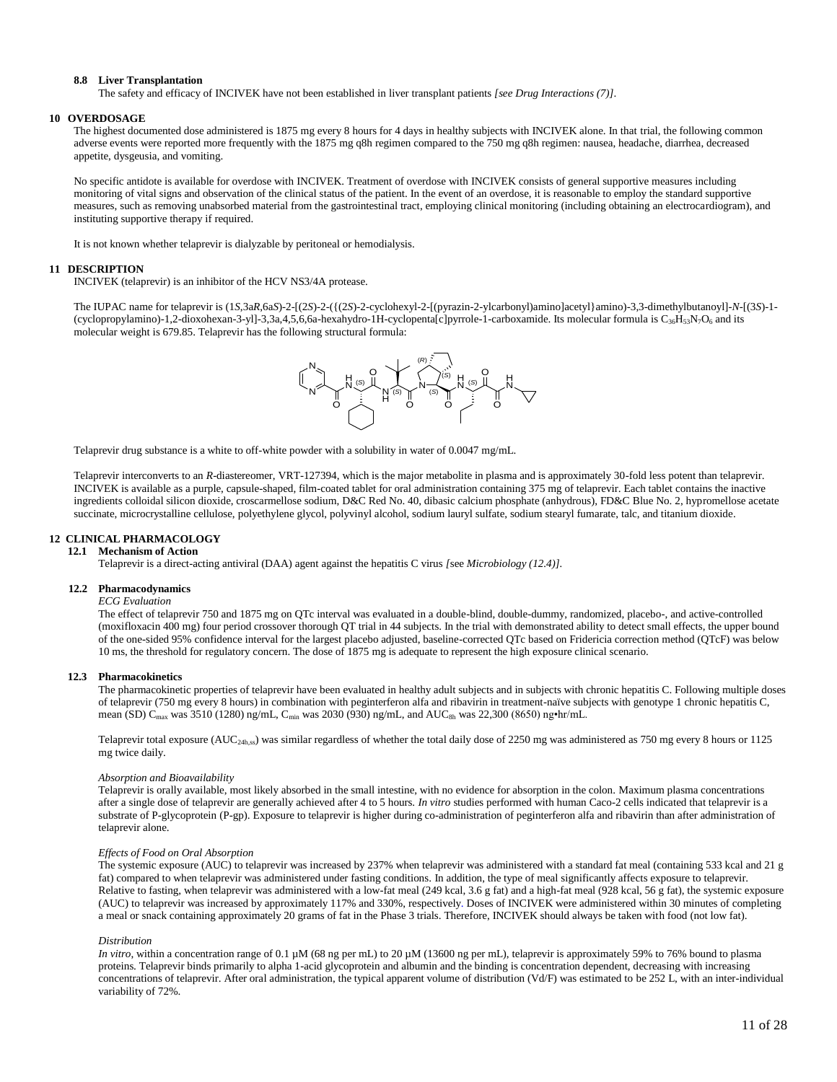## **8.8 Liver Transplantation**

The safety and efficacy of INCIVEK have not been established in liver transplant patients *[see Drug Interactions (7)]*.

#### **10 OVERDOSAGE**

The highest documented dose administered is 1875 mg every 8 hours for 4 days in healthy subjects with INCIVEK alone. In that trial, the following common adverse events were reported more frequently with the 1875 mg q8h regimen compared to the 750 mg q8h regimen: nausea, headache, diarrhea, decreased appetite, dysgeusia, and vomiting.

No specific antidote is available for overdose with INCIVEK. Treatment of overdose with INCIVEK consists of general supportive measures including monitoring of vital signs and observation of the clinical status of the patient. In the event of an overdose, it is reasonable to employ the standard supportive measures, such as removing unabsorbed material from the gastrointestinal tract, employing clinical monitoring (including obtaining an electrocardiogram), and instituting supportive therapy if required.

It is not known whether telaprevir is dialyzable by peritoneal or hemodialysis.

#### **11 DESCRIPTION**

INCIVEK (telaprevir) is an inhibitor of the HCV NS3/4A protease.

The IUPAC name for telaprevir is (1*S*,3a*R*,6a*S*)-2-[(2*S*)-2-({(2*S*)-2-cyclohexyl-2-[(pyrazin-2-ylcarbonyl)amino]acetyl}amino)-3,3-dimethylbutanoyl]-*N*-[(3*S*)-1- (cyclopropylamino)-1,2-dioxohexan-3-yl]-3,3a,4,5,6,6a-hexahydro-1H-cyclopenta[c]pyrrole-1-carboxamide. Its molecular formula is  $C_{36}H_{53}N_7O_6$  and its molecular weight is 679.85. Telaprevir has the following structural formula:



Telaprevir drug substance is a white to off-white powder with a solubility in water of 0.0047 mg/mL.

Telaprevir interconverts to an *R*-diastereomer, VRT-127394, which is the major metabolite in plasma and is approximately 30-fold less potent than telaprevir. INCIVEK is available as a purple, capsule-shaped, film-coated tablet for oral administration containing 375 mg of telaprevir. Each tablet contains the inactive ingredients colloidal silicon dioxide, croscarmellose sodium, D&C Red No. 40, dibasic calcium phosphate (anhydrous), FD&C Blue No. 2, hypromellose acetate succinate, microcrystalline cellulose, polyethylene glycol, polyvinyl alcohol, sodium lauryl sulfate, sodium stearyl fumarate, talc, and titanium dioxide.

#### **12 CLINICAL PHARMACOLOGY**

#### **12.1 Mechanism of Action**

Telaprevir is a direct-acting antiviral (DAA) agent against the hepatitis C virus *[*see *Microbiology (12.4)].*

#### **12.2 Pharmacodynamics**

*ECG Evaluation*

The effect of telaprevir 750 and 1875 mg on QTc interval was evaluated in a double-blind, double-dummy, randomized, placebo-, and active-controlled (moxifloxacin 400 mg) four period crossover thorough QT trial in 44 subjects. In the trial with demonstrated ability to detect small effects, the upper bound of the one-sided 95% confidence interval for the largest placebo adjusted, baseline-corrected QTc based on Fridericia correction method (QTcF) was below 10 ms, the threshold for regulatory concern. The dose of 1875 mg is adequate to represent the high exposure clinical scenario.

#### **12.3 Pharmacokinetics**

The pharmacokinetic properties of telaprevir have been evaluated in healthy adult subjects and in subjects with chronic hepatitis C. Following multiple doses of telaprevir (750 mg every 8 hours) in combination with peginterferon alfa and ribavirin in treatment-naïve subjects with genotype 1 chronic hepatitis C, mean (SD) C<sub>max</sub> was 3510 (1280) ng/mL, C<sub>min</sub> was 2030 (930) ng/mL, and AUC<sub>8h</sub> was 22,300 (8650) ng•hr/mL.

Telaprevir total exposure (AUC24h,ss) was similar regardless of whether the total daily dose of 2250 mg was administered as 750 mg every 8 hours or 1125 mg twice daily.

#### *Absorption and Bioavailability*

Telaprevir is orally available, most likely absorbed in the small intestine, with no evidence for absorption in the colon. Maximum plasma concentrations after a single dose of telaprevir are generally achieved after 4 to 5 hours. *In vitro* studies performed with human Caco-2 cells indicated that telaprevir is a substrate of P-glycoprotein (P-gp). Exposure to telaprevir is higher during co-administration of peginterferon alfa and ribavirin than after administration of telaprevir alone.

#### *Effects of Food on Oral Absorption*

The systemic exposure (AUC) to telaprevir was increased by 237% when telaprevir was administered with a standard fat meal (containing 533 kcal and 21 g fat) compared to when telaprevir was administered under fasting conditions. In addition, the type of meal significantly affects exposure to telaprevir. Relative to fasting, when telaprevir was administered with a low-fat meal (249 kcal, 3.6 g fat) and a high-fat meal (928 kcal, 56 g fat), the systemic exposure (AUC) to telaprevir was increased by approximately 117% and 330%, respectively. Doses of INCIVEK were administered within 30 minutes of completing a meal or snack containing approximately 20 grams of fat in the Phase 3 trials. Therefore, INCIVEK should always be taken with food (not low fat).

#### *Distribution*

*In vitro*, within a concentration range of 0.1 µM (68 ng per mL) to 20 µM (13600 ng per mL), telaprevir is approximately 59% to 76% bound to plasma proteins. Telaprevir binds primarily to alpha 1-acid glycoprotein and albumin and the binding is concentration dependent, decreasing with increasing concentrations of telaprevir. After oral administration, the typical apparent volume of distribution (Vd/F) was estimated to be 252 L, with an inter-individual variability of 72%.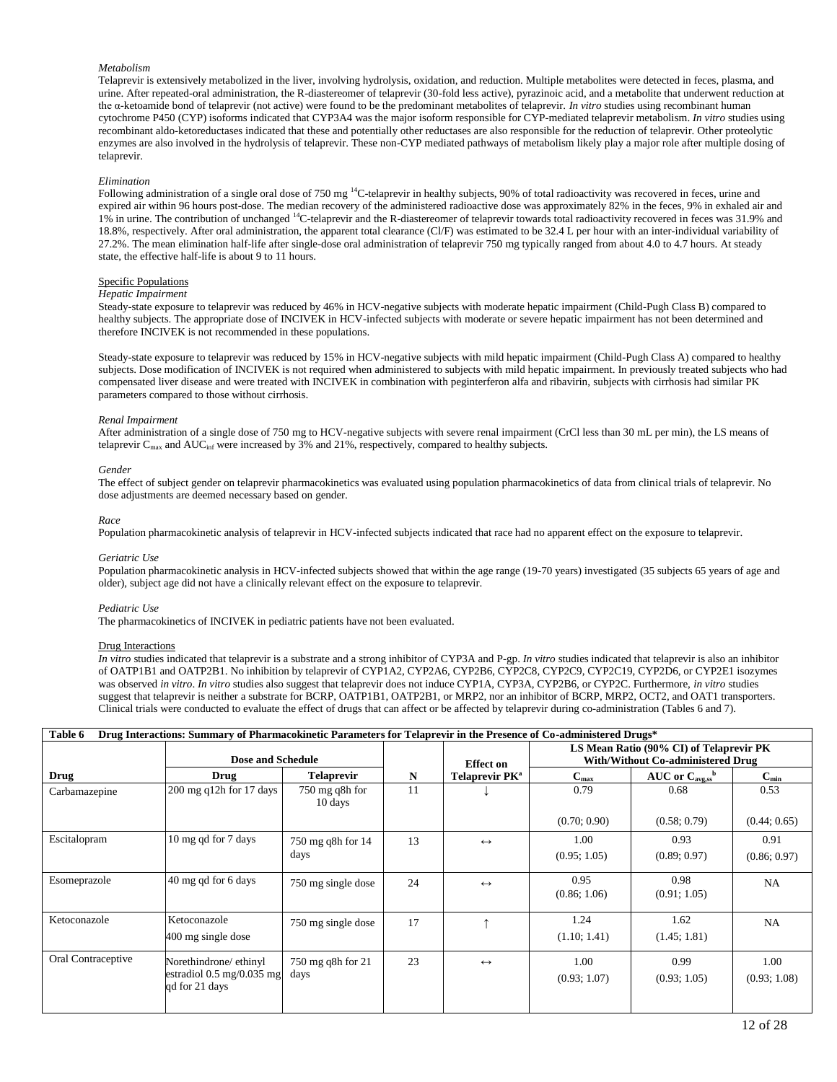### *Metabolism*

Telaprevir is extensively metabolized in the liver, involving hydrolysis, oxidation, and reduction. Multiple metabolites were detected in feces, plasma, and urine. After repeated-oral administration, the R-diastereomer of telaprevir (30-fold less active), pyrazinoic acid, and a metabolite that underwent reduction at the α-ketoamide bond of telaprevir (not active) were found to be the predominant metabolites of telaprevir. *In vitro* studies using recombinant human cytochrome P450 (CYP) isoforms indicated that CYP3A4 was the major isoform responsible for CYP-mediated telaprevir metabolism. *In vitro* studies using recombinant aldo-ketoreductases indicated that these and potentially other reductases are also responsible for the reduction of telaprevir. Other proteolytic enzymes are also involved in the hydrolysis of telaprevir. These non-CYP mediated pathways of metabolism likely play a major role after multiple dosing of telaprevir.

#### *Elimination*

Following administration of a single oral dose of 750 mg <sup>14</sup>C-telaprevir in healthy subjects, 90% of total radioactivity was recovered in feces, urine and expired air within 96 hours post-dose. The median recovery of the administered radioactive dose was approximately 82% in the feces, 9% in exhaled air and 1% in urine. The contribution of unchanged <sup>14</sup>C-telaprevir and the R-diastereomer of telaprevir towards total radioactivity recovered in feces was 31.9% and 18.8%, respectively. After oral administration, the apparent total clearance (Cl/F) was estimated to be 32.4 L per hour with an inter-individual variability of 27.2%. The mean elimination half-life after single-dose oral administration of telaprevir 750 mg typically ranged from about 4.0 to 4.7 hours. At steady state, the effective half-life is about 9 to 11 hours.

## Specific Populations

#### *Hepatic Impairment*

Steady-state exposure to telaprevir was reduced by 46% in HCV-negative subjects with moderate hepatic impairment (Child-Pugh Class B) compared to healthy subjects. The appropriate dose of INCIVEK in HCV-infected subjects with moderate or severe hepatic impairment has not been determined and therefore INCIVEK is not recommended in these populations.

Steady-state exposure to telaprevir was reduced by 15% in HCV-negative subjects with mild hepatic impairment (Child-Pugh Class A) compared to healthy subjects. Dose modification of INCIVEK is not required when administered to subjects with mild hepatic impairment. In previously treated subjects who had compensated liver disease and were treated with INCIVEK in combination with peginterferon alfa and ribavirin, subjects with cirrhosis had similar PK parameters compared to those without cirrhosis.

#### *Renal Impairment*

After administration of a single dose of 750 mg to HCV-negative subjects with severe renal impairment (CrCl less than 30 mL per min), the LS means of telaprevir C<sub>max</sub> and AUC<sub>inf</sub> were increased by 3% and 21%, respectively, compared to healthy subjects.

#### *Gender*

The effect of subject gender on telaprevir pharmacokinetics was evaluated using population pharmacokinetics of data from clinical trials of telaprevir. No dose adjustments are deemed necessary based on gender.

#### *Race*

Population pharmacokinetic analysis of telaprevir in HCV-infected subjects indicated that race had no apparent effect on the exposure to telaprevir.

#### *Geriatric Use*

Population pharmacokinetic analysis in HCV-infected subjects showed that within the age range (19-70 years) investigated (35 subjects 65 years of age and older), subject age did not have a clinically relevant effect on the exposure to telaprevir.

#### *Pediatric Use*

The pharmacokinetics of INCIVEK in pediatric patients have not been evaluated.

#### Drug Interactions

*In vitro* studies indicated that telaprevir is a substrate and a strong inhibitor of CYP3A and P-gp. *In vitro* studies indicated that telaprevir is also an inhibitor of OATP1B1 and OATP2B1. No inhibition by telaprevir of CYP1A2, CYP2A6, CYP2B6, CYP2C8, CYP2C9, CYP2C19, CYP2D6, or CYP2E1 isozymes was observed *in vitro*. *In vitro* studies also suggest that telaprevir does not induce CYP1A, CYP3A, CYP2B6, or CYP2C. Furthermore, *in vitro* studies suggest that telaprevir is neither a substrate for BCRP, OATP1B1, OATP2B1, or MRP2, nor an inhibitor of BCRP, MRP2, OCT2, and OAT1 transporters. Clinical trials were conducted to evaluate the effect of drugs that can affect or be affected by telaprevir during co-administration (Tables 6 and 7).

| Table 6            | Drug Interactions: Summary of Pharmacokinetic Parameters for Telaprevir in the Presence of Co-administered Drugs* |                             |    |                            |                                                                                     |                                       |                      |  |  |
|--------------------|-------------------------------------------------------------------------------------------------------------------|-----------------------------|----|----------------------------|-------------------------------------------------------------------------------------|---------------------------------------|----------------------|--|--|
|                    | <b>Dose and Schedule</b>                                                                                          |                             |    | <b>Effect on</b>           | LS Mean Ratio (90% CI) of Telaprevir PK<br><b>With/Without Co-administered Drug</b> |                                       |                      |  |  |
| Drug               | Drug                                                                                                              | <b>Telaprevir</b>           | N  | Telaprevir PK <sup>a</sup> | $C_{\rm max}$                                                                       | AUC or $C_{\text{avg,ss}}^{\text{b}}$ | $C_{\min}$           |  |  |
| Carbamazepine      | $200$ mg q12h for 17 days                                                                                         | $750$ mg q8h for<br>10 days | 11 |                            | 0.79                                                                                | 0.68                                  | 0.53                 |  |  |
|                    |                                                                                                                   |                             |    |                            | (0.70; 0.90)                                                                        | (0.58; 0.79)                          | (0.44; 0.65)         |  |  |
| Escitalopram       | 10 mg qd for 7 days                                                                                               | 750 mg q8h for 14<br>days   | 13 | $\leftrightarrow$          | 1.00<br>(0.95; 1.05)                                                                | 0.93<br>(0.89; 0.97)                  | 0.91<br>(0.86; 0.97) |  |  |
| Esomeprazole       | 40 mg qd for 6 days                                                                                               | 750 mg single dose          | 24 | $\leftrightarrow$          | 0.95<br>(0.86; 1.06)                                                                | 0.98<br>(0.91; 1.05)                  | NA                   |  |  |
| Ketoconazole       | Ketoconazole<br>400 mg single dose                                                                                | 750 mg single dose          | 17 |                            | 1.24<br>(1.10; 1.41)                                                                | 1.62<br>(1.45; 1.81)                  | NA                   |  |  |
| Oral Contraceptive | Norethindrone/ethinyl<br>estradiol $0.5 \text{ mg}/0.035 \text{ mg}$<br>qd for 21 days                            | 750 mg q8h for 21<br>days   | 23 | $\leftrightarrow$          | 1.00<br>(0.93; 1.07)                                                                | 0.99<br>(0.93; 1.05)                  | 1.00<br>(0.93; 1.08) |  |  |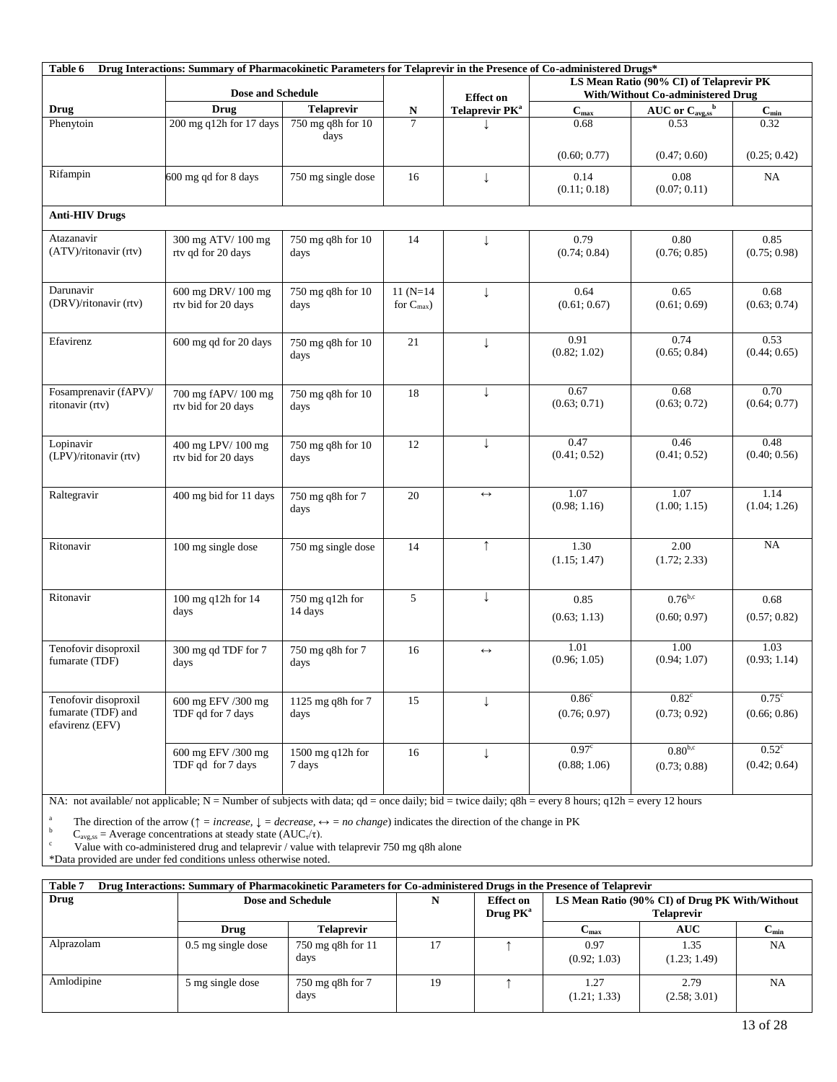| Drug Interactions: Summary of Pharmacokinetic Parameters for Telaprevir in the Presence of Co-administered Drugs*<br>Table 6<br>LS Mean Ratio (90% CI) of Telaprevir PK |                                                                                                                                                                                                                                                                                                                                                                   |                             |                                      |                            |                                   |                                          |                                     |  |  |
|-------------------------------------------------------------------------------------------------------------------------------------------------------------------------|-------------------------------------------------------------------------------------------------------------------------------------------------------------------------------------------------------------------------------------------------------------------------------------------------------------------------------------------------------------------|-----------------------------|--------------------------------------|----------------------------|-----------------------------------|------------------------------------------|-------------------------------------|--|--|
|                                                                                                                                                                         | <b>Dose and Schedule</b>                                                                                                                                                                                                                                                                                                                                          |                             |                                      | <b>Effect on</b>           |                                   | <b>With/Without Co-administered Drug</b> |                                     |  |  |
| Drug                                                                                                                                                                    | <b>Drug</b>                                                                                                                                                                                                                                                                                                                                                       | <b>Telaprevir</b>           | N                                    | Telaprevir PK <sup>a</sup> | $C_{\text{max}}$                  | AUC or $C_{\text{avg,ss}}^{\text{b}}$    | $C_{\min}$                          |  |  |
| Phenytoin                                                                                                                                                               | 200 mg q12h for 17 days                                                                                                                                                                                                                                                                                                                                           | 750 mg q8h for 10<br>days   | $\overline{7}$                       |                            | 0.68<br>(0.60; 0.77)              | 0.53<br>(0.47; 0.60)                     | 0.32<br>(0.25; 0.42)                |  |  |
| Rifampin                                                                                                                                                                | 600 mg qd for 8 days                                                                                                                                                                                                                                                                                                                                              | 750 mg single dose          | 16                                   | $\downarrow$               | 0.14<br>(0.11; 0.18)              | 0.08<br>(0.07; 0.11)                     | NA                                  |  |  |
| <b>Anti-HIV Drugs</b>                                                                                                                                                   |                                                                                                                                                                                                                                                                                                                                                                   |                             |                                      |                            |                                   |                                          |                                     |  |  |
| Atazanavir<br>(ATV)/ritonavir (rtv)                                                                                                                                     | 300 mg ATV/100 mg<br>rtv qd for 20 days                                                                                                                                                                                                                                                                                                                           | 750 mg q8h for 10<br>days   | 14                                   | $\downarrow$               | 0.79<br>(0.74; 0.84)              | 0.80<br>(0.76; 0.85)                     | 0.85<br>(0.75; 0.98)                |  |  |
| Darunavir<br>(DRV)/ritonavir (rtv)                                                                                                                                      | 600 mg DRV/100 mg<br>rtv bid for 20 days                                                                                                                                                                                                                                                                                                                          | 750 mg q8h for 10<br>days   | $11(N=14)$<br>for $C_{\text{max}}$ ) | $\downarrow$               | 0.64<br>(0.61; 0.67)              | 0.65<br>(0.61; 0.69)                     | 0.68<br>(0.63; 0.74)                |  |  |
| Efavirenz                                                                                                                                                               | 600 mg qd for 20 days                                                                                                                                                                                                                                                                                                                                             | 750 mg q8h for 10<br>days   | 21                                   | $\perp$                    | 0.91<br>(0.82; 1.02)              | 0.74<br>(0.65; 0.84)                     | 0.53<br>(0.44; 0.65)                |  |  |
| Fosamprenavir (fAPV)/<br>ritonavir (rtv)                                                                                                                                | 700 mg fAPV/100 mg<br>rtv bid for 20 days                                                                                                                                                                                                                                                                                                                         | 750 mg q8h for 10<br>days   | 18                                   | T                          | 0.67<br>(0.63; 0.71)              | 0.68<br>(0.63; 0.72)                     | 0.70<br>(0.64; 0.77)                |  |  |
| Lopinavir<br>(LPV)/ritonavir (rtv)                                                                                                                                      | 400 mg LPV/100 mg<br>rtv bid for 20 days                                                                                                                                                                                                                                                                                                                          | 750 mg q8h for 10<br>days   | 12                                   | $\perp$                    | 0.47<br>(0.41; 0.52)              | 0.46<br>(0.41; 0.52)                     | 0.48<br>(0.40; 0.56)                |  |  |
| Raltegravir                                                                                                                                                             | 400 mg bid for 11 days                                                                                                                                                                                                                                                                                                                                            | 750 mg q8h for 7<br>days    | 20                                   | $\leftrightarrow$          | 1.07<br>(0.98; 1.16)              | 1.07<br>(1.00; 1.15)                     | 1.14<br>(1.04; 1.26)                |  |  |
| Ritonavir                                                                                                                                                               | 100 mg single dose                                                                                                                                                                                                                                                                                                                                                | 750 mg single dose          | 14                                   | $\uparrow$                 | 1.30<br>(1.15; 1.47)              | 2.00<br>(1.72; 2.33)                     | NA                                  |  |  |
| Ritonavir                                                                                                                                                               | 100 mg q12h for 14<br>days                                                                                                                                                                                                                                                                                                                                        | 750 mg q12h for<br>14 days  | 5                                    |                            | 0.85<br>(0.63; 1.13)              | $0.76^{b,c}$<br>(0.60; 0.97)             | 0.68<br>(0.57; 0.82)                |  |  |
| Tenofovir disoproxil<br>fumarate (TDF)                                                                                                                                  | 300 mg qd TDF for 7<br>days                                                                                                                                                                                                                                                                                                                                       | 750 mg q8h for 7<br>days    | 16                                   | $\leftrightarrow$          | 1.01<br>(0.96; 1.05)              | 1.00<br>(0.94; 1.07)                     | 1.03<br>(0.93; 1.14)                |  |  |
| Tenofovir disoproxil<br>fumarate (TDF) and<br>efavirenz (EFV)                                                                                                           | 600 mg EFV /300 mg<br>TDF qd for 7 days                                                                                                                                                                                                                                                                                                                           | 1125 mg q8h for $7$<br>days | 15                                   | T.                         | $0.86^\circ$<br>(0.76; 0.97)      | $0.82^{\circ}$<br>(0.73; 0.92)           | $0.75$ <sup>c</sup><br>(0.66; 0.86) |  |  |
|                                                                                                                                                                         | 600 mg EFV /300 mg<br>TDF qd for 7 days                                                                                                                                                                                                                                                                                                                           | 1500 mg q12h for<br>7 days  | 16                                   | $\downarrow$               | 0.97 <sup>c</sup><br>(0.88; 1.06) | $0.80^{b,c}$<br>(0.73; 0.88)             | $0.52^{\circ}$<br>(0.42; 0.64)      |  |  |
|                                                                                                                                                                         | NA: not available/ not applicable; N = Number of subjects with data; qd = once daily; bid = twice daily; q8h = every 8 hours; q12h = every 12 hours                                                                                                                                                                                                               |                             |                                      |                            |                                   |                                          |                                     |  |  |
|                                                                                                                                                                         | The direction of the arrow ( $\uparrow$ = <i>increase</i> , $\downarrow$ = <i>decrease</i> , $\leftrightarrow$ = <i>no change</i> ) indicates the direction of the change in PK<br>$C_{\text{avg,ss}}$ = Average concentrations at steady state (AUC <sub>τ</sub> /τ).<br>Value with co-administered drug and telaprevir / value with telaprevir 750 mg q8h alone |                             |                                      |                            |                                   |                                          |                                     |  |  |

\*Data provided are under fed conditions unless otherwise noted.

| Table 7<br>Drug Interactions: Summary of Pharmacokinetic Parameters for Co-administered Drugs in the Presence of Telaprevir |                    |                                     |    |                                          |                                                                     |                      |            |  |
|-----------------------------------------------------------------------------------------------------------------------------|--------------------|-------------------------------------|----|------------------------------------------|---------------------------------------------------------------------|----------------------|------------|--|
| Drug                                                                                                                        | Dose and Schedule  |                                     |    | <b>Effect on</b><br>Drug PK <sup>a</sup> | LS Mean Ratio (90% CI) of Drug PK With/Without<br><b>Telaprevir</b> |                      |            |  |
|                                                                                                                             | Drug               | <b>Telaprevir</b>                   |    |                                          | $C_{\rm max}$                                                       | <b>AUC</b>           | $C_{\min}$ |  |
| Alprazolam                                                                                                                  | 0.5 mg single dose | $750 \text{ mg}$ q8h for 11<br>days | 17 |                                          | 0.97<br>(0.92; 1.03)                                                | 1.35<br>(1.23; 1.49) | NA         |  |
| Amlodipine                                                                                                                  | 5 mg single dose   | 750 mg q8h for 7<br>days            | 19 |                                          | 1.27<br>(1.21; 1.33)                                                | 2.79<br>(2.58; 3.01) | NA         |  |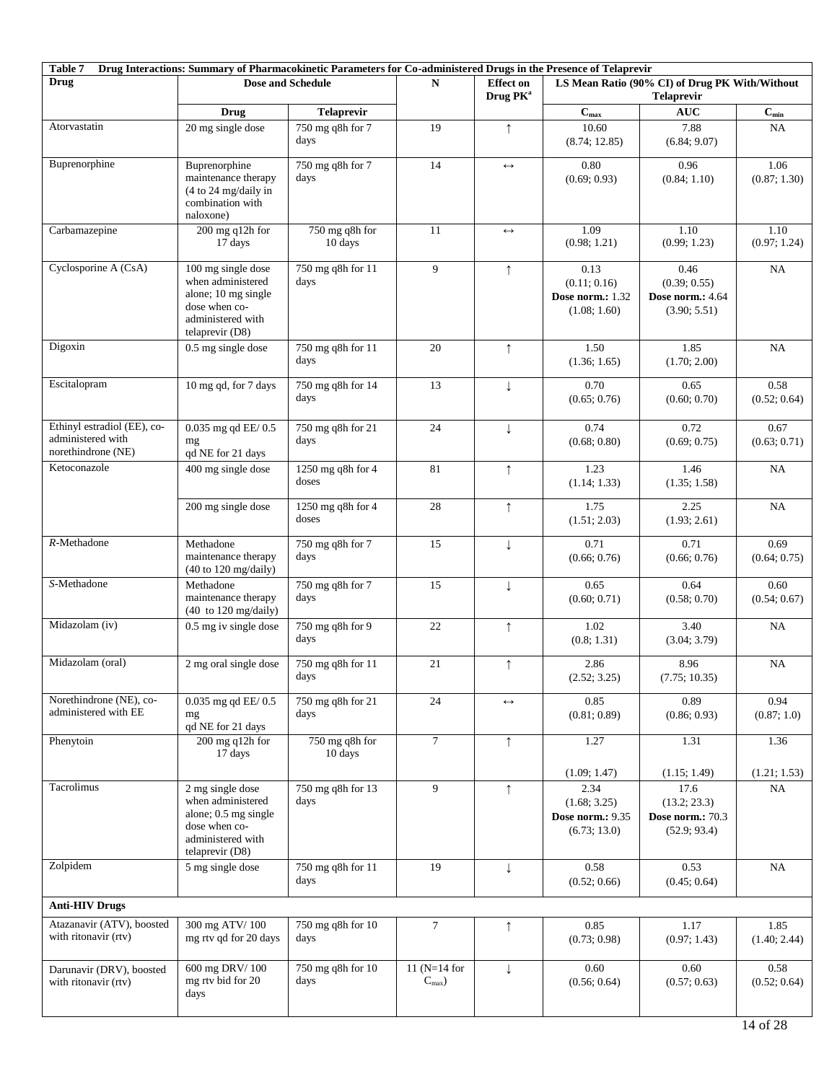| Drug Interactions: Summary of Pharmacokinetic Parameters for Co-administered Drugs in the Presence of Telaprevir<br><b>Table 7</b> |                                                                                                                         |                            |                               |                                          |                                                                          |                                                                                 |                      |
|------------------------------------------------------------------------------------------------------------------------------------|-------------------------------------------------------------------------------------------------------------------------|----------------------------|-------------------------------|------------------------------------------|--------------------------------------------------------------------------|---------------------------------------------------------------------------------|----------------------|
| <b>Drug</b>                                                                                                                        |                                                                                                                         | <b>Dose and Schedule</b>   | N                             | <b>Effect on</b><br>Drug PK <sup>a</sup> | LS Mean Ratio (90% CI) of Drug PK With/Without<br>Telaprevir             |                                                                                 |                      |
|                                                                                                                                    | <b>Drug</b>                                                                                                             | <b>Telaprevir</b>          |                               |                                          | $C_{\rm max}$                                                            | <b>AUC</b>                                                                      | $\mathbf{C}_{\min}$  |
| Atorvastatin                                                                                                                       | 20 mg single dose                                                                                                       | 750 mg q8h for 7<br>days   | 19                            | $\uparrow$                               | 10.60<br>(8.74; 12.85)                                                   | 7.88<br>(6.84; 9.07)                                                            | NA                   |
| Buprenorphine                                                                                                                      | Buprenorphine<br>maintenance therapy<br>(4 to 24 mg/daily in<br>combination with<br>naloxone)                           | 750 mg q8h for 7<br>days   | 14                            | $\leftrightarrow$                        | 0.80<br>(0.69; 0.93)                                                     | 0.96<br>(0.84; 1.10)                                                            | 1.06<br>(0.87; 1.30) |
| Carbamazepine                                                                                                                      | 200 mg q12h for<br>17 days                                                                                              | 750 mg q8h for<br>10 days  | 11                            | $\leftrightarrow$                        | 1.09<br>(0.98; 1.21)                                                     | 1.10<br>(0.99; 1.23)                                                            | 1.10<br>(0.97; 1.24) |
| Cyclosporine A (CsA)                                                                                                               | 100 mg single dose<br>when administered<br>alone; 10 mg single<br>dose when co-<br>administered with<br>telaprevir (D8) | 750 mg q8h for 11<br>days  | 9                             | $\uparrow$                               | 0.13<br>(0.11; 0.16)<br>Dose norm.: 1.32<br>(1.08; 1.60)                 | 0.46<br>(0.39; 0.55)<br>Dose norm.: 4.64<br>(3.90; 5.51)                        | NA                   |
| Digoxin                                                                                                                            | 0.5 mg single dose                                                                                                      | 750 mg q8h for 11<br>days  | 20                            | $\uparrow$                               | 1.50<br>(1.36; 1.65)                                                     | 1.85<br>(1.70; 2.00)                                                            | NA                   |
| Escitalopram                                                                                                                       | 10 mg qd, for 7 days                                                                                                    | 750 mg q8h for 14<br>days  | 13                            | T                                        | 0.70<br>(0.65; 0.76)                                                     | 0.65<br>(0.60; 0.70)                                                            | 0.58<br>(0.52; 0.64) |
| Ethinyl estradiol (EE), co-<br>administered with<br>norethindrone (NE)                                                             | $0.035$ mg qd EE/ $0.5$<br>mg<br>qd NE for 21 days                                                                      | 750 mg q8h for 21<br>days  | 24                            | $\downarrow$                             | 0.74<br>(0.68; 0.80)                                                     | 0.72<br>(0.69; 0.75)                                                            | 0.67<br>(0.63; 0.71) |
| Ketoconazole                                                                                                                       | 400 mg single dose                                                                                                      | 1250 mg q8h for 4<br>doses | 81                            | $\uparrow$                               | 1.23<br>(1.14; 1.33)                                                     | 1.46<br>(1.35; 1.58)                                                            | NA                   |
|                                                                                                                                    | 200 mg single dose                                                                                                      | 1250 mg q8h for 4<br>doses | 28                            | $\uparrow$                               | 1.75<br>(1.51; 2.03)                                                     | 2.25<br>(1.93; 2.61)                                                            | NA                   |
| $R$ -Methadone                                                                                                                     | Methadone<br>maintenance therapy<br>$(40 \text{ to } 120 \text{ mg/daily})$                                             | 750 mg q8h for 7<br>days   | 15                            |                                          | 0.71<br>(0.66; 0.76)                                                     | 0.71<br>(0.66; 0.76)                                                            | 0.69<br>(0.64; 0.75) |
| S-Methadone                                                                                                                        | Methadone<br>maintenance therapy<br>$(40 \text{ to } 120 \text{ mg/daily})$                                             | 750 mg q8h for 7<br>days   | 15                            |                                          | 0.65<br>(0.60; 0.71)                                                     | 0.64<br>(0.58; 0.70)                                                            | 0.60<br>(0.54; 0.67) |
| Midazolam (iv)                                                                                                                     | 0.5 mg iv single dose                                                                                                   | 750 mg q8h for 9<br>days   | 22                            | $\uparrow$                               | 1.02<br>(0.8; 1.31)                                                      | 3.40<br>(3.04; 3.79)                                                            | NA                   |
| Midazolam (oral)                                                                                                                   | 2 mg oral single dose                                                                                                   | 750 mg q8h for 11<br>days  | 21                            | $\uparrow$                               | 2.86<br>(2.52; 3.25)                                                     | 8.96<br>(7.75; 10.35)                                                           | NA                   |
| Norethindrone (NE), co-<br>administered with EE                                                                                    | $0.035$ mg qd EE/ $0.5$<br>mg<br>qd NE for 21 days                                                                      | 750 mg q8h for 21<br>days  | 24                            | $\leftrightarrow$                        | 0.85<br>(0.81; 0.89)                                                     | 0.89<br>(0.86; 0.93)                                                            | 0.94<br>(0.87; 1.0)  |
| Phenytoin                                                                                                                          | $200$ mg q $12h$ for<br>17 days                                                                                         | 750 mg q8h for<br>10 days  | $\tau$                        | $\uparrow$                               | 1.27                                                                     | 1.31                                                                            | 1.36                 |
| Tacrolimus                                                                                                                         | 2 mg single dose<br>when administered<br>alone; 0.5 mg single<br>dose when co-<br>administered with<br>telaprevir (D8)  | 750 mg q8h for 13<br>days  | 9                             | $\uparrow$                               | (1.09; 1.47)<br>2.34<br>(1.68; 3.25)<br>Dose norm.: 9.35<br>(6.73; 13.0) | (1.15; 1.49)<br>17.6<br>(13.2; 23.3)<br><b>Dose norm.: 70.3</b><br>(52.9; 93.4) | (1.21; 1.53)<br>NA   |
| Zolpidem                                                                                                                           | 5 mg single dose                                                                                                        | 750 mg q8h for 11<br>days  | 19                            | $\downarrow$                             | 0.58<br>(0.52; 0.66)                                                     | 0.53<br>(0.45; 0.64)                                                            | $\rm NA$             |
| <b>Anti-HIV Drugs</b>                                                                                                              |                                                                                                                         |                            |                               |                                          |                                                                          |                                                                                 |                      |
| Atazanavir (ATV), boosted<br>with ritonavir (rtv)                                                                                  | 300 mg ATV/100<br>mg rtv qd for 20 days                                                                                 | 750 mg q8h for 10<br>days  | $\tau$                        | $\uparrow$                               | 0.85<br>(0.73; 0.98)                                                     | 1.17<br>(0.97; 1.43)                                                            | 1.85<br>(1.40; 2.44) |
| Darunavir (DRV), boosted<br>with ritonavir (rtv)                                                                                   | 600 mg DRV/100<br>mg rtv bid for 20<br>days                                                                             | 750 mg q8h for 10<br>days  | 11 $(N=14$ for<br>$C_{max}$ ) | $\downarrow$                             | 0.60<br>(0.56; 0.64)                                                     | 0.60<br>(0.57; 0.63)                                                            | 0.58<br>(0.52; 0.64) |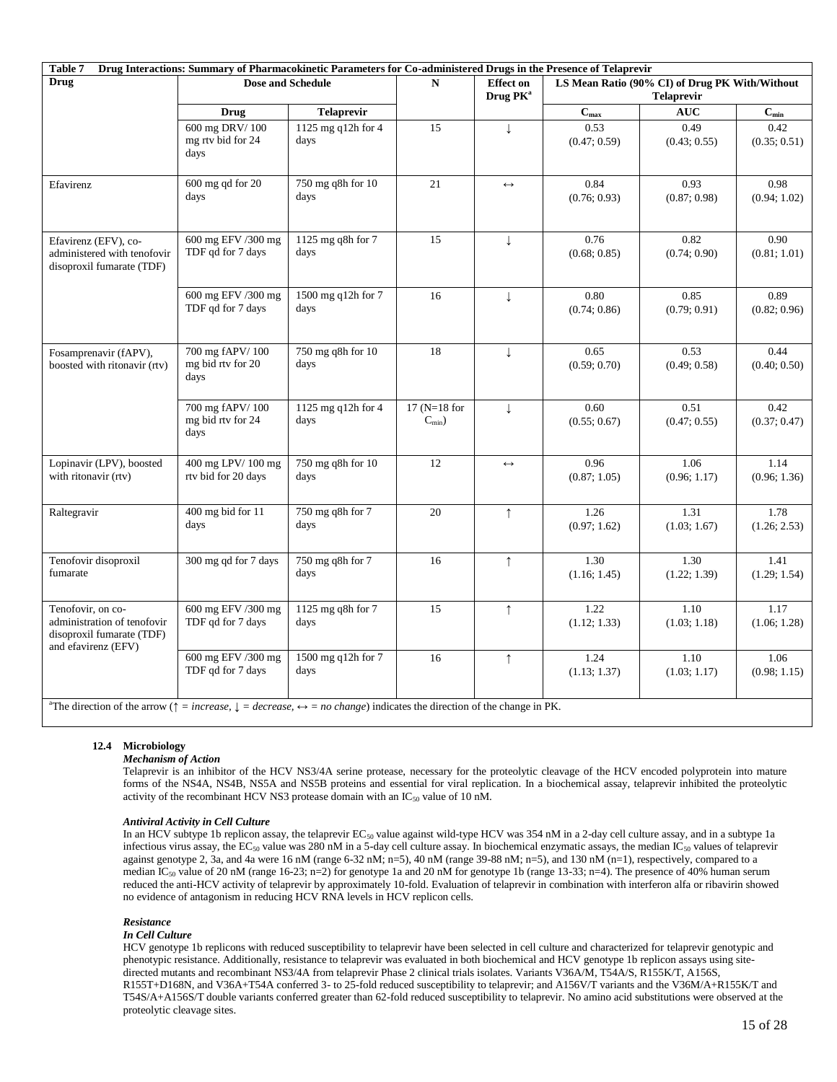| Table 7                                                                                                                                                                                       | Drug Interactions: Summary of Pharmacokinetic Parameters for Co-administered Drugs in the Presence of Telaprevir |                            |                                               |                   |                                                                     |                      |                      |
|-----------------------------------------------------------------------------------------------------------------------------------------------------------------------------------------------|------------------------------------------------------------------------------------------------------------------|----------------------------|-----------------------------------------------|-------------------|---------------------------------------------------------------------|----------------------|----------------------|
| <b>Drug</b>                                                                                                                                                                                   | <b>Dose and Schedule</b>                                                                                         |                            | N<br><b>Effect on</b><br>Drug PK <sup>a</sup> |                   | LS Mean Ratio (90% CI) of Drug PK With/Without<br><b>Telaprevir</b> |                      |                      |
|                                                                                                                                                                                               | <b>Drug</b>                                                                                                      | <b>Telaprevir</b>          |                                               |                   | $\mathbf{C}_{\max}$                                                 | <b>AUC</b>           | $\mathbf{C}_{\min}$  |
|                                                                                                                                                                                               | 600 mg DRV/100<br>mg rtv bid for 24<br>days                                                                      | 1125 mg q12h for 4<br>days | 15                                            | $\downarrow$      | 0.53<br>(0.47; 0.59)                                                | 0.49<br>(0.43; 0.55) | 0.42<br>(0.35; 0.51) |
| Efavirenz                                                                                                                                                                                     | 600 mg qd for 20<br>days                                                                                         | 750 mg q8h for 10<br>days  | 21                                            | $\leftrightarrow$ | 0.84<br>(0.76; 0.93)                                                | 0.93<br>(0.87; 0.98) | 0.98<br>(0.94; 1.02) |
| Efavirenz (EFV), co-<br>administered with tenofovir<br>disoproxil fumarate (TDF)                                                                                                              | 600 mg EFV /300 mg<br>TDF qd for 7 days                                                                          | 1125 mg q8h for 7<br>days  | 15                                            | $\downarrow$      | 0.76<br>(0.68; 0.85)                                                | 0.82<br>(0.74; 0.90) | 0.90<br>(0.81; 1.01) |
|                                                                                                                                                                                               | 600 mg EFV /300 mg<br>TDF qd for 7 days                                                                          | 1500 mg q12h for 7<br>days | 16                                            | T                 | 0.80<br>(0.74; 0.86)                                                | 0.85<br>(0.79; 0.91) | 0.89<br>(0.82; 0.96) |
| Fosamprenavir (fAPV),<br>boosted with ritonavir (rtv)                                                                                                                                         | 700 mg fAPV/100<br>mg bid rtv for 20<br>days                                                                     | 750 mg q8h for 10<br>days  | 18                                            | $\perp$           | 0.65<br>(0.59; 0.70)                                                | 0.53<br>(0.49; 0.58) | 0.44<br>(0.40; 0.50) |
|                                                                                                                                                                                               | 700 mg fAPV/100<br>mg bid rtv for 24<br>days                                                                     | 1125 mg q12h for 4<br>days | $17 (N=18$ for<br>$C_{\min}$ )                | $\downarrow$      | 0.60<br>(0.55; 0.67)                                                | 0.51<br>(0.47; 0.55) | 0.42<br>(0.37; 0.47) |
| Lopinavir (LPV), boosted<br>with ritonavir (rtv)                                                                                                                                              | 400 mg LPV/100 mg<br>rty bid for 20 days                                                                         | 750 mg q8h for 10<br>days  | 12                                            | $\leftrightarrow$ | 0.96<br>(0.87; 1.05)                                                | 1.06<br>(0.96; 1.17) | 1.14<br>(0.96; 1.36) |
| Raltegravir                                                                                                                                                                                   | 400 mg bid for 11<br>days                                                                                        | 750 mg q8h for 7<br>days   | 20                                            | $\uparrow$        | 1.26<br>(0.97; 1.62)                                                | 1.31<br>(1.03; 1.67) | 1.78<br>(1.26; 2.53) |
| Tenofovir disoproxil<br>fumarate                                                                                                                                                              | 300 mg qd for 7 days                                                                                             | 750 mg q8h for 7<br>days   | 16                                            | $\uparrow$        | 1.30<br>(1.16; 1.45)                                                | 1.30<br>(1.22; 1.39) | 1.41<br>(1.29; 1.54) |
| Tenofovir, on co-<br>administration of tenofovir<br>disoproxil fumarate (TDF)                                                                                                                 | 600 mg EFV /300 mg<br>TDF qd for 7 days                                                                          | 1125 mg q8h for 7<br>days  | 15                                            | $\uparrow$        | 1.22<br>(1.12; 1.33)                                                | 1.10<br>(1.03; 1.18) | 1.17<br>(1.06; 1.28) |
| and efavirenz (EFV)                                                                                                                                                                           | 600 mg EFV /300 mg<br>TDF qd for 7 days                                                                          | 1500 mg q12h for 7<br>days | 16                                            | $\uparrow$        | 1.24<br>(1.13; 1.37)                                                | 1.10<br>(1.03; 1.17) | 1.06<br>(0.98; 1.15) |
| <sup>a</sup> The direction of the arrow ( $\uparrow$ = <i>increase</i> , $\downarrow$ = <i>decrease</i> , $\leftrightarrow$ = <i>no change</i> ) indicates the direction of the change in PK. |                                                                                                                  |                            |                                               |                   |                                                                     |                      |                      |

## **12.4 Microbiology**

## *Mechanism of Action*

Telaprevir is an inhibitor of the HCV NS3/4A serine protease, necessary for the proteolytic cleavage of the HCV encoded polyprotein into mature forms of the NS4A, NS4B, NS5A and NS5B proteins and essential for viral replication. In a biochemical assay, telaprevir inhibited the proteolytic activity of the recombinant HCV NS3 protease domain with an  $IC_{50}$  value of 10 nM.

## *Antiviral Activity in Cell Culture*

In an HCV subtype 1b replicon assay, the telaprevir EC<sub>50</sub> value against wild-type HCV was 354 nM in a 2-day cell culture assay, and in a subtype 1a infectious virus assay, the EC<sub>50</sub> value was 280 nM in a 5-day cell culture assay. In biochemical enzymatic assays, the median IC<sub>50</sub> values of telaprevir against genotype 2, 3a, and 4a were 16 nM (range 6-32 nM; n=5), 40 nM (range 39-88 nM; n=5), and 130 nM (n=1), respectively, compared to a median IC<sub>50</sub> value of 20 nM (range 16-23; n=2) for genotype 1a and 20 nM for genotype 1b (range 13-33; n=4). The presence of 40% human serum reduced the anti-HCV activity of telaprevir by approximately 10-fold. Evaluation of telaprevir in combination with interferon alfa or ribavirin showed no evidence of antagonism in reducing HCV RNA levels in HCV replicon cells.

## *Resistance*

#### *In Cell Culture*

HCV genotype 1b replicons with reduced susceptibility to telaprevir have been selected in cell culture and characterized for telaprevir genotypic and phenotypic resistance. Additionally, resistance to telaprevir was evaluated in both biochemical and HCV genotype 1b replicon assays using sitedirected mutants and recombinant NS3/4A from telaprevir Phase 2 clinical trials isolates. Variants V36A/M, T54A/S, R155K/T, A156S, R155T+D168N, and V36A+T54A conferred 3- to 25-fold reduced susceptibility to telaprevir; and A156V/T variants and the V36M/A+R155K/T and T54S/A+A156S/T double variants conferred greater than 62-fold reduced susceptibility to telaprevir. No amino acid substitutions were observed at the proteolytic cleavage sites.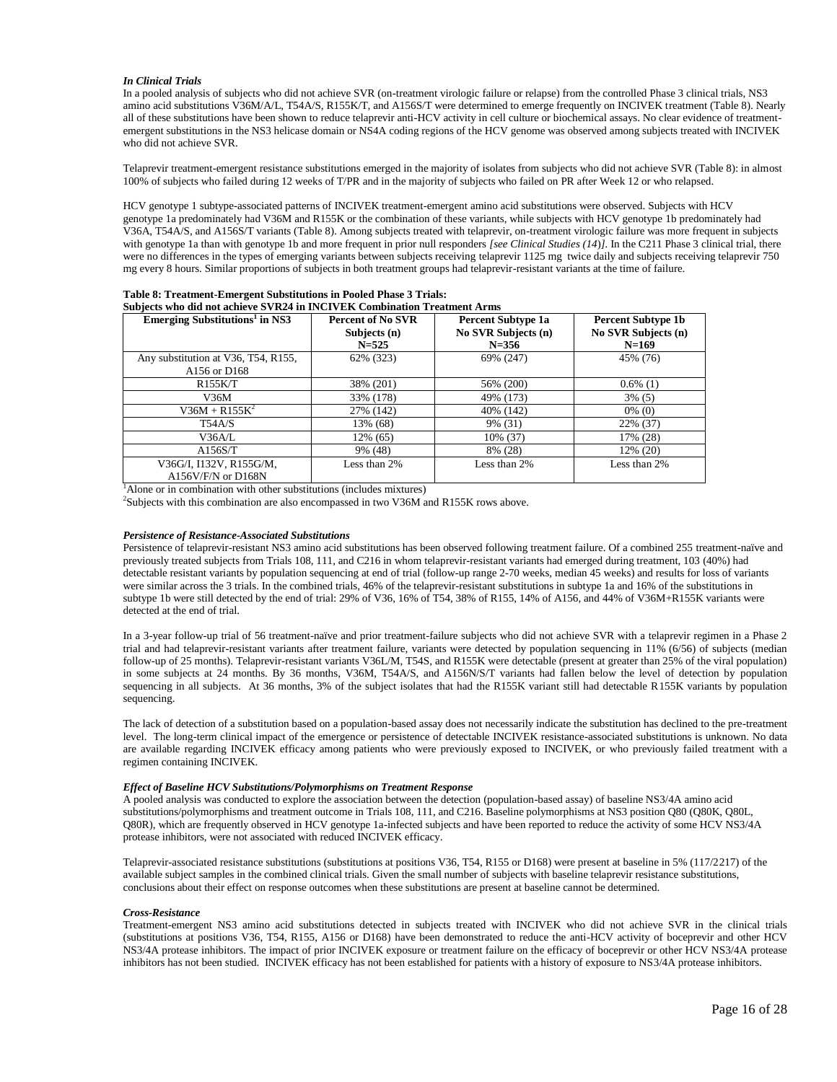### *In Clinical Trials*

In a pooled analysis of subjects who did not achieve SVR (on-treatment virologic failure or relapse) from the controlled Phase 3 clinical trials, NS3 amino acid substitutions V36M/A/L, T54A/S, R155K/T, and A156S/T were determined to emerge frequently on INCIVEK treatment (Table 8). Nearly all of these substitutions have been shown to reduce telaprevir anti-HCV activity in cell culture or biochemical assays. No clear evidence of treatmentemergent substitutions in the NS3 helicase domain or NS4A coding regions of the HCV genome was observed among subjects treated with INCIVEK who did not achieve SVR.

Telaprevir treatment-emergent resistance substitutions emerged in the majority of isolates from subjects who did not achieve SVR (Table 8): in almost 100% of subjects who failed during 12 weeks of T/PR and in the majority of subjects who failed on PR after Week 12 or who relapsed.

HCV genotype 1 subtype-associated patterns of INCIVEK treatment-emergent amino acid substitutions were observed. Subjects with HCV genotype 1a predominately had V36M and R155K or the combination of these variants, while subjects with HCV genotype 1b predominately had V36A, T54A/S, and A156S/T variants (Table 8). Among subjects treated with telaprevir, on-treatment virologic failure was more frequent in subjects with genotype 1a than with genotype 1b and more frequent in prior null responders *[see Clinical Studies (14*)*].* In the C211 Phase 3 clinical trial, there were no differences in the types of emerging variants between subjects receiving telaprevir 1125 mg twice daily and subjects receiving telaprevir 750 mg every 8 hours. Similar proportions of subjects in both treatment groups had telaprevir-resistant variants at the time of failure.

| Subjects who did not achieve SVR24 in INCIVEK Combination Treatment Arms |                                                         |                                                               |                                                             |  |  |
|--------------------------------------------------------------------------|---------------------------------------------------------|---------------------------------------------------------------|-------------------------------------------------------------|--|--|
| Emerging Substitutions <sup>1</sup> in NS3                               | <b>Percent of No SVR</b><br>Subjects $(n)$<br>$N = 525$ | <b>Percent Subtype 1a</b><br>No SVR Subjects (n)<br>$N = 356$ | <b>Percent Subtype 1b</b><br>No SVR Subjects (n)<br>$N=169$ |  |  |
| Any substitution at V36, T54, R155,<br>A156 or D168                      | 62% (323)                                               | 69% (247)                                                     | 45% (76)                                                    |  |  |
| R155K/T                                                                  | 38% (201)                                               | 56% (200)                                                     | $0.6\%$ (1)                                                 |  |  |
| V36M                                                                     | 33% (178)                                               | 49% (173)                                                     | $3\%$ (5)                                                   |  |  |
| $V36M + R155K^2$                                                         | 27% (142)                                               | 40% (142)                                                     | $0\%$ (0)                                                   |  |  |
| T54A/S                                                                   | 13% (68)                                                | 9% (31)                                                       | 22% (37)                                                    |  |  |
| V36A/L                                                                   | 12% (65)                                                | 10% (37)                                                      | 17% (28)                                                    |  |  |
| A156S/T                                                                  | 9% (48)                                                 | 8% (28)                                                       | 12% (20)                                                    |  |  |
| V36G/I, I132V, R155G/M,<br>A156V/F/N or $D168N$                          | Less than 2%                                            | Less than 2%                                                  | Less than 2%                                                |  |  |

| Table 8: Treatment-Emergent Substitutions in Pooled Phase 3 Trials:    |  |
|------------------------------------------------------------------------|--|
| Cubicate who did not cohiave CVD24 in IMCIVEIZ Combination Tweetment A |  |

<sup>1</sup>Alone or in combination with other substitutions (includes mixtures)

<sup>2</sup>Subjects with this combination are also encompassed in two V36M and R155K rows above.

#### *Persistence of Resistance-Associated Substitutions*

Persistence of telaprevir-resistant NS3 amino acid substitutions has been observed following treatment failure. Of a combined 255 treatment-naïve and previously treated subjects from Trials 108, 111, and C216 in whom telaprevir-resistant variants had emerged during treatment, 103 (40%) had detectable resistant variants by population sequencing at end of trial (follow-up range 2-70 weeks, median 45 weeks) and results for loss of variants were similar across the 3 trials. In the combined trials, 46% of the telaprevir-resistant substitutions in subtype 1a and 16% of the substitutions in subtype 1b were still detected by the end of trial: 29% of V36, 16% of T54, 38% of R155, 14% of A156, and 44% of V36M+R155K variants were detected at the end of trial.

In a 3-year follow-up trial of 56 treatment-naïve and prior treatment-failure subjects who did not achieve SVR with a telaprevir regimen in a Phase 2 trial and had telaprevir-resistant variants after treatment failure, variants were detected by population sequencing in 11% (6/56) of subjects (median follow-up of 25 months). Telaprevir-resistant variants V36L/M, T54S, and R155K were detectable (present at greater than 25% of the viral population) in some subjects at 24 months. By 36 months, V36M, T54A/S, and A156N/S/T variants had fallen below the level of detection by population sequencing in all subjects. At 36 months, 3% of the subject isolates that had the R155K variant still had detectable R155K variants by population sequencing.

The lack of detection of a substitution based on a population-based assay does not necessarily indicate the substitution has declined to the pre-treatment level. The long-term clinical impact of the emergence or persistence of detectable INCIVEK resistance-associated substitutions is unknown. No data are available regarding INCIVEK efficacy among patients who were previously exposed to INCIVEK, or who previously failed treatment with a regimen containing INCIVEK.

## *Effect of Baseline HCV Substitutions/Polymorphisms on Treatment Response*

A pooled analysis was conducted to explore the association between the detection (population-based assay) of baseline NS3/4A amino acid substitutions/polymorphisms and treatment outcome in Trials 108, 111, and C216. Baseline polymorphisms at NS3 position Q80 (Q80K, Q80L, Q80R), which are frequently observed in HCV genotype 1a-infected subjects and have been reported to reduce the activity of some HCV NS3/4A protease inhibitors, were not associated with reduced INCIVEK efficacy.

Telaprevir-associated resistance substitutions (substitutions at positions V36, T54, R155 or D168) were present at baseline in 5% (117/2217) of the available subject samples in the combined clinical trials. Given the small number of subjects with baseline telaprevir resistance substitutions, conclusions about their effect on response outcomes when these substitutions are present at baseline cannot be determined.

#### *Cross-Resistance*

Treatment-emergent NS3 amino acid substitutions detected in subjects treated with INCIVEK who did not achieve SVR in the clinical trials (substitutions at positions V36, T54, R155, A156 or D168) have been demonstrated to reduce the anti-HCV activity of boceprevir and other HCV NS3/4A protease inhibitors. The impact of prior INCIVEK exposure or treatment failure on the efficacy of boceprevir or other HCV NS3/4A protease inhibitors has not been studied. INCIVEK efficacy has not been established for patients with a history of exposure to NS3/4A protease inhibitors.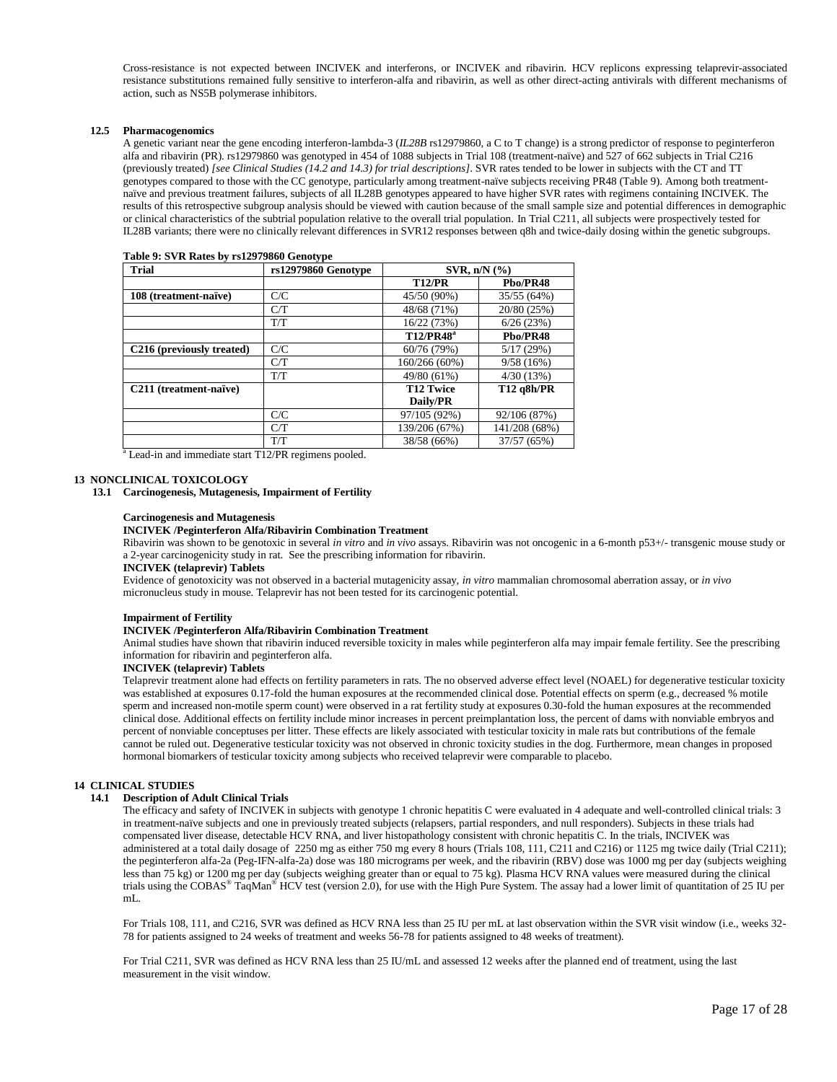Cross-resistance is not expected between INCIVEK and interferons, or INCIVEK and ribavirin. HCV replicons expressing telaprevir-associated resistance substitutions remained fully sensitive to interferon-alfa and ribavirin, as well as other direct-acting antivirals with different mechanisms of action, such as NS5B polymerase inhibitors.

#### **12.5 Pharmacogenomics**

A genetic variant near the gene encoding interferon-lambda-3 (*IL28B* rs12979860, a C to T change) is a strong predictor of response to peginterferon alfa and ribavirin (PR). rs12979860 was genotyped in 454 of 1088 subjects in Trial 108 (treatment-naïve) and 527 of 662 subjects in Trial C216 (previously treated) *[see Clinical Studies (14.2 and 14.3) for trial descriptions]*. SVR rates tended to be lower in subjects with the CT and TT genotypes compared to those with the CC genotype, particularly among treatment-naïve subjects receiving PR48 (Table 9). Among both treatmentnaïve and previous treatment failures, subjects of all IL28B genotypes appeared to have higher SVR rates with regimens containing INCIVEK. The results of this retrospective subgroup analysis should be viewed with caution because of the small sample size and potential differences in demographic or clinical characteristics of the subtrial population relative to the overall trial population. In Trial C211, all subjects were prospectively tested for IL28B variants; there were no clinically relevant differences in SVR12 responses between q8h and twice-daily dosing within the genetic subgroups.

#### **Table 9: SVR Rates by rs12979860 Genotype**

| <b>Trial</b>                          | rs12979860 Genotype | $SVR$ , n/N $(\% )$          |               |
|---------------------------------------|---------------------|------------------------------|---------------|
|                                       |                     | <b>T12/PR</b>                | Pbo/PR48      |
| 108 (treatment-naïve)                 | C/C                 | 45/50 (90%)                  | 35/55 (64%)   |
|                                       | C/T                 | 48/68 (71%)                  | 20/80 (25%)   |
|                                       | T/T                 | 16/22(73%)                   | 6/26(23%)     |
|                                       |                     | <b>T12/PR48</b> <sup>a</sup> | Pbo/PR48      |
| C <sub>216</sub> (previously treated) | C/C                 | 60/76 (79%)                  | 5/17(29%)     |
|                                       | C/T                 | 160/266 (60%)                | 9/58(16%)     |
|                                       | T/T                 | 49/80 (61%)                  | 4/30(13%)     |
| C211 (treatment-naïve)                |                     | <b>T12 Twice</b>             | T12 q8h/PR    |
|                                       |                     | Daily/PR                     |               |
|                                       | C/C                 | 97/105 (92%)                 | 92/106 (87%)  |
|                                       | C/T                 | 139/206 (67%)                | 141/208 (68%) |
|                                       | T/T                 | 38/58 (66%)                  | 37/57 (65%)   |

<sup>a</sup> Lead-in and immediate start T12/PR regimens pooled.

#### **13 NONCLINICAL TOXICOLOGY**

#### **13.1 Carcinogenesis, Mutagenesis, Impairment of Fertility**

#### **Carcinogenesis and Mutagenesis**

#### **INCIVEK /Peginterferon Alfa/Ribavirin Combination Treatment**

Ribavirin was shown to be genotoxic in several *in vitro* and *in vivo* assays. Ribavirin was not oncogenic in a 6-month p53+/- transgenic mouse study or a 2-year carcinogenicity study in rat. See the prescribing information for ribavirin.

#### **INCIVEK (telaprevir) Tablets**

Evidence of genotoxicity was not observed in a bacterial mutagenicity assay, *in vitro* mammalian chromosomal aberration assay, or *in vivo* micronucleus study in mouse. Telaprevir has not been tested for its carcinogenic potential.

#### **Impairment of Fertility**

#### **INCIVEK /Peginterferon Alfa/Ribavirin Combination Treatment**

Animal studies have shown that ribavirin induced reversible toxicity in males while peginterferon alfa may impair female fertility. See the prescribing information for ribavirin and peginterferon alfa.

## **INCIVEK (telaprevir) Tablets**

Telaprevir treatment alone had effects on fertility parameters in rats. The no observed adverse effect level (NOAEL) for degenerative testicular toxicity was established at exposures 0.17-fold the human exposures at the recommended clinical dose. Potential effects on sperm (e.g., decreased % motile sperm and increased non-motile sperm count) were observed in a rat fertility study at exposures 0.30-fold the human exposures at the recommended clinical dose. Additional effects on fertility include minor increases in percent preimplantation loss, the percent of dams with nonviable embryos and percent of nonviable conceptuses per litter. These effects are likely associated with testicular toxicity in male rats but contributions of the female cannot be ruled out. Degenerative testicular toxicity was not observed in chronic toxicity studies in the dog. Furthermore, mean changes in proposed hormonal biomarkers of testicular toxicity among subjects who received telaprevir were comparable to placebo.

#### **14 CLINICAL STUDIES**

### **14.1 Description of Adult Clinical Trials**

The efficacy and safety of INCIVEK in subjects with genotype 1 chronic hepatitis C were evaluated in 4 adequate and well-controlled clinical trials: 3 in treatment-naïve subjects and one in previously treated subjects (relapsers, partial responders, and null responders). Subjects in these trials had compensated liver disease, detectable HCV RNA, and liver histopathology consistent with chronic hepatitis C. In the trials, INCIVEK was administered at a total daily dosage of 2250 mg as either 750 mg every 8 hours (Trials 108, 111, C211 and C216) or 1125 mg twice daily (Trial C211); the peginterferon alfa-2a (Peg-IFN-alfa-2a) dose was 180 micrograms per week, and the ribavirin (RBV) dose was 1000 mg per day (subjects weighing less than 75 kg) or 1200 mg per day (subjects weighing greater than or equal to 75 kg). Plasma HCV RNA values were measured during the clinical trials using the COBAS® TaqMan<sup>®</sup> HCV test (version 2.0), for use with the High Pure System. The assay had a lower limit of quantitation of 25 IU per mL.

For Trials 108, 111, and C216, SVR was defined as HCV RNA less than 25 IU per mL at last observation within the SVR visit window (i.e., weeks 32- 78 for patients assigned to 24 weeks of treatment and weeks 56-78 for patients assigned to 48 weeks of treatment).

For Trial C211, SVR was defined as HCV RNA less than 25 IU/mL and assessed 12 weeks after the planned end of treatment, using the last measurement in the visit window.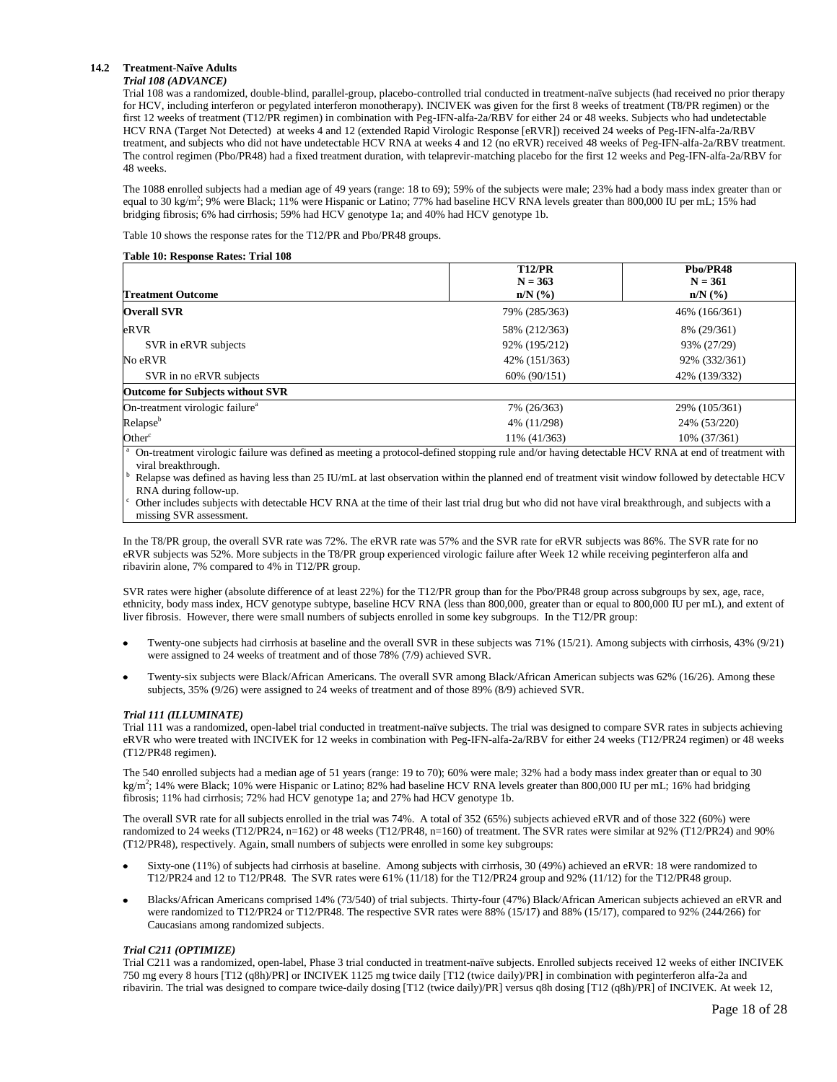## **14.2 Treatment-Naïve Adults**

### *Trial 108 (ADVANCE)*

Trial 108 was a randomized, double-blind, parallel-group, placebo-controlled trial conducted in treatment-naïve subjects (had received no prior therapy for HCV, including interferon or pegylated interferon monotherapy). INCIVEK was given for the first 8 weeks of treatment (T8/PR regimen) or the first 12 weeks of treatment (T12/PR regimen) in combination with Peg-IFN-alfa-2a/RBV for either 24 or 48 weeks. Subjects who had undetectable HCV RNA (Target Not Detected) at weeks 4 and 12 (extended Rapid Virologic Response [eRVR]) received 24 weeks of Peg-IFN-alfa-2a/RBV treatment, and subjects who did not have undetectable HCV RNA at weeks 4 and 12 (no eRVR) received 48 weeks of Peg-IFN-alfa-2a/RBV treatment. The control regimen (Pbo/PR48) had a fixed treatment duration, with telaprevir-matching placebo for the first 12 weeks and Peg-IFN-alfa-2a/RBV for 48 weeks.

The 1088 enrolled subjects had a median age of 49 years (range: 18 to 69); 59% of the subjects were male; 23% had a body mass index greater than or equal to 30 kg/m<sup>2</sup>; 9% were Black; 11% were Hispanic or Latino; 77% had baseline HCV RNA levels greater than 800,000 IU per mL; 15% had bridging fibrosis; 6% had cirrhosis; 59% had HCV genotype 1a; and 40% had HCV genotype 1b.

Table 10 shows the response rates for the T12/PR and Pbo/PR48 groups.

### **Table 10: Response Rates: Trial 108**

|                                             | <b>T12/PR</b><br>$N = 363$ | Pho/PR48<br>$N = 361$       |
|---------------------------------------------|----------------------------|-----------------------------|
| <b>Treatment Outcome</b>                    | $n/N$ $(\%$ )              | $n/N$ $(\%$ )               |
| <b>Overall SVR</b>                          | 79% (285/363)              | 46% (166/361)               |
| eRVR                                        | 58% (212/363)              | 8% (29/361)                 |
| SVR in eRVR subjects                        | 92% (195/212)              | 93% (27/29)                 |
| No eRVR                                     | 42% (151/363)              | 92% (332/361)               |
| SVR in no eRVR subjects                     | 60% (90/151)               | 42% (139/332)               |
| <b>Outcome for Subjects without SVR</b>     |                            |                             |
| On-treatment virologic failure <sup>a</sup> | 7% (26/363)                | 29% (105/361)               |
| Relapse <sup>b</sup>                        | 4% (11/298)                | 24% (53/220)                |
| Other <sup>c</sup>                          | 11% (41/363)               | 10% (37/361)                |
| $\sim$<br>.<br>.                            | .                          | $\sim$ $\sim$<br>. <u>.</u> |

<sup>a</sup> On-treatment virologic failure was defined as meeting a protocol-defined stopping rule and/or having detectable HCV RNA at end of treatment with viral breakthrough.

<sup>b</sup> Relapse was defined as having less than 25 IU/mL at last observation within the planned end of treatment visit window followed by detectable HCV RNA during follow-up.

<sup>c</sup> Other includes subjects with detectable HCV RNA at the time of their last trial drug but who did not have viral breakthrough, and subjects with a missing SVR assessment.

In the T8/PR group, the overall SVR rate was 72%. The eRVR rate was 57% and the SVR rate for eRVR subjects was 86%. The SVR rate for no eRVR subjects was 52%. More subjects in the T8/PR group experienced virologic failure after Week 12 while receiving peginterferon alfa and ribavirin alone, 7% compared to 4% in T12/PR group.

SVR rates were higher (absolute difference of at least 22%) for the T12/PR group than for the Pbo/PR48 group across subgroups by sex, age, race, ethnicity, body mass index, HCV genotype subtype, baseline HCV RNA (less than 800,000, greater than or equal to 800,000 IU per mL), and extent of liver fibrosis. However, there were small numbers of subjects enrolled in some key subgroups. In the T12/PR group:

- Twenty-one subjects had cirrhosis at baseline and the overall SVR in these subjects was 71% (15/21). Among subjects with cirrhosis, 43% (9/21)  $\bullet$ were assigned to 24 weeks of treatment and of those 78% (7/9) achieved SVR.
- Twenty-six subjects were Black/African Americans. The overall SVR among Black/African American subjects was 62% (16/26). Among these subjects, 35% (9/26) were assigned to 24 weeks of treatment and of those 89% (8/9) achieved SVR.

## *Trial 111 (ILLUMINATE)*

Trial 111 was a randomized, open-label trial conducted in treatment-naïve subjects. The trial was designed to compare SVR rates in subjects achieving eRVR who were treated with INCIVEK for 12 weeks in combination with Peg-IFN-alfa-2a/RBV for either 24 weeks (T12/PR24 regimen) or 48 weeks (T12/PR48 regimen).

The 540 enrolled subjects had a median age of 51 years (range: 19 to 70); 60% were male; 32% had a body mass index greater than or equal to 30  $kg/m<sup>2</sup>$ ; 14% were Black; 10% were Hispanic or Latino; 82% had baseline HCV RNA levels greater than 800,000 IU per mL; 16% had bridging fibrosis; 11% had cirrhosis; 72% had HCV genotype 1a; and 27% had HCV genotype 1b.

The overall SVR rate for all subjects enrolled in the trial was 74%. A total of 352 (65%) subjects achieved eRVR and of those 322 (60%) were randomized to 24 weeks (T12/PR24, n=162) or 48 weeks (T12/PR48, n=160) of treatment. The SVR rates were similar at 92% (T12/PR24) and 90% (T12/PR48), respectively. Again, small numbers of subjects were enrolled in some key subgroups:

- Sixty-one (11%) of subjects had cirrhosis at baseline. Among subjects with cirrhosis, 30 (49%) achieved an eRVR: 18 were randomized to T12/PR24 and 12 to T12/PR48. The SVR rates were 61% (11/18) for the T12/PR24 group and 92% (11/12) for the T12/PR48 group.
- Blacks/African Americans comprised 14% (73/540) of trial subjects. Thirty-four (47%) Black/African American subjects achieved an eRVR and were randomized to T12/PR24 or T12/PR48. The respective SVR rates were 88% (15/17) and 88% (15/17), compared to 92% (244/266) for Caucasians among randomized subjects.

## *Trial C211 (OPTIMIZE)*

Trial C211 was a randomized, open-label, Phase 3 trial conducted in treatment-naïve subjects. Enrolled subjects received 12 weeks of either INCIVEK 750 mg every 8 hours [T12 (q8h)/PR] or INCIVEK 1125 mg twice daily [T12 (twice daily)/PR] in combination with peginterferon alfa-2a and ribavirin. The trial was designed to compare twice-daily dosing [T12 (twice daily)/PR] versus q8h dosing [T12 (q8h)/PR] of INCIVEK. At week 12,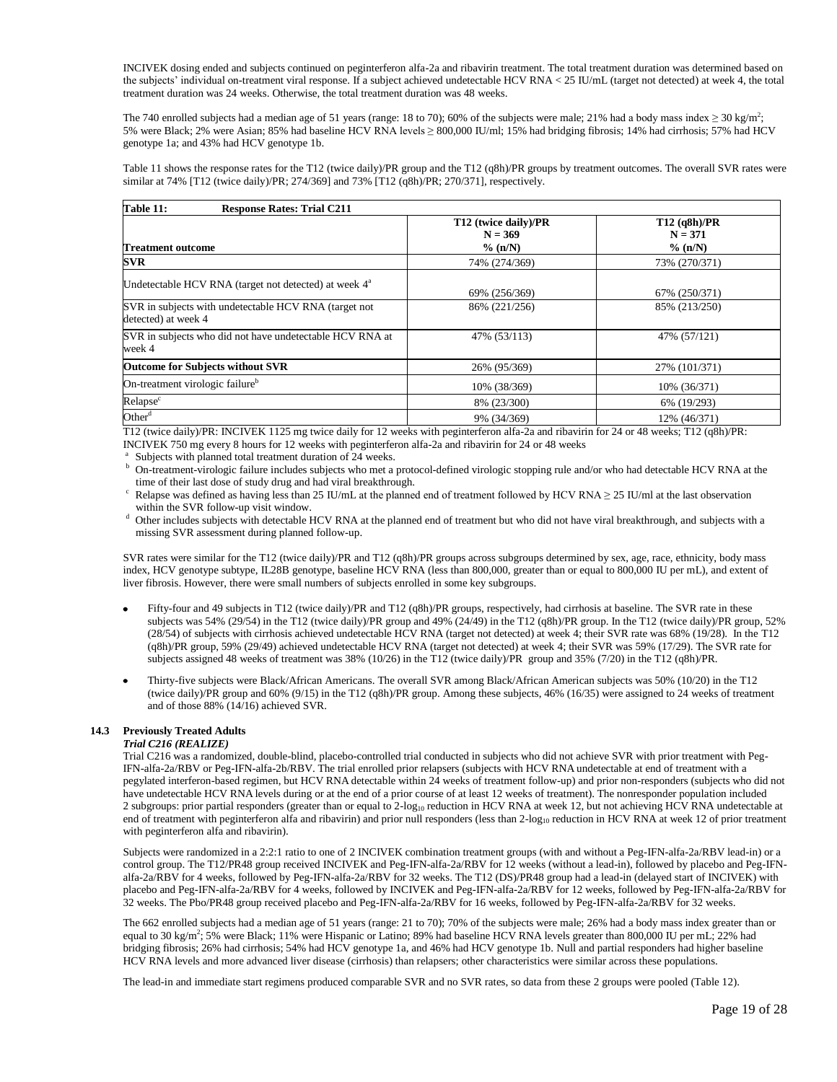INCIVEK dosing ended and subjects continued on peginterferon alfa-2a and ribavirin treatment. The total treatment duration was determined based on the subjects' individual on-treatment viral response. If a subject achieved undetectable HCV RNA < 25 IU/mL (target not detected) at week 4, the total treatment duration was 24 weeks. Otherwise, the total treatment duration was 48 weeks.

The 740 enrolled subjects had a median age of 51 years (range: 18 to 70); 60% of the subjects were male; 21% had a body mass index  $\geq 30 \text{ kg/m}^2$ ; 5% were Black; 2% were Asian; 85% had baseline HCV RNA levels ≥ 800,000 IU/ml; 15% had bridging fibrosis; 14% had cirrhosis; 57% had HCV genotype 1a; and 43% had HCV genotype 1b.

Table 11 shows the response rates for the T12 (twice daily)/PR group and the T12 (q8h)/PR groups by treatment outcomes. The overall SVR rates were similar at 74% [T12 (twice daily)/PR; 274/369] and 73% [T12 (q8h)/PR; 270/371], respectively.

| Table 11:<br><b>Response Rates: Trial C211</b>                               |                                              |                                        |
|------------------------------------------------------------------------------|----------------------------------------------|----------------------------------------|
| <b>Treatment outcome</b>                                                     | T12 (twice daily)/PR<br>$N = 369$<br>% (n/N) | $T12$ (q8h)/PR<br>$N = 371$<br>% (n/N) |
| <b>SVR</b>                                                                   | 74% (274/369)                                | 73% (270/371)                          |
| Undetectable HCV RNA (target not detected) at week $4^a$                     | 69% (256/369)                                | 67% (250/371)                          |
| SVR in subjects with undetectable HCV RNA (target not<br>detected) at week 4 | 86% (221/256)                                | 85% (213/250)                          |
| SVR in subjects who did not have undetectable HCV RNA at<br>week 4           | 47% (53/113)                                 | 47% (57/121)                           |
| <b>Outcome for Subjects without SVR</b>                                      | 26% (95/369)                                 | 27% (101/371)                          |
| On-treatment virologic failure <sup>b</sup>                                  | 10% (38/369)                                 | 10% (36/371)                           |
| Relapse <sup>c</sup>                                                         | 8% (23/300)                                  | 6% (19/293)                            |
| Other <sup>d</sup>                                                           | 9% (34/369)                                  | 12% (46/371)                           |

T12 (twice daily)/PR: INCIVEK 1125 mg twice daily for 12 weeks with peginterferon alfa-2a and ribavirin for 24 or 48 weeks; T12 (q8h)/PR: INCIVEK 750 mg every 8 hours for 12 weeks with peginterferon alfa-2a and ribavirin for 24 or 48 weeks

a Subjects with planned total treatment duration of 24 weeks.

<sup>b</sup> On-treatment-virologic failure includes subjects who met a protocol-defined virologic stopping rule and/or who had detectable HCV RNA at the time of their last dose of study drug and had viral breakthrough.

<sup>c</sup> Relapse was defined as having less than 25 IU/mL at the planned end of treatment followed by HCV RNA ≥ 25 IU/ml at the last observation within the SVR follow-up visit window.

d Other includes subjects with detectable HCV RNA at the planned end of treatment but who did not have viral breakthrough, and subjects with a missing SVR assessment during planned follow-up.

SVR rates were similar for the T12 (twice daily)/PR and T12 (q8h)/PR groups across subgroups determined by sex, age, race, ethnicity, body mass index, HCV genotype subtype, IL28B genotype, baseline HCV RNA (less than 800,000, greater than or equal to 800,000 IU per mL), and extent of liver fibrosis. However, there were small numbers of subjects enrolled in some key subgroups.

- Fifty-four and 49 subjects in T12 (twice daily)/PR and T12 (q8h)/PR groups, respectively, had cirrhosis at baseline. The SVR rate in these subjects was 54% (29/54) in the T12 (twice daily)/PR group and 49% (24/49) in the T12 (q8h)/PR group. In the T12 (twice daily)/PR group, 52% (28/54) of subjects with cirrhosis achieved undetectable HCV RNA (target not detected) at week 4; their SVR rate was 68% (19/28). In the T12 (q8h)/PR group, 59% (29/49) achieved undetectable HCV RNA (target not detected) at week 4; their SVR was 59% (17/29). The SVR rate for subjects assigned 48 weeks of treatment was 38% (10/26) in the T12 (twice daily)/PR group and 35% (7/20) in the T12 (q8h)/PR.
- Thirty-five subjects were Black/African Americans. The overall SVR among Black/African American subjects was 50% (10/20) in the T12 (twice daily)/PR group and 60% (9/15) in the T12 (q8h)/PR group. Among these subjects, 46% (16/35) were assigned to 24 weeks of treatment and of those 88% (14/16) achieved SVR.

## **14.3 Previously Treated Adults**

## *Trial C216 (REALIZE)*

Trial C216 was a randomized, double-blind, placebo-controlled trial conducted in subjects who did not achieve SVR with prior treatment with Peg-IFN-alfa-2a/RBV or Peg-IFN-alfa-2b/RBV. The trial enrolled prior relapsers (subjects with HCV RNA undetectable at end of treatment with a pegylated interferon-based regimen, but HCV RNA detectable within 24 weeks of treatment follow-up) and prior non-responders (subjects who did not have undetectable HCV RNA levels during or at the end of a prior course of at least 12 weeks of treatment). The nonresponder population included 2 subgroups: prior partial responders (greater than or equal to 2-log<sub>10</sub> reduction in HCV RNA at week 12, but not achieving HCV RNA undetectable at end of treatment with peginterferon alfa and ribavirin) and prior null responders (less than 2-log<sub>10</sub> reduction in HCV RNA at week 12 of prior treatment with peginterferon alfa and ribavirin).

Subjects were randomized in a 2:2:1 ratio to one of 2 INCIVEK combination treatment groups (with and without a Peg-IFN-alfa-2a/RBV lead-in) or a control group. The T12/PR48 group received INCIVEK and Peg-IFN-alfa-2a/RBV for 12 weeks (without a lead-in), followed by placebo and Peg-IFNalfa-2a/RBV for 4 weeks, followed by Peg-IFN-alfa-2a/RBV for 32 weeks. The T12 (DS)/PR48 group had a lead-in (delayed start of INCIVEK) with placebo and Peg-IFN-alfa-2a/RBV for 4 weeks, followed by INCIVEK and Peg-IFN-alfa-2a/RBV for 12 weeks, followed by Peg-IFN-alfa-2a/RBV for 32 weeks. The Pbo/PR48 group received placebo and Peg-IFN-alfa-2a/RBV for 16 weeks, followed by Peg-IFN-alfa-2a/RBV for 32 weeks.

The 662 enrolled subjects had a median age of 51 years (range: 21 to 70); 70% of the subjects were male; 26% had a body mass index greater than or equal to 30 kg/m<sup>2</sup>; 5% were Black; 11% were Hispanic or Latino; 89% had baseline HCV RNA levels greater than 800,000 IU per mL; 22% had bridging fibrosis; 26% had cirrhosis; 54% had HCV genotype 1a, and 46% had HCV genotype 1b. Null and partial responders had higher baseline HCV RNA levels and more advanced liver disease (cirrhosis) than relapsers; other characteristics were similar across these populations.

The lead-in and immediate start regimens produced comparable SVR and no SVR rates, so data from these 2 groups were pooled (Table 12).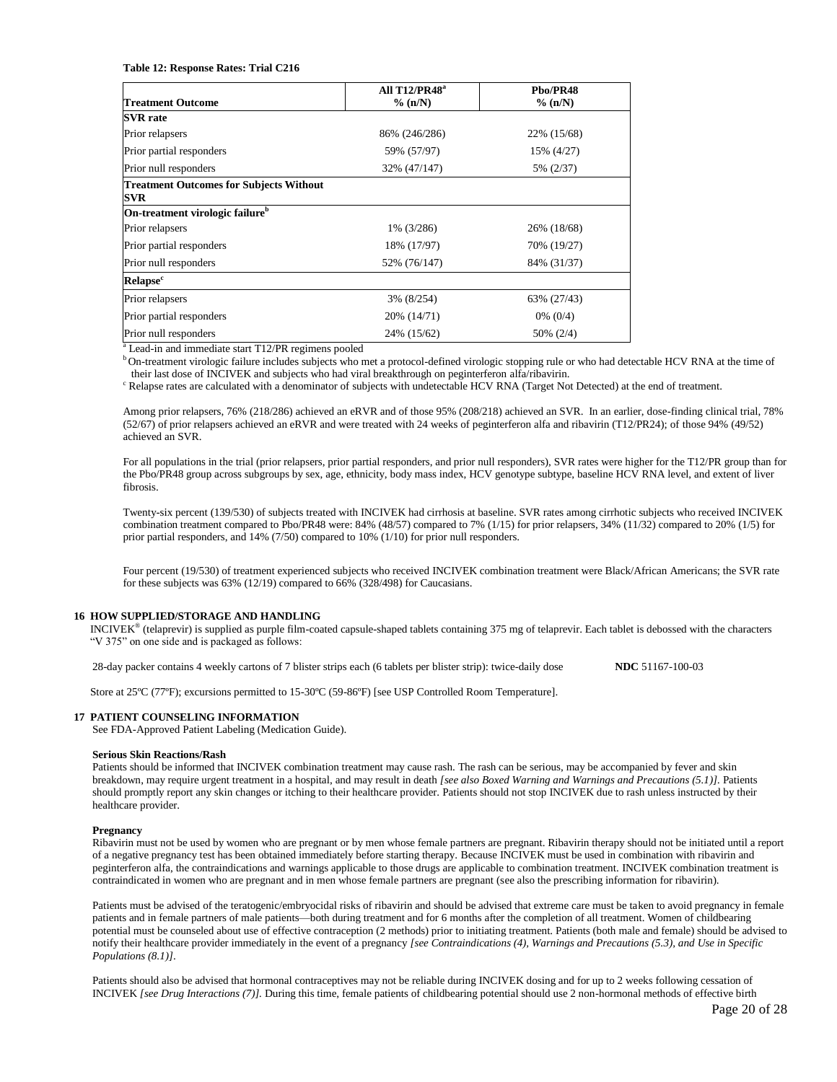#### **Table 12: Response Rates: Trial C216**

| <b>Treatment Outcome</b>                                     | All T12/PR48 <sup>a</sup><br>% (n/N) | Pbo/PR48<br>% (n/N) |
|--------------------------------------------------------------|--------------------------------------|---------------------|
| <b>SVR</b> rate                                              |                                      |                     |
| Prior relapsers                                              | 86% (246/286)                        | 22% (15/68)         |
| Prior partial responders                                     | 59% (57/97)                          | 15% (4/27)          |
| Prior null responders                                        | 32% (47/147)                         | 5% (2/37)           |
| <b>Treatment Outcomes for Subjects Without</b><br><b>SVR</b> |                                      |                     |
| On-treatment virologic failure <sup>b</sup>                  |                                      |                     |
| Prior relapsers                                              | 1% (3/286)                           | 26% (18/68)         |
| Prior partial responders                                     | 18% (17/97)                          | 70% (19/27)         |
| Prior null responders                                        | 52% (76/147)                         | 84% (31/37)         |
| <b>Relapse</b> <sup>c</sup>                                  |                                      |                     |
| Prior relapsers                                              | 3% (8/254)                           | 63% (27/43)         |
| Prior partial responders                                     | 20% (14/71)                          | $0\%$ (0/4)         |
| Prior null responders                                        | 24% (15/62)                          | 50% (2/4)           |

<sup>a</sup> Lead-in and immediate start T12/PR regimens pooled

<sup>b</sup>On-treatment virologic failure includes subjects who met a protocol-defined virologic stopping rule or who had detectable HCV RNA at the time of their last dose of INCIVEK and subjects who had viral breakthrough on peginterferon alfa/ribavirin.

<sup>c</sup> Relapse rates are calculated with a denominator of subjects with undetectable HCV RNA (Target Not Detected) at the end of treatment.

Among prior relapsers, 76% (218/286) achieved an eRVR and of those 95% (208/218) achieved an SVR. In an earlier, dose-finding clinical trial, 78% (52/67) of prior relapsers achieved an eRVR and were treated with 24 weeks of peginterferon alfa and ribavirin (T12/PR24); of those 94% (49/52) achieved an SVR.

For all populations in the trial (prior relapsers, prior partial responders, and prior null responders), SVR rates were higher for the T12/PR group than for the Pbo/PR48 group across subgroups by sex, age, ethnicity, body mass index, HCV genotype subtype, baseline HCV RNA level, and extent of liver fibrosis.

Twenty-six percent (139/530) of subjects treated with INCIVEK had cirrhosis at baseline. SVR rates among cirrhotic subjects who received INCIVEK combination treatment compared to Pbo/PR48 were: 84% (48/57) compared to 7% (1/15) for prior relapsers, 34% (11/32) compared to 20% (1/5) for prior partial responders, and 14% (7/50) compared to 10% (1/10) for prior null responders.

Four percent (19/530) of treatment experienced subjects who received INCIVEK combination treatment were Black/African Americans; the SVR rate for these subjects was 63% (12/19) compared to 66% (328/498) for Caucasians.

#### **16 HOW SUPPLIED/STORAGE AND HANDLING**

INCIVEK® (telaprevir) is supplied as purple film-coated capsule-shaped tablets containing 375 mg of telaprevir. Each tablet is debossed with the characters "V 375" on one side and is packaged as follows:

28-day packer contains 4 weekly cartons of 7 blister strips each (6 tablets per blister strip): twice-daily dose **NDC** 51167-100-03

Store at 25ºC (77ºF); excursions permitted to 15-30ºC (59-86ºF) [see USP Controlled Room Temperature].

#### **17 PATIENT COUNSELING INFORMATION**

See FDA-Approved Patient Labeling (Medication Guide).

#### **Serious Skin Reactions/Rash**

Patients should be informed that INCIVEK combination treatment may cause rash. The rash can be serious, may be accompanied by fever and skin breakdown, may require urgent treatment in a hospital, and may result in death *[see also Boxed Warning and Warnings and Precautions (5.1)].* Patients should promptly report any skin changes or itching to their healthcare provider. Patients should not stop INCIVEK due to rash unless instructed by their healthcare provider.

#### **Pregnancy**

Ribavirin must not be used by women who are pregnant or by men whose female partners are pregnant. Ribavirin therapy should not be initiated until a report of a negative pregnancy test has been obtained immediately before starting therapy. Because INCIVEK must be used in combination with ribavirin and peginterferon alfa, the contraindications and warnings applicable to those drugs are applicable to combination treatment. INCIVEK combination treatment is contraindicated in women who are pregnant and in men whose female partners are pregnant (see also the prescribing information for ribavirin).

Patients must be advised of the teratogenic/embryocidal risks of ribavirin and should be advised that extreme care must be taken to avoid pregnancy in female patients and in female partners of male patients—both during treatment and for 6 months after the completion of all treatment. Women of childbearing potential must be counseled about use of effective contraception (2 methods) prior to initiating treatment. Patients (both male and female) should be advised to notify their healthcare provider immediately in the event of a pregnancy *[see Contraindications (4), Warnings and Precautions (5.3), and Use in Specific Populations (8.1)]*.

Patients should also be advised that hormonal contraceptives may not be reliable during INCIVEK dosing and for up to 2 weeks following cessation of INCIVEK *[see Drug Interactions (7)].* During this time, female patients of childbearing potential should use 2 non-hormonal methods of effective birth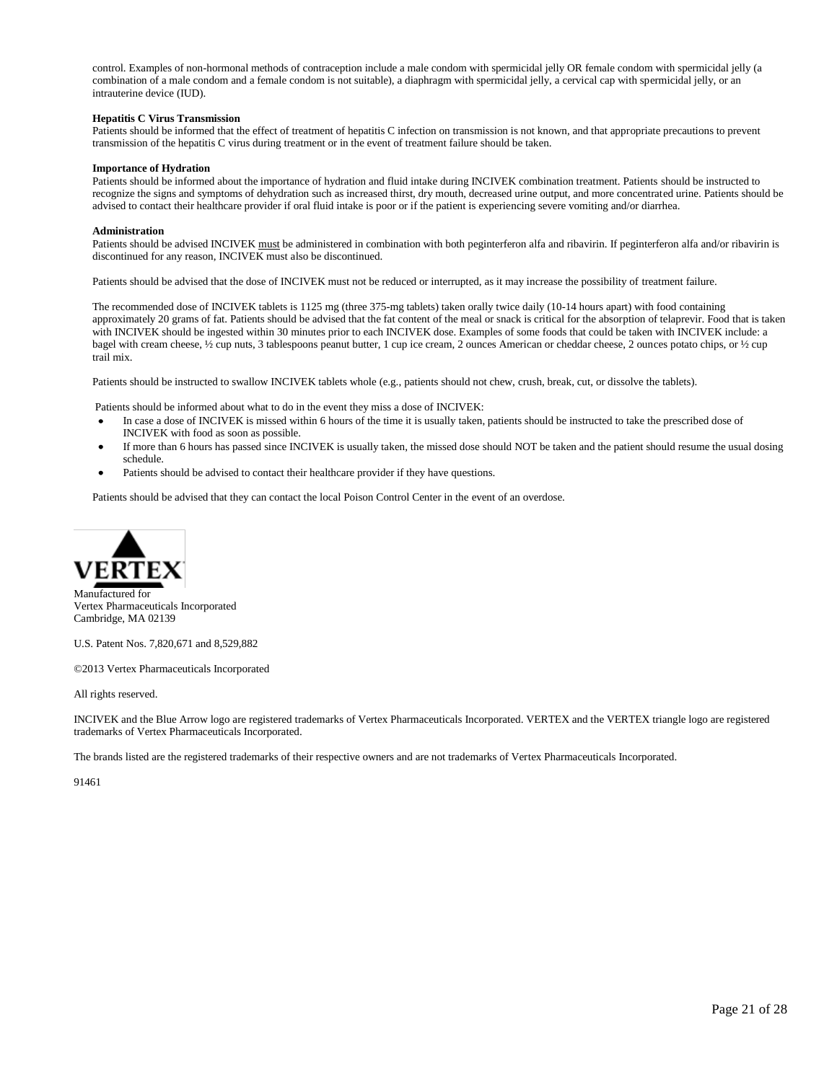control. Examples of non-hormonal methods of contraception include a male condom with spermicidal jelly OR female condom with spermicidal jelly (a combination of a male condom and a female condom is not suitable), a diaphragm with spermicidal jelly, a cervical cap with spermicidal jelly, or an intrauterine device (IUD).

### **Hepatitis C Virus Transmission**

Patients should be informed that the effect of treatment of hepatitis C infection on transmission is not known, and that appropriate precautions to prevent transmission of the hepatitis C virus during treatment or in the event of treatment failure should be taken.

#### **Importance of Hydration**

Patients should be informed about the importance of hydration and fluid intake during INCIVEK combination treatment. Patients should be instructed to recognize the signs and symptoms of dehydration such as increased thirst, dry mouth, decreased urine output, and more concentrated urine. Patients should be advised to contact their healthcare provider if oral fluid intake is poor or if the patient is experiencing severe vomiting and/or diarrhea.

#### **Administration**

Patients should be advised INCIVEK must be administered in combination with both peginterferon alfa and ribavirin. If peginterferon alfa and/or ribavirin is discontinued for any reason, INCIVEK must also be discontinued.

Patients should be advised that the dose of INCIVEK must not be reduced or interrupted, as it may increase the possibility of treatment failure.

The recommended dose of INCIVEK tablets is 1125 mg (three 375-mg tablets) taken orally twice daily (10-14 hours apart) with food containing approximately 20 grams of fat. Patients should be advised that the fat content of the meal or snack is critical for the absorption of telaprevir. Food that is taken with INCIVEK should be ingested within 30 minutes prior to each INCIVEK dose. Examples of some foods that could be taken with INCIVEK include: a bagel with cream cheese, 1/2 cup nuts, 3 tablespoons peanut butter, 1 cup ice cream, 2 ounces American or cheddar cheese, 2 ounces potato chips, or 1/2 cup trail mix.

Patients should be instructed to swallow INCIVEK tablets whole (e.g., patients should not chew, crush, break, cut, or dissolve the tablets).

Patients should be informed about what to do in the event they miss a dose of INCIVEK:

- In case a dose of INCIVEK is missed within 6 hours of the time it is usually taken, patients should be instructed to take the prescribed dose of INCIVEK with food as soon as possible.
- If more than 6 hours has passed since INCIVEK is usually taken, the missed dose should NOT be taken and the patient should resume the usual dosing schedule.
- Patients should be advised to contact their healthcare provider if they have questions.

Patients should be advised that they can contact the local Poison Control Center in the event of an overdose.



Manufactured for Vertex Pharmaceuticals Incorporated Cambridge, MA 02139

U.S. Patent Nos. 7,820,671 and 8,529,882

©2013 Vertex Pharmaceuticals Incorporated

All rights reserved.

INCIVEK and the Blue Arrow logo are registered trademarks of Vertex Pharmaceuticals Incorporated. VERTEX and the VERTEX triangle logo are registered trademarks of Vertex Pharmaceuticals Incorporated.

The brands listed are the registered trademarks of their respective owners and are not trademarks of Vertex Pharmaceuticals Incorporated.

91461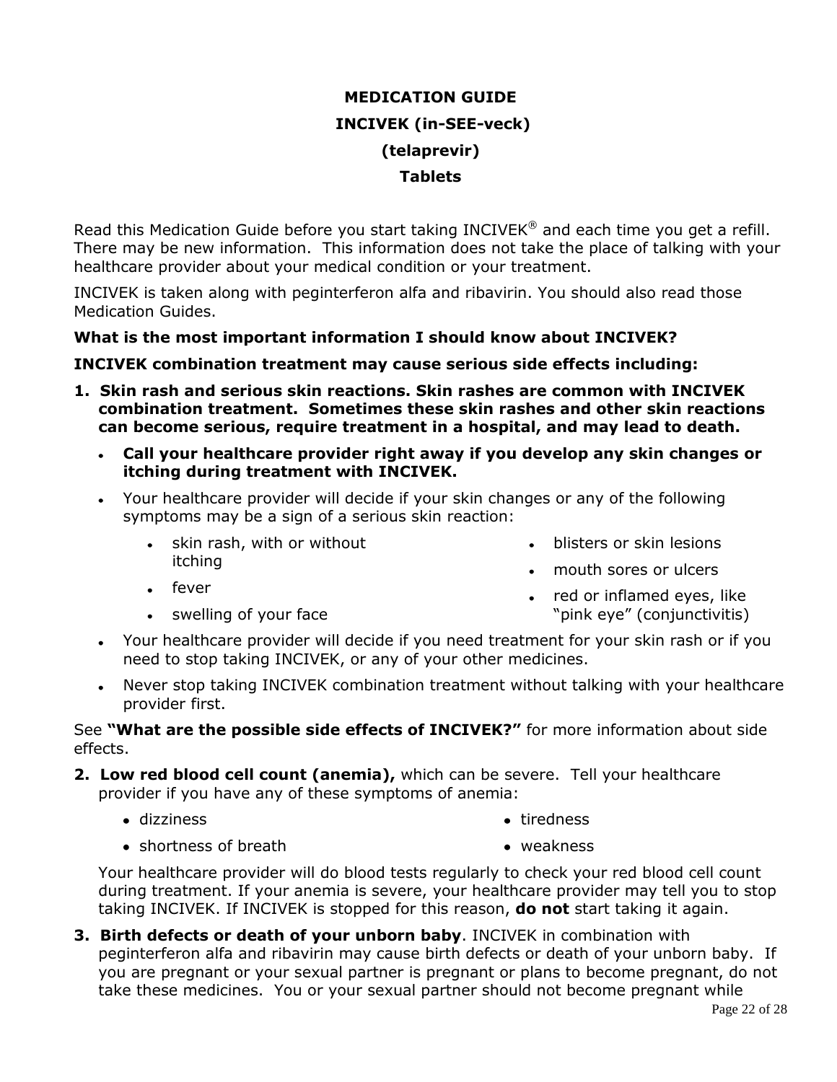# **MEDICATION GUIDE INCIVEK (in-SEE-veck) (telaprevir) Tablets**

Read this Medication Guide before you start taking INCIVEK<sup>®</sup> and each time you get a refill. There may be new information. This information does not take the place of talking with your healthcare provider about your medical condition or your treatment.

INCIVEK is taken along with peginterferon alfa and ribavirin. You should also read those Medication Guides.

# **What is the most important information I should know about INCIVEK?**

## **INCIVEK combination treatment may cause serious side effects including:**

- **1. Skin rash and serious skin reactions. Skin rashes are common with INCIVEK combination treatment. Sometimes these skin rashes and other skin reactions can become serious, require treatment in a hospital, and may lead to death.** 
	- **Call your healthcare provider right away if you develop any skin changes or itching during treatment with INCIVEK.**
	- Your healthcare provider will decide if your skin changes or any of the following symptoms may be a sign of a serious skin reaction:
		- skin rash, with or without itching
- **•** blisters or skin lesions
- $\bullet$ mouth sores or ulcers

- fever
- swelling of your face
- red or inflamed eyes, like "pink eye" (conjunctivitis)
- Your healthcare provider will decide if you need treatment for your skin rash or if you need to stop taking INCIVEK, or any of your other medicines.
- Never stop taking INCIVEK combination treatment without talking with your healthcare  $\bullet$ provider first.

See **"What are the possible side effects of INCIVEK?"** for more information about side effects.

- **2. Low red blood cell count (anemia),** which can be severe. Tell your healthcare provider if you have any of these symptoms of anemia:
	- dizziness

• tiredness

shortness of breath

weakness

Your healthcare provider will do blood tests regularly to check your red blood cell count during treatment. If your anemia is severe, your healthcare provider may tell you to stop taking INCIVEK. If INCIVEK is stopped for this reason, **do not** start taking it again.

**3. Birth defects or death of your unborn baby**. INCIVEK in combination with peginterferon alfa and ribavirin may cause birth defects or death of your unborn baby. If you are pregnant or your sexual partner is pregnant or plans to become pregnant, do not take these medicines. You or your sexual partner should not become pregnant while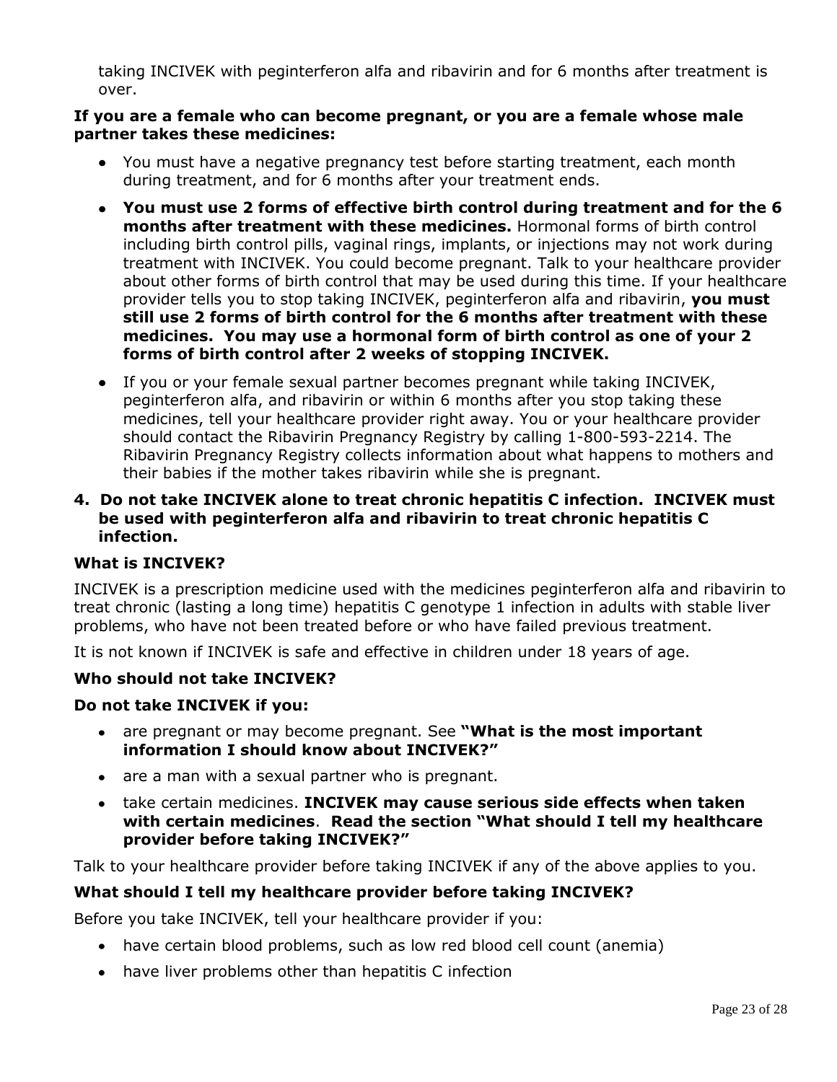taking INCIVEK with peginterferon alfa and ribavirin and for 6 months after treatment is over.

## **If you are a female who can become pregnant, or you are a female whose male partner takes these medicines:**

- You must have a negative pregnancy test before starting treatment, each month during treatment, and for 6 months after your treatment ends.
- **You must use 2 forms of effective birth control during treatment and for the 6 months after treatment with these medicines.** Hormonal forms of birth control including birth control pills, vaginal rings, implants, or injections may not work during treatment with INCIVEK. You could become pregnant. Talk to your healthcare provider about other forms of birth control that may be used during this time. If your healthcare provider tells you to stop taking INCIVEK, peginterferon alfa and ribavirin, **you must still use 2 forms of birth control for the 6 months after treatment with these medicines. You may use a hormonal form of birth control as one of your 2 forms of birth control after 2 weeks of stopping INCIVEK.**
- If you or your female sexual partner becomes pregnant while taking INCIVEK, peginterferon alfa, and ribavirin or within 6 months after you stop taking these medicines, tell your healthcare provider right away. You or your healthcare provider should contact the Ribavirin Pregnancy Registry by calling 1-800-593-2214. The Ribavirin Pregnancy Registry collects information about what happens to mothers and their babies if the mother takes ribavirin while she is pregnant.
- **4. Do not take INCIVEK alone to treat chronic hepatitis C infection. INCIVEK must be used with peginterferon alfa and ribavirin to treat chronic hepatitis C infection.**

# **What is INCIVEK?**

INCIVEK is a prescription medicine used with the medicines peginterferon alfa and ribavirin to treat chronic (lasting a long time) hepatitis C genotype 1 infection in adults with stable liver problems, who have not been treated before or who have failed previous treatment.

It is not known if INCIVEK is safe and effective in children under 18 years of age.

# **Who should not take INCIVEK?**

## **Do not take INCIVEK if you:**

- are pregnant or may become pregnant. See **"What is the most important information I should know about INCIVEK?"**
- are a man with a sexual partner who is pregnant.
- take certain medicines. **INCIVEK may cause serious side effects when taken with certain medicines**. **Read the section "What should I tell my healthcare provider before taking INCIVEK?"**

Talk to your healthcare provider before taking INCIVEK if any of the above applies to you.

# **What should I tell my healthcare provider before taking INCIVEK?**

Before you take INCIVEK, tell your healthcare provider if you:

- have certain blood problems, such as low red blood cell count (anemia)
- have liver problems other than hepatitis C infection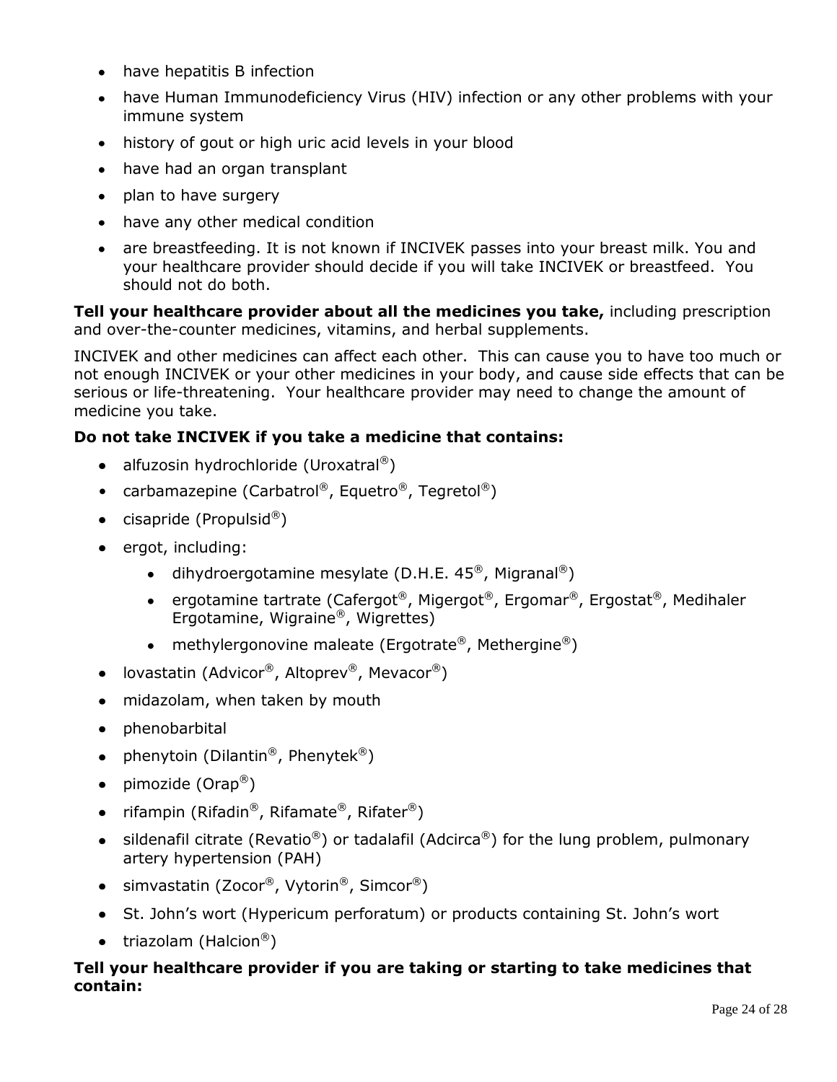- have hepatitis B infection
- have Human Immunodeficiency Virus (HIV) infection or any other problems with your immune system
- history of gout or high uric acid levels in your blood
- have had an organ transplant
- plan to have surgery
- have any other medical condition
- are breastfeeding. It is not known if INCIVEK passes into your breast milk. You and your healthcare provider should decide if you will take INCIVEK or breastfeed. You should not do both.

**Tell your healthcare provider about all the medicines you take,** including prescription and over-the-counter medicines, vitamins, and herbal supplements.

INCIVEK and other medicines can affect each other. This can cause you to have too much or not enough INCIVEK or your other medicines in your body, and cause side effects that can be serious or life-threatening. Your healthcare provider may need to change the amount of medicine you take.

# **Do not take INCIVEK if you take a medicine that contains:**

- alfuzosin hydrochloride (Uroxatral®)
- carbamazepine (Carbatrol®, Equetro®, Tegretol®)
- cisapride (Propulsid $^{\circledR}$ )
- ergot, including:
	- $\bullet$  dihydroergotamine mesylate (D.H.E. 45<sup>®</sup>, Migranal<sup>®</sup>)
	- ergotamine tartrate (Cafergot®, Migergot®, Ergomar®, Ergostat®, Medihaler Ergotamine, Wigraine®, Wigrettes)
	- methylergonovine maleate (Ergotrate®, Methergine®)
- lovastatin (Advicor®, Altoprev®, Mevacor®)
- midazolam, when taken by mouth
- phenobarbital
- phenytoin (Dilantin®, Phenytek®)
- pimozide (Orap®)
- rifampin (Rifadin®, Rifamate®, Rifater®)
- sildenafil citrate (Revatio<sup>®</sup>) or tadalafil (Adcirca<sup>®</sup>) for the lung problem, pulmonary artery hypertension (PAH)
- simvastatin (Zocor®, Vytorin®, Simcor®)
- St. John's wort (Hypericum perforatum) or products containing St. John's wort
- $\bullet$  triazolam (Halcion®)

# **Tell your healthcare provider if you are taking or starting to take medicines that contain:**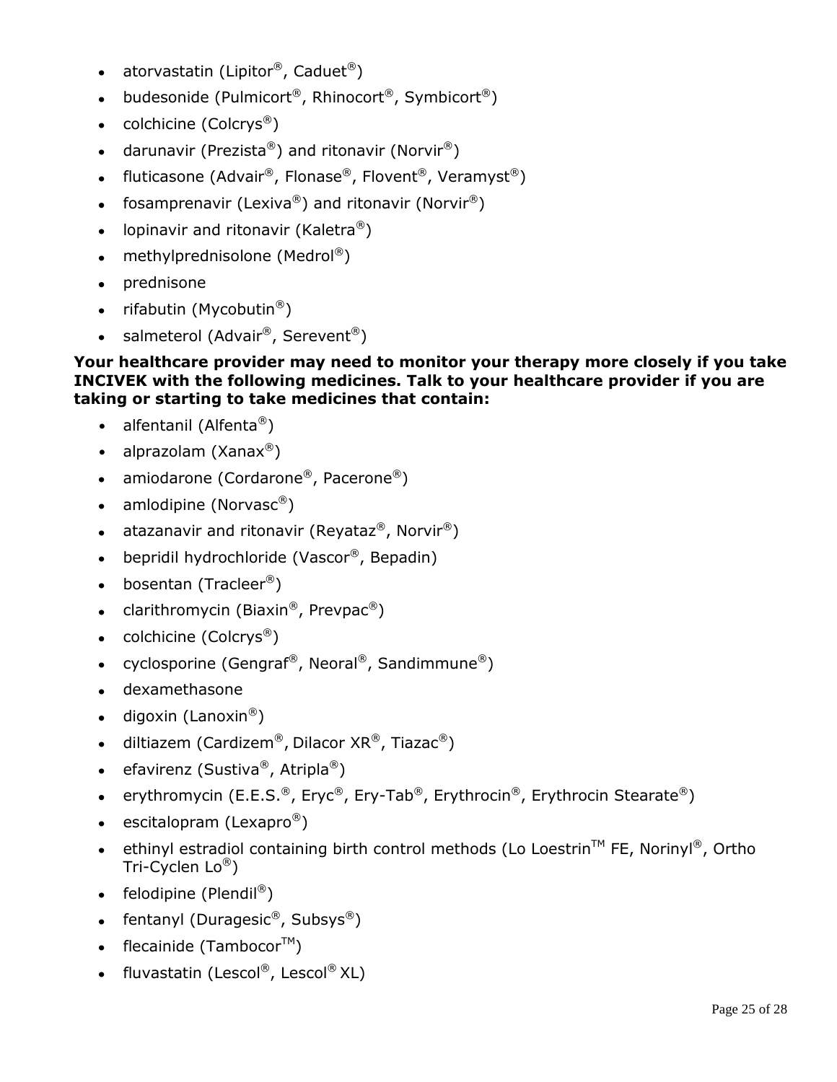- atorvastatin (Lipitor®, Caduet®)
- budesonide (Pulmicort®, Rhinocort®, Symbicort®)
- colchicine (Colcrys®)
- darunavir (Prezista®) and ritonavir (Norvir®)
- fluticasone (Advair®, Flonase®, Flovent®, Veramyst®)
- fosamprenavir (Lexiva®) and ritonavir (Norvir®)
- lopinavir and ritonavir (Kaletra®)
- methylprednisolone (Medrol®)
- prednisone
- rifabutin (Mycobutin<sup>®</sup>)
- salmeterol (Advair®, Serevent®)  $\bullet$

## **Your healthcare provider may need to monitor your therapy more closely if you take INCIVEK with the following medicines. Talk to your healthcare provider if you are taking or starting to take medicines that contain:**

- alfentanil (Alfenta®)
- alprazolam (Xanax®)
- $\bullet$  amiodarone (Cordarone®, Pacerone®)
- amlodipine (Norvasc<sup>®</sup>)
- atazanavir and ritonavir (Reyataz®, Norvir®)
- **•** bepridil hydrochloride (Vascor<sup>®</sup>, Bepadin)
- bosentan (Tracleer®)
- clarithromycin (Biaxin®, Prevpac®)
- colchicine (Colcrys®)
- cyclosporine (Gengraf®, Neoral®, Sandimmune®)
- dexamethasone
- $\bullet$  digoxin (Lanoxin®)
- $\bullet$  diltiazem (Cardizem®, Dilacor XR®, Tiazac®)
- efavirenz (Sustiva®, Atripla®)
- erythromycin (E.E.S. $^{\circledR}$ , Eryc $^{\circledR}$ , Ery-Tab $^{\circledR}$ , Erythrocin $^{\circledR}$ , Erythrocin Stearate $^{\circledR}$ )
- escitalopram (Lexapro®)
- ethinyl estradiol containing birth control methods (Lo Loestrin<sup>TM</sup> FE, Norinyl®, Ortho Tri-Cyclen Lo®)
- felodipine (Plendil $^{\circledR}$ )
- fentanyl (Duragesic<sup>®</sup>, Subsys<sup>®</sup>)
- flecainide (Tambocor $TM$ )
- fluvastatin (Lescol®, Lescol® XL)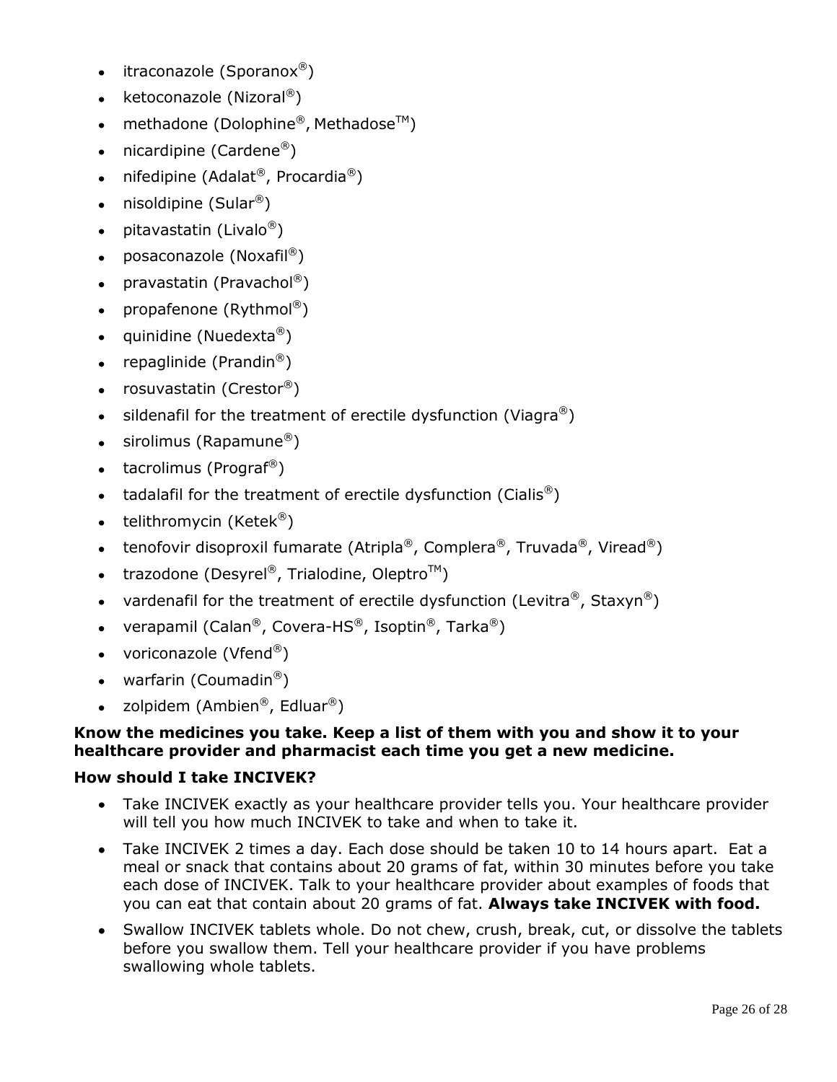- itraconazole (Sporanox®)
- ketoconazole (Nizoral®)  $\bullet$
- methadone (Dolophine®, Methadose™)  $\bullet$
- nicardipine (Cardene®)  $\bullet$
- nifedipine (Adalat®, Procardia®)
- nisoldipine (Sular®)
- pitavastatin (Livalo®)
- posaconazole (Noxafil®)
- pravastatin (Pravachol®)
- propafenone (Rythmol®)
- quinidine (Nuedexta®)  $\bullet$
- repaglinide (Prandin®)  $\bullet$
- rosuvastatin (Crestor®)
- sildenafil for the treatment of erectile dysfunction (Viagra<sup>®</sup>)
- sirolimus (Rapamune<sup>®</sup>)  $\bullet$
- tacrolimus (Prograf®)
- tadalafil for the treatment of erectile dysfunction (Cialis<sup>®</sup>)  $\bullet$
- telithromycin (Ketek®)
- tenofovir disoproxil fumarate (Atripla®, Complera®, Truvada®, Viread®)
- trazodone (Desyrel®, Trialodine, Oleptro<sup>TM</sup>)
- vardenafil for the treatment of erectile dysfunction (Levitra<sup>®</sup>, Staxyn<sup>®</sup>)
- verapamil (Calan®, Covera-HS®, Isoptin®, Tarka®)  $\bullet$
- voriconazole (Vfend®)
- warfarin (Coumadin®)  $\bullet$
- zolpidem (Ambien®, Edluar®)  $\bullet$

## **Know the medicines you take. Keep a list of them with you and show it to your healthcare provider and pharmacist each time you get a new medicine.**

## **How should I take INCIVEK?**

- Take INCIVEK exactly as your healthcare provider tells you. Your healthcare provider will tell you how much INCIVEK to take and when to take it.
- Take INCIVEK 2 times a day. Each dose should be taken 10 to 14 hours apart. Eat a meal or snack that contains about 20 grams of fat, within 30 minutes before you take each dose of INCIVEK. Talk to your healthcare provider about examples of foods that you can eat that contain about 20 grams of fat. **Always take INCIVEK with food.**
- Swallow INCIVEK tablets whole. Do not chew, crush, break, cut, or dissolve the tablets before you swallow them. Tell your healthcare provider if you have problems swallowing whole tablets.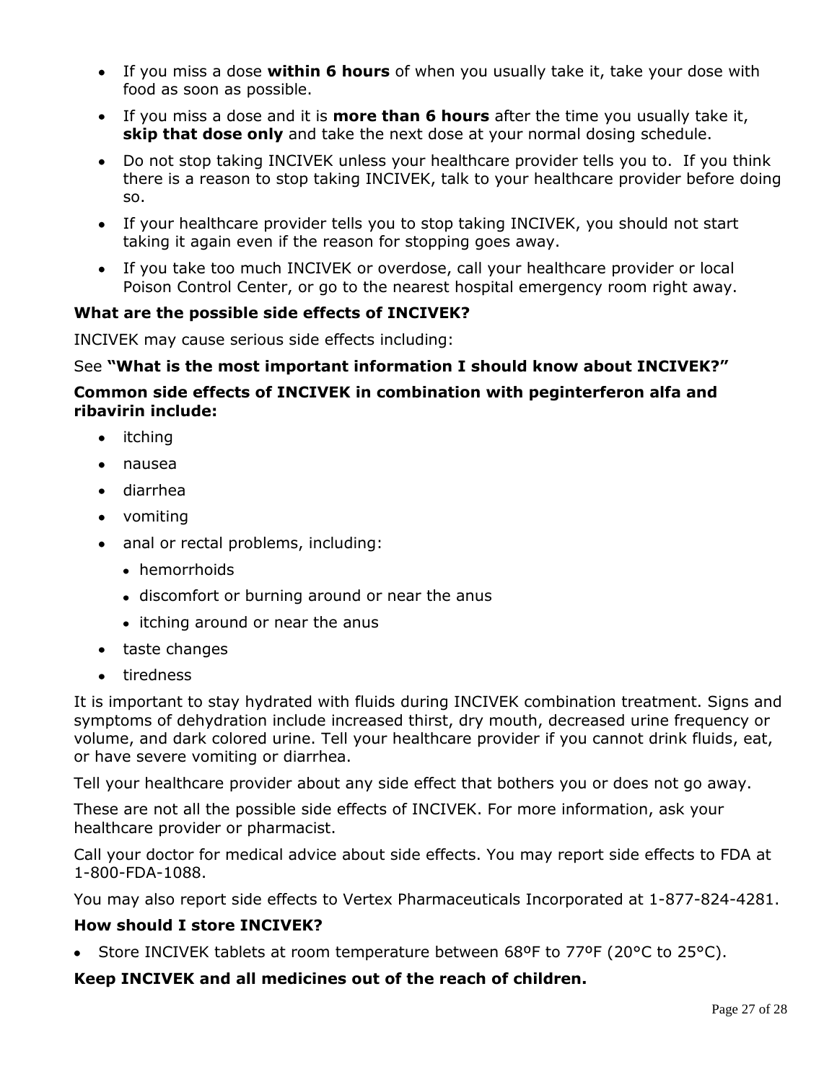- If you miss a dose **within 6 hours** of when you usually take it, take your dose with food as soon as possible.
- If you miss a dose and it is **more than 6 hours** after the time you usually take it, **skip that dose only** and take the next dose at your normal dosing schedule.
- Do not stop taking INCIVEK unless your healthcare provider tells you to. If you think there is a reason to stop taking INCIVEK, talk to your healthcare provider before doing so.
- If your healthcare provider tells you to stop taking INCIVEK, you should not start taking it again even if the reason for stopping goes away.
- If you take too much INCIVEK or overdose, call your healthcare provider or local Poison Control Center, or go to the nearest hospital emergency room right away.

## **What are the possible side effects of INCIVEK?**

INCIVEK may cause serious side effects including:

# See **"What is the most important information I should know about INCIVEK?"**

# **Common side effects of INCIVEK in combination with peginterferon alfa and ribavirin include:**

- $\bullet$  itching
- nausea
- diarrhea
- vomiting
- anal or rectal problems, including:
	- hemorrhoids
	- discomfort or burning around or near the anus
	- itching around or near the anus
- taste changes
- tiredness

It is important to stay hydrated with fluids during INCIVEK combination treatment. Signs and symptoms of dehydration include increased thirst, dry mouth, decreased urine frequency or volume, and dark colored urine. Tell your healthcare provider if you cannot drink fluids, eat, or have severe vomiting or diarrhea.

Tell your healthcare provider about any side effect that bothers you or does not go away.

These are not all the possible side effects of INCIVEK. For more information, ask your healthcare provider or pharmacist.

Call your doctor for medical advice about side effects. You may report side effects to FDA at 1-800-FDA-1088.

You may also report side effects to Vertex Pharmaceuticals Incorporated at 1-877-824-4281.

## **How should I store INCIVEK?**

Store INCIVEK tablets at room temperature between 68ºF to 77ºF (20°C to 25°C).

## **Keep INCIVEK and all medicines out of the reach of children.**